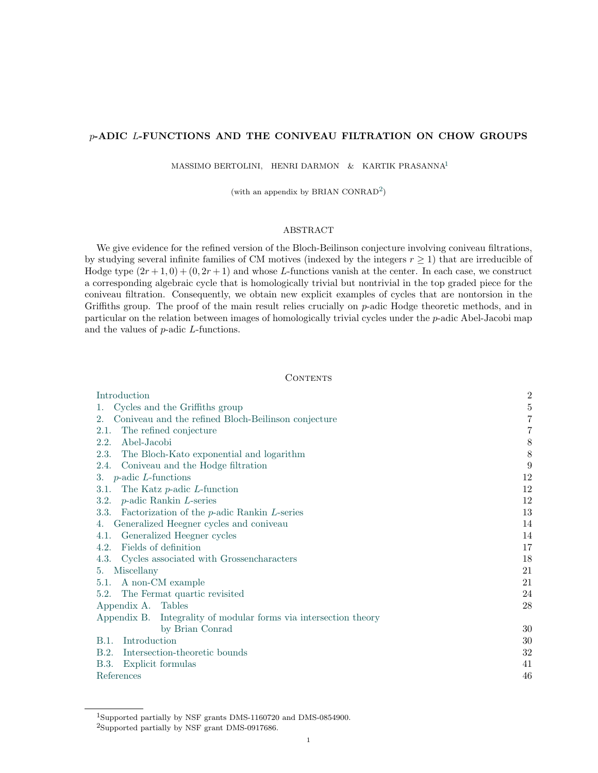# p-ADIC L-FUNCTIONS AND THE CONIVEAU FILTRATION ON CHOW GROUPS

MASSIMO BERTOLINI, HENRI DARMON & KARTIK PRASANNA[1](#page-0-0)

(with an appendix by BRIAN CONRAD<sup>[2](#page-0-1)</sup>)

# ABSTRACT

We give evidence for the refined version of the Bloch-Beilinson conjecture involving coniveau filtrations, by studying several infinite families of CM motives (indexed by the integers  $r \geq 1$ ) that are irreducible of Hodge type  $(2r+1, 0) + (0, 2r+1)$  and whose L-functions vanish at the center. In each case, we construct a corresponding algebraic cycle that is homologically trivial but nontrivial in the top graded piece for the coniveau filtration. Consequently, we obtain new explicit examples of cycles that are nontorsion in the Griffiths group. The proof of the main result relies crucially on p-adic Hodge theoretic methods, and in particular on the relation between images of homologically trivial cycles under the p-adic Abel-Jacobi map and the values of p-adic L-functions.

### **CONTENTS**

| Introduction                                                     | $\overline{2}$ |
|------------------------------------------------------------------|----------------|
| Cycles and the Griffiths group<br>1.                             | $\overline{5}$ |
| Coniveau and the refined Bloch-Beilinson conjecture<br>2.        | $\overline{7}$ |
| The refined conjecture<br>2.1.                                   | $\overline{7}$ |
| Abel-Jacobi<br>2.2.                                              | 8              |
| 2.3.<br>The Bloch-Kato exponential and logarithm                 | 8              |
| Coniveau and the Hodge filtration<br>2.4.                        | 9              |
| 3. $p$ -adic <i>L</i> -functions                                 | 12             |
| The Katz $p$ -adic $L$ -function<br>3.1.                         | 12             |
| $p$ -adic Rankin L-series<br>3.2.                                | 12             |
| Factorization of the $p$ -adic Rankin $L$ -series<br>3.3.        | 13             |
| Generalized Heegner cycles and coniveau<br>4.                    | 14             |
| Generalized Heegner cycles<br>4.1.                               | 14             |
| Fields of definition<br>4.2.                                     | 17             |
| Cycles associated with Grossencharacters<br>4.3.                 | 18             |
| Miscellany<br>5.                                                 | 21             |
| 5.1. A non-CM example                                            | 21             |
| 5.2. The Fermat quartic revisited                                | 24             |
| Appendix A. Tables                                               | 28             |
| Appendix B. Integrality of modular forms via intersection theory |                |
| by Brian Conrad                                                  | 30             |
| Introduction<br>B.1.                                             | 30             |
| Intersection-theoretic bounds<br>B.2.                            | 32             |
| Explicit formulas<br>B.3.                                        | 41             |
| References                                                       | 46             |

<span id="page-0-0"></span><sup>1</sup>Supported partially by NSF grants DMS-1160720 and DMS-0854900.

<span id="page-0-1"></span><sup>2</sup>Supported partially by NSF grant DMS-0917686.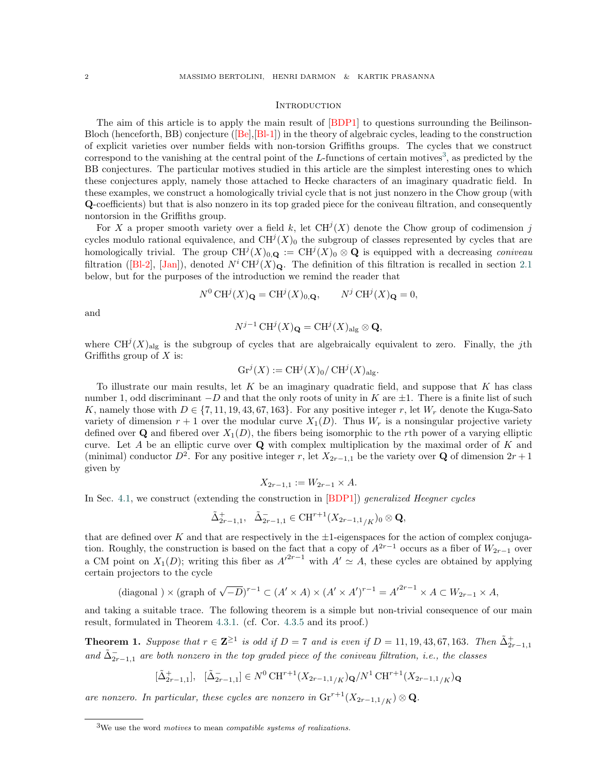#### <span id="page-1-0"></span>**INTRODUCTION**

The aim of this article is to apply the main result of  $[BDP1]$  to questions surrounding the Beilinson-Bloch (henceforth, BB) conjecture  $([Be], [B-1])$  $([Be], [B-1])$  $([Be], [B-1])$  in the theory of algebraic cycles, leading to the construction of explicit varieties over number fields with non-torsion Griffiths groups. The cycles that we construct correspond to the vanishing at the central point of the L-functions of certain motives<sup>[3](#page-1-1)</sup>, as predicted by the BB conjectures. The particular motives studied in this article are the simplest interesting ones to which these conjectures apply, namely those attached to Hecke characters of an imaginary quadratic field. In these examples, we construct a homologically trivial cycle that is not just nonzero in the Chow group (with Q-coefficients) but that is also nonzero in its top graded piece for the coniveau filtration, and consequently nontorsion in the Griffiths group.

For X a proper smooth variety over a field k, let  $CH^{j}(X)$  denote the Chow group of codimension j cycles modulo rational equivalence, and  $CH^{j}(X)_{0}$  the subgroup of classes represented by cycles that are homologically trivial. The group  $CH^{j}(X)_{0,\mathbf{Q}} := CH^{j}(X)_{0} \otimes \mathbf{Q}$  is equipped with a decreasing coniveau filtration ([\[Bl-2\]](#page-45-4), [\[Jan\]](#page-45-5)), denoted  $N^i$  CH<sup>j</sup>(X)<sub>Q</sub>. The definition of this filtration is recalled in section [2.1](#page-6-1)  $\frac{1}{2}$ below, but for the purposes of the introduction we remind the reader that

$$
N^0 \text{CH}^j(X)_{\mathbf{Q}} = \text{CH}^j(X)_{0,\mathbf{Q}}, \qquad N^j \text{CH}^j(X)_{\mathbf{Q}} = 0,
$$

and

$$
N^{j-1}\operatorname{CH}^j(X)_{\mathbf{Q}}=\operatorname{CH}^j(X)_{\operatorname{alg}}\otimes \mathbf{Q},
$$

where  $\mathrm{CH}^j(X)_{\text{alg}}$  is the subgroup of cycles that are algebraically equivalent to zero. Finally, the jth Griffiths group of  $X$  is:

$$
\mathrm{Gr}^j(X) := \mathrm{CH}^j(X)_0 / \mathrm{CH}^j(X)_{\mathrm{alg}}.
$$

To illustrate our main results, let  $K$  be an imaginary quadratic field, and suppose that  $K$  has class number 1, odd discriminant  $-D$  and that the only roots of unity in K are  $\pm 1$ . There is a finite list of such K, namely those with  $D \in \{7, 11, 19, 43, 67, 163\}$ . For any positive integer r, let  $W_r$  denote the Kuga-Sato variety of dimension  $r + 1$  over the modular curve  $X_1(D)$ . Thus  $W_r$  is a nonsingular projective variety defined over  $\mathbf Q$  and fibered over  $X_1(D)$ , the fibers being isomorphic to the rth power of a varying elliptic curve. Let A be an elliptic curve over  $\bf{Q}$  with complex multiplication by the maximal order of K and (minimal) conductor  $D^2$ . For any positive integer r, let  $X_{2r-1,1}$  be the variety over Q of dimension  $2r+1$ given by

$$
X_{2r-1,1} := W_{2r-1} \times A.
$$

In Sec. [4.1,](#page-13-1) we construct (extending the construction in [\[BDP1\]](#page-45-1)) generalized Heegner cycles

$$
\tilde{\Delta}_{2r-1,1}^+, \quad \tilde{\Delta}_{2r-1,1}^- \in \mathrm{CH}^{r+1}(X_{2r-1,1/K})_0 \otimes \mathbf{Q},
$$

that are defined over K and that are respectively in the  $\pm 1$ -eigenspaces for the action of complex conjugation. Roughly, the construction is based on the fact that a copy of  $A^{2r-1}$  occurs as a fiber of  $W_{2r-1}$  over a CM point on  $X_1(D)$ ; writing this fiber as  $A^{n^2-1}$  with  $A' \simeq A$ , these cycles are obtained by applying certain projectors to the cycle

(diagonal) 
$$
\times
$$
 (graph of  $\sqrt{-D}$ )<sup>r-1</sup>  $\subset$   $(A' \times A) \times (A' \times A')^{r-1} = A'^{2r-1} \times A \subset W_{2r-1} \times A$ ,

<span id="page-1-2"></span>and taking a suitable trace. The following theorem is a simple but non-trivial consequence of our main result, formulated in Theorem  $4.3.1$ . (cf. Cor.  $4.3.5$  and its proof.)

**Theorem 1.** Suppose that  $r \in \mathbb{Z}^{\geq 1}$  is odd if  $D = 7$  and is even if  $D = 11, 19, 43, 67, 163$ . Then  $\tilde{\Delta}_{2r-1,1}^+$ and  $\tilde{\Delta}_{2r-1,1}^-$  are both nonzero in the top graded piece of the coniveau filtration, i.e., the classes

$$
[\tilde{\Delta}^+_{2r-1,1}], \quad [\tilde{\Delta}^-_{2r-1,1}] \in N^0 \text{CH}^{r+1}(X_{2r-1,1/K}) \mathbf{Q}/N^1 \text{CH}^{r+1}(X_{2r-1,1/K}) \mathbf{Q}
$$

are nonzero. In particular, these cycles are nonzero in  $\text{Gr}^{r+1}(X_{2r-1,1/K})\otimes \mathbf{Q}$ .

<span id="page-1-1"></span><sup>&</sup>lt;sup>3</sup>We use the word *motives* to mean *compatible systems of realizations*.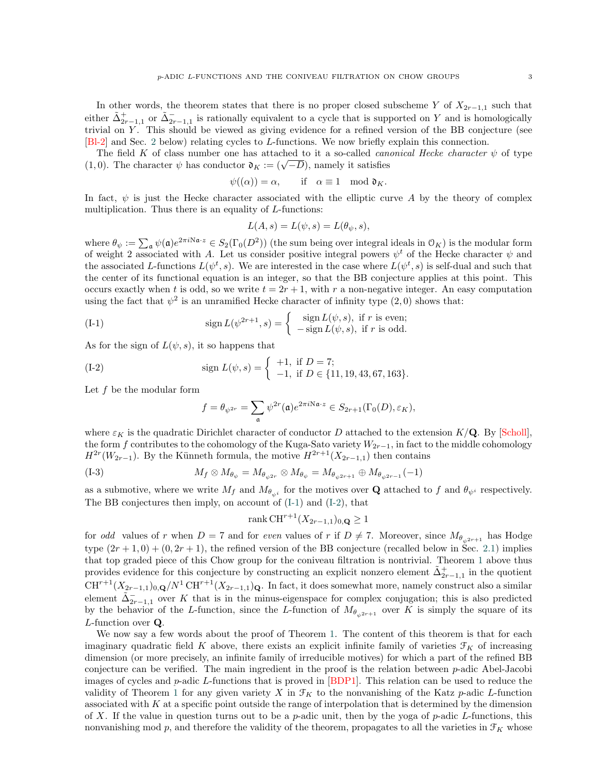In other words, the theorem states that there is no proper closed subscheme Y of  $X_{2r-1,1}$  such that either  $\tilde{\Delta}_{2r-1,1}^+$  or  $\tilde{\Delta}_{2r-1,1}^-$  is rationally equivalent to a cycle that is supported on Y and is homologically trivial on Y. This should be viewed as giving evidence for a refined version of the BB conjecture (see [Bl-[2](#page-6-0)] and Sec. 2 below) relating cycles to L-functions. We now briefly explain this connection.

The field K of class number one has attached to it a so-called *canonical Hecke character*  $\psi$  of type The field **A** of class number one has attached to it a so-called *can*  $(1,0)$ . The character  $\psi$  has conductor  $\mathfrak{d}_K := (\sqrt{-D})$ , namely it satisfies

$$
\psi((\alpha)) = \alpha, \quad \text{if} \quad \alpha \equiv 1 \mod \mathfrak{d}_K.
$$

In fact,  $\psi$  is just the Hecke character associated with the elliptic curve A by the theory of complex multiplication. Thus there is an equality of *L*-functions:

$$
L(A, s) = L(\psi, s) = L(\theta_{\psi}, s),
$$

where  $\theta_{\psi} := \sum_{\mathfrak{a}} \psi(\mathfrak{a}) e^{2\pi i \mathbb{N}\mathfrak{a} \cdot z} \in S_2(\Gamma_0(D^2))$  (the sum being over integral ideals in  $\mathcal{O}_K$ ) is the modular form of weight 2 associated with A. Let us consider positive integral powers  $\psi^t$  of the Hecke character  $\psi$  and the associated L-functions  $L(\psi^t, s)$ . We are interested in the case where  $L(\psi^t, s)$  is self-dual and such that the center of its functional equation is an integer, so that the BB conjecture applies at this point. This occurs exactly when t is odd, so we write  $t = 2r + 1$ , with r a non-negative integer. An easy computation using the fact that  $\psi^2$  is an unramified Hecke character of infinity type  $(2,0)$  shows that:

(I-1) 
$$
\operatorname{sign} L(\psi^{2r+1}, s) = \begin{cases} \operatorname{sign} L(\psi, s), & \text{if } r \text{ is even;} \\ -\operatorname{sign} L(\psi, s), & \text{if } r \text{ is odd.} \end{cases}
$$

As for the sign of  $L(\psi, s)$ , it so happens that

(I-2) sign 
$$
L(\psi, s) = \begin{cases} +1, & \text{if } D = 7; \\ -1, & \text{if } D \in \{11, 19, 43, 67, 163\}. \end{cases}
$$

Let  $f$  be the modular form

<span id="page-2-1"></span><span id="page-2-0"></span>
$$
f=\theta_{\psi^{2r}}=\sum_{\mathfrak{a}}\psi^{2r}(\mathfrak{a})e^{2\pi i \mathrm{N}\mathfrak{a}\cdot z}\in S_{2r+1}(\Gamma_0(D),\varepsilon_K),
$$

where  $\varepsilon_K$  is the quadratic Dirichlet character of conductor D attached to the extension  $K/\mathbf{Q}$ . By [\[Scholl\]](#page-45-6), the form f contributes to the cohomology of the Kuga-Sato variety  $W_{2r-1}$ , in fact to the middle cohomology  $H^{2r}(W_{2r-1})$ . By the Künneth formula, the motive  $H^{2r+1}(X_{2r-1,1})$  then contains

$$
(I-3) \t\t M_f \otimes M_{\theta_{\psi}} = M_{\theta_{\psi^{2r}}} \otimes M_{\theta_{\psi}} = M_{\theta_{\psi^{2r+1}}} \oplus M_{\theta_{\psi^{2r-1}}}(-1)
$$

as a submotive, where we write  $M_f$  and  $M_{\theta_{\psi^i}}$  for the motives over **Q** attached to f and  $\theta_{\psi^i}$  respectively. The BB conjectures then imply, on account of ([I-1\)](#page-2-0) and ([I-2\)](#page-2-1), that

$$
rank \, CH^{r+1}(X_{2r-1,1})_{0,\mathbf{Q}} \ge 1
$$

for *odd* values of r when  $D = 7$  and for even values of r if  $D \neq 7$ . Moreover, since  $M_{\theta_{\psi^{2r+1}}}$  has Hodge type  $(2r+1,0) + (0, 2r+1)$ , the refined version of the BB conjecture (recalled below in Sec. [2.1\)](#page-6-1) implies that top graded piece of this Chow group for the coniveau filtration is nontrivial. Theorem [1](#page-1-2) above thus that top graded piece of this Chow group for the coniveau filtration is nontrivial. Theorem 1 above thus provides evidence for this conjecture by constructing an explicit nonzero element  $\tilde{\Delta}^+_{2r-1,1}$  in the quotient  $CH^{r+1}(X_{2r-1,1})_{0,\mathbf{Q}}/N^1 CH^{r+1}(X_{2r-1,1})_{\mathbf{Q}}$ . In fact, it does somewhat more, namely construct also a similar element  $\tilde{\Delta}_{2r-1,1}^-$  over K that is in the minus-eigenspace for complex conjugation; this is also predicted by the behavior of the L-function, since the L-function of  $M_{\theta_{v,2r+1}}$  over K is simply the square of its L-function over Q.

We now say a few words about the proof of Theorem [1.](#page-1-2) The content of this theorem is that for each  $\mathbb{R}^n$ . imaginary quadratic field K above, there exists an explicit infinite family of varieties  $\mathcal{F}_K$  of increasing dimension (or more precisely, an infinite family of irreducible motives) for which a part of the refined BB conjecture can be verified. The main ingredient in the proof is the relation between  $p$ -adic Abel-Jacobi images of cycles and  $p$ -adic L-functions that is proved in  $[BDP1]$ . This relation can be used to reduce the images of cycles and  $p$ -adic L-functions that is proved in  $[BDP1]$ . This relation can be used to reduce the validity of Theorem [1](#page-1-2) for any given variety X in  $\mathcal{F}_K$  to the nonvanishing of the Katz p-adic L-function associated with  $K$  at a specific point outside the range of interpolation that is determined by the dimension of X. If the value in question turns out to be a p-adic unit, then by the yoga of p-adic L-functions, this nonvanishing mod p, and therefore the validity of the theorem, propagates to all the varieties in  $\mathcal{F}_K$  whose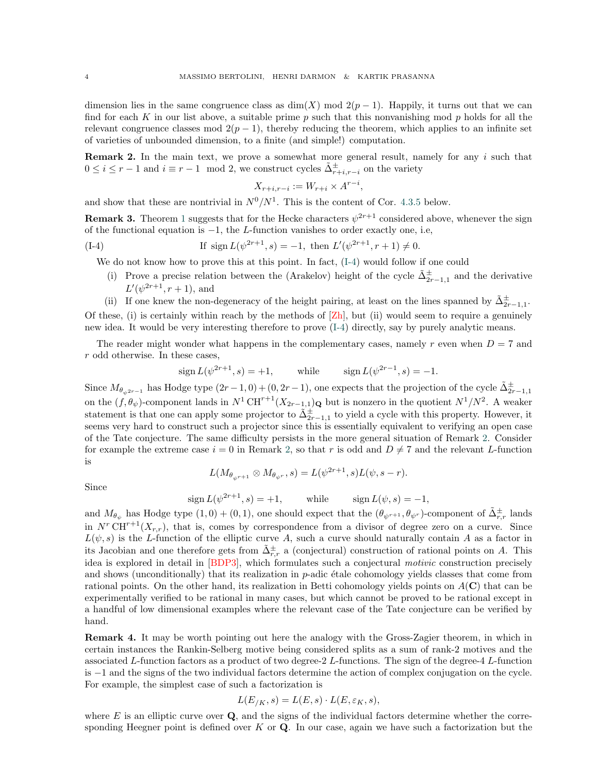dimension lies in the same congruence class as  $\dim(X) \mod 2(p-1)$ . Happily, it turns out that we can find for each K in our list above, a suitable prime  $p$  such that this nonvanishing mod  $p$  holds for all the relevant congruence classes mod  $2(p-1)$ , thereby reducing the theorem, which applies to an infinite set of varieties of unbounded dimension, to a finite (and simple!) computation.

<span id="page-3-1"></span>**Remark 2.** In the main text, we prove a somewhat more general result, namely for any  $i$  such that  $0 \leq i \leq r-1$  and  $i \equiv r-1 \mod 2$ , we construct cycles  $\tilde{\Delta}_{r+i,r-i}^{\pm}$  on the variety

<span id="page-3-0"></span>
$$
X_{r+i,r-i} := W_{r+i} \times A^{r-i},
$$

and show that these are nontrivial in  $N^0/N^1$ . This is the content of Cor. [4.3.5](#page-20-2) below.

**Remark 3.** Theorem [1](#page-1-2) suggests that for the Hecke characters  $\psi^{2r+1}$  considered above, whenever the sign of the functional equation is  $-1$ , the L-function vanishes to order exactly one, i.e,

(I-4) If sign 
$$
L(\psi^{2r+1}, s) = -1
$$
, then  $L'(\psi^{2r+1}, r+1) \neq 0$ .

We do not know how to prove this at this point. In fact,  $(I-4)$  $(I-4)$  would follow if one could

(i) Prove a precise relation between the (Arakelov) height of the cycle  $\tilde{\Delta}_{2r-1,1}^{\pm}$  and the derivative  $L'(\psi^{2r+1}, r+1)$ , and

(ii) If one knew the non-degeneracy of the height pairing, at least on the lines spanned by  $\tilde{\Delta}_{2r-1,1}^{\pm}$ . Of these, (i) is certainly within reach by the methods of  $[Zh]$ , but (ii) would seem to require a genuinely new idea. It would be very interesting therefore to prove  $(1-4)$  directly, say by purely analytic means.

The reader might wonder what happens in the complementary cases, namely r even when  $D = 7$  and r odd otherwise. In these cases,

sign 
$$
L(\psi^{2r+1}, s) = +1
$$
, while sign  $L(\psi^{2r-1}, s) = -1$ .

Since  $M_{\theta_{\psi^{2r-1}}}$  has Hodge type  $(2r-1,0)+(0,2r-1)$ , one expects that the projection of the cycle  $\tilde{\Delta}_{2r-1,1}^{\pm}$ on the  $(f, \theta_{\psi})$ -component lands in  $N^1 \text{CH}^{r+1}(X_{2r-1,1})_{\mathbf{Q}}$  but is nonzero in the quotient  $N^1/N^2$ . A weaker statement is that one can apply some projector to  $\tilde{\Delta}_{2r-1,1}^{\pm}$  to yield a cycle with this property. However, it seems very hard to construct such a projector since this is essentially equivalent to verifying an open case of the Tate conjecture. The same difficulty persists in the more general situation of Remark [2.](#page-3-1) Consider for example the extreme case  $i = 0$  in Remark [2,](#page-3-1) so that r is odd and  $D \neq 7$  and the relevant L-function is

$$
L(M_{\theta_{\psi^{r+1}}}\otimes M_{\theta_{\psi^r}},s)=L(\psi^{2r+1},s)L(\psi,s-r).
$$

Since

$$
\operatorname{sign} L(\psi^{2r+1}, s) = +1, \quad \text{while} \quad \operatorname{sign} L(\psi, s) = -1,
$$

and  $M_{\theta_{\psi}}$  has Hodge type  $(1,0) + (0,1)$ , one should expect that the  $(\theta_{\psi^{r+1}}, \theta_{\psi^r})$ -component of  $\tilde{\Delta}_{r,r}^{\pm}$  lands in  $N^r$  CH<sup>r+1</sup>( $X_{r,r}$ ), that is, comes by correspondence from a divisor of degree zero on a curve. Since  $L(\psi, s)$  is the L-function of the elliptic curve A, such a curve should naturally contain A as a factor in its Jacobian and one therefore gets from  $\tilde{\Delta}_{r,r}^{\pm}$  a (conjectural) construction of rational points on A. This idea is explored in detail in [\[BDP3\]](#page-45-7), which formulates such a conjectural *motivic* construction precisely and shows (unconditionally) that its realization in  $p$ -adic étale cohomology yields classes that come from rational points. On the other hand, its realization in Betti cohomology yields points on  $A(\mathbf{C})$  that can be experimentally verified to be rational in many cases, but which cannot be proved to be rational except in a handful of low dimensional examples where the relevant case of the Tate conjecture can be verified by hand.

Remark 4. It may be worth pointing out here the analogy with the Gross-Zagier theorem, in which in certain instances the Rankin-Selberg motive being considered splits as a sum of rank-2 motives and the associated L-function factors as a product of two degree-2 L-functions. The sign of the degree-4 L-function is −1 and the signs of the two individual factors determine the action of complex conjugation on the cycle. For example, the simplest case of such a factorization is

$$
L(E_{/K}, s) = L(E, s) \cdot L(E, \varepsilon_K, s),
$$

where  $E$  is an elliptic curve over  $Q$ , and the signs of the individual factors determine whether the corresponding Heegner point is defined over  $K$  or  $\mathbf Q$ . In our case, again we have such a factorization but the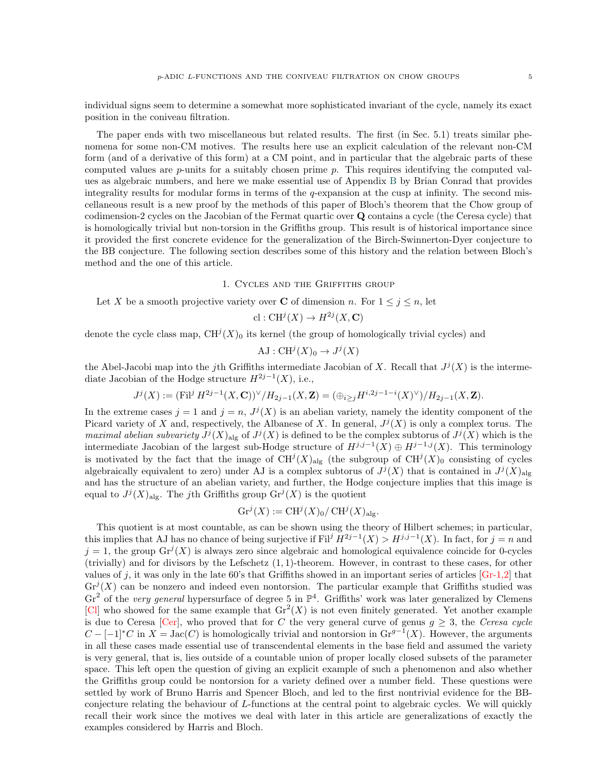individual signs seem to determine a somewhat more sophisticated invariant of the cycle, namely its exact position in the coniveau filtration.

The paper ends with two miscellaneous but related results. The first (in Sec. 5.1) treats similar phenomena for some non-CM motives. The results here use an explicit calculation of the relevant non-CM form (and of a derivative of this form) at a CM point, and in particular that the algebraic parts of these computed values are  $p$ -units for a suitably chosen prime  $p$ . This requires identifying the computed val- $\mu$  is a substituted value of  $P$  and  $\mu$  and  $\mu$  and  $\mu$  and  $\mu$ . Thus requires algebraic mumbers, and here we make essential use of Appendix [B](#page-29-0) by Brian Conrad that provides integrality results for modular forms in terms of the q-expansion at the cusp at infinity. The second miscellaneous result is a new proof by the methods of this paper of Bloch's theorem that the Chow group of codimension-2 cycles on the Jacobian of the Fermat quartic over Q contains a cycle (the Ceresa cycle) that is homologically trivial but non-torsion in the Griffiths group. This result is of historical importance since it provided the first concrete evidence for the generalization of the Birch-Swinnerton-Dyer conjecture to the BB conjecture. The following section describes some of this history and the relation between Bloch's method and the one of this article.

1. Cycles and the Griffiths group

<span id="page-4-0"></span>Let X be a smooth projective variety over C of dimension n. For  $1 \leq j \leq n$ , let

$$
\text{cl}: \text{CH}^j(X) \to H^{2j}(X, \mathbf{C})
$$

denote the cycle class map,  $CH^{j}(X)_{0}$  its kernel (the group of homologically trivial cycles) and

$$
\mathrm{AJ}: \mathrm{CH}^j(X)_0 \to J^j(X)
$$

the Abel-Jacobi map into the j<sup>th</sup> Griffiths intermediate Jacobian of X. Recall that  $J^{j}(X)$  is the intermediate Jacobian of the Hodge structure  $H^{2j-1}(X)$ , i.e.,

$$
J^{j}(X) := (\mathrm{Fil}^{j} H^{2j-1}(X, \mathbf{C}))^{\vee} / H_{2j-1}(X, \mathbf{Z}) = (\bigoplus_{i \geq j} H^{i, 2j-1-i}(X)^{\vee}) / H_{2j-1}(X, \mathbf{Z}).
$$

In the extreme cases  $j = 1$  and  $j = n$ ,  $J^{j}(X)$  is an abelian variety, namely the identity component of the Picard variety of X and, respectively, the Albanese of X. In general,  $J^{j}(X)$  is only a complex torus. The maximal abelian subvariety  $J^{j}(X)_{\text{alg}}$  of  $J^{j}(X)$  is defined to be the complex subtorus of  $J^{j}(X)$  which is the intermediate Jacobian of the largest sub-Hodge structure of  $H^{j,j-1}(X) \oplus H^{j-1,j}(X)$ . This terminology is motivated by the fact that the image of  $CH^{j}(X)_{\text{alg}}$  (the subgroup of  $CH^{j}(X)_{0}$  consisting of cycles algebraically equivalent to zero) under AJ is a complex subtorus of  $J^{j}(X)$  that is contained in  $J^{j}(X)_{\text{alg}}$ and has the structure of an abelian variety, and further, the Hodge conjecture implies that this image is equal to  $J^{j}(X)_{\text{alg}}$ . The *j*th Griffiths group  $\mathrm{Gr}^{j}(X)$  is the quotient

$$
Gr^j(X) := CH^j(X)_0 / CH^j(X)_{\text{alg}}.
$$

This quotient is at most countable, as can be shown using the theory of Hilbert schemes; in particular, this implies that AJ has no chance of being surjective if Fil<sup>j</sup>  $H^{2j-1}(X) > H^{j,j-1}(X)$ . In fact, for  $j = n$  and  $j = 1$ , the group  $\text{Gr}^{j}(X)$  is always zero since algebraic and homological equivalence coincide for 0-cycles  $(t)$  trivially) and for divisors by the Lefschetz  $(1, 1)$ -theorem. However, in contrast to these cases, for other values of j, it was only in the late 60's that Griffiths showed in an important series of articles  $[Gr-1,2]$  that  $\text{Gr}^j(X)$  can be nonzero and indeed even nontorsion. The particular example that Griffiths studied was  $Gr^2$  of the *very general* hypersurface of degree 5 in  $\mathbb{P}^4$ . Griffiths' work was later generalized by Clemens [\[Cl\]](#page-45-9) who showed for the same example that  $\text{Gr}^2(X)$  is not even finitely generated. Yet another example is due to Ceresa  $[Per]$ , who proved that for C the very general curve of genus  $g \geq 3$ , the Ceresa cycle  $C - [-1]^*C$  in  $X = \text{Jac}(C)$  is homologically trivial and nontorsion in  $\text{Gr}^{g-1}(X)$ . However, the arguments in all these cases made essential use of transcendental elements in the base field and assumed the variety is very general, that is, lies outside of a countable union of proper locally closed subsets of the parameter space. This left open the question of giving an explicit example of such a phenomenon and also whether the Griffiths group could be nontorsion for a variety defined over a number field. These questions were settled by work of Bruno Harris and Spencer Bloch, and led to the first nontrivial evidence for the BBconjecture relating the behaviour of L-functions at the central point to algebraic cycles. We will quickly recall their work since the motives we deal with later in this article are generalizations of exactly the examples considered by Harris and Bloch.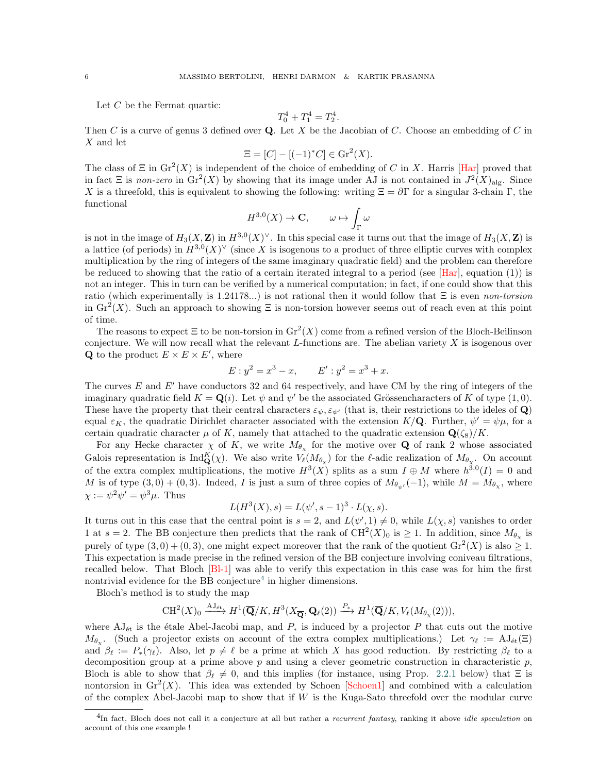Let C be the Fermat quartic:

$$
T_0^4 + T_1^4 = T_2^4.
$$

Then C is a curve of genus 3 defined over  $Q$ . Let X be the Jacobian of C. Choose an embedding of C in X and let

$$
\Xi = [C] - [(-1)^*C] \in \mathrm{Gr}^2(X).
$$

The class of  $\Xi$  in  $\text{Gr}^2(X)$  is independent of the choice of embedding of C in X. Harris [\[Har\]](#page-45-11) proved that in fact  $\Xi$  is non-zero in  $\text{Gr}^2(X)$  by showing that its image under AJ is not contained in  $J^2(X)_{\text{alg}}$ . Since X is a threefold, this is equivalent to showing the following: writing  $\Xi = \partial \Gamma$  for a singular 3-chain Γ, the functional

$$
H^{3,0}(X) \to \mathbf{C}, \qquad \omega \mapsto \int_{\Gamma} \omega
$$

is not in the image of  $H_3(X, \mathbf{Z})$  in  $H^{3,0}(X)^\vee$ . In this special case it turns out that the image of  $H_3(X, \mathbf{Z})$  is a lattice (of periods) in  $H^{3,0}(X)^\vee$  (since X is isogenous to a product of three elliptic curves with complex multiplication by the ring of integers of the same imaginary quadratic field) and the problem can therefore be reduced to showing that the ratio of a certain iterated integral to a period (see  $[Har]$ , equation (1)) is not an integer. This in turn can be verified by a numerical computation; in fact, if one could show that this ratio (which experimentally is 1.24178...) is not rational then it would follow that  $\Xi$  is even non-torsion in  $\text{Gr}^2(X)$ . Such an approach to showing  $\Xi$  is non-torsion however seems out of reach even at this point of time.

The reasons to expect  $\Xi$  to be non-torsion in  $\text{Gr}^2(X)$  come from a refined version of the Bloch-Beilinson conjecture. We will now recall what the relevant  $L$ -functions are. The abelian variety  $X$  is isogenous over **Q** to the product  $E \times E \times E'$ , where

$$
E: y^2 = x^3 - x, \qquad E': y^2 = x^3 + x.
$$

The curves  $E$  and  $E'$  have conductors 32 and 64 respectively, and have CM by the ring of integers of the imaginary quadratic field  $K = \mathbf{Q}(i)$ . Let  $\psi$  and  $\psi'$  be the associated Grössencharacters of K of type  $(1,0)$ . These have the property that their central characters  $\varepsilon_{\psi}, \varepsilon_{\psi'}$  (that is, their restrictions to the ideles of Q) equal  $\varepsilon_K$ , the quadratic Dirichlet character associated with the extension  $K/\mathbf{Q}$ . Further,  $\psi' = \psi \mu$ , for a certain quadratic character  $\mu$  of K, namely that attached to the quadratic extension  $\mathbf{Q}(\zeta_8)/K$ .

For any Hecke character  $\chi$  of K, we write  $M_{\theta_{\chi}}$  for the motive over Q of rank 2 whose associated Galois representation is  $\text{Ind}_{\mathbf{Q}}^{K}(\chi)$ . We also write  $V_{\ell}(M_{\theta_{\chi}})$  for the  $\ell$ -adic realization of  $M_{\theta_{\chi}}$ . On account of the extra complex multiplications, the motive  $H^3(X)$  splits as a sum  $I \oplus M$  where  $h^{3,0}(I) = 0$  and M is of type  $(3,0) + (0,3)$ . Indeed, I is just a sum of three copies of  $M_{\theta_{\psi'}}(-1)$ , while  $M = M_{\theta_{\chi}}$ , where  $\chi := \psi^2 \psi' = \psi^3 \mu$ . Thus

$$
L(H^{3}(X), s) = L(\psi', s - 1)^{3} \cdot L(\chi, s).
$$

It turns out in this case that the central point is  $s = 2$ , and  $L(\psi', 1) \neq 0$ , while  $L(\chi, s)$  vanishes to order 1 at  $s = 2$ . The BB conjecture then predicts that the rank of  $CH^2(X)_0$  is  $\geq 1$ . In addition, since  $M_{\theta_\chi}$  is purely of type  $(3,0) + (0,3)$ , one might expect moreover that the rank of the quotient  $\text{Gr}^2(X)$  is also  $\geq 1$ . This expectation is made precise in the refined version of the BB conjecture involving coniveau filtrations, rms expectation is made presse in the remed version of the *BB* conjecture involving conveau intriduous;<br>recalled below. That Bloch [\[Bl-1\]](#page-45-3) was able to verify this expectation in this case was for him the first nontrivial evidence for the BB conjecture<sup>[4](#page-5-0)</sup> in higher dimensions.

Bloch's method is to study the map

$$
CH^2(X)_0 \xrightarrow{A J_{\text{\'et}}} H^1(\overline{\mathbf{Q}}/K, H^3(X_{\overline{\mathbf{Q}}}, \mathbf{Q}_{\ell}(2)) \xrightarrow{P_*} H^1(\overline{\mathbf{Q}}/K, V_{\ell}(M_{\theta_{\chi}}(2))),
$$

where  $AJ_{\text{\'et}}$  is the étale Abel-Jacobi map, and  $P_*$  is induced by a projector P that cuts out the motive  $M_{\theta_\chi}$ . (Such a projector exists on account of the extra complex multiplications.) Let  $\gamma_\ell := AJ_{\text{\'et}}(\Xi)$ and  $\beta_\ell := P_*(\gamma_\ell)$ . Also, let  $p \neq \ell$  be a prime at which X has good reduction. By restricting  $\beta_\ell$  to a decomposition group at a prime above p and using a clever geometric construction in characteristic p, Bloch is able to show that  $\beta_{\ell} \neq 0$ , and this implies (for instance, using Prop. [2.2.1](#page-7-2) below) that  $\Xi$  is nontorsion in  $\text{Gr}^2(X)$ . This idea was extended by Schoen [\[Schoen1\]](#page-45-12) and combined with a calculation of the complex Abel-Jacobi map to show that if  $W$  is the Kuga-Sato threefold over the modular curve

<span id="page-5-0"></span> ${}^{4}$ In fact, Bloch does not call it a conjecture at all but rather a *recurrent fantasy*, ranking it above *idle speculation* on account of this one example !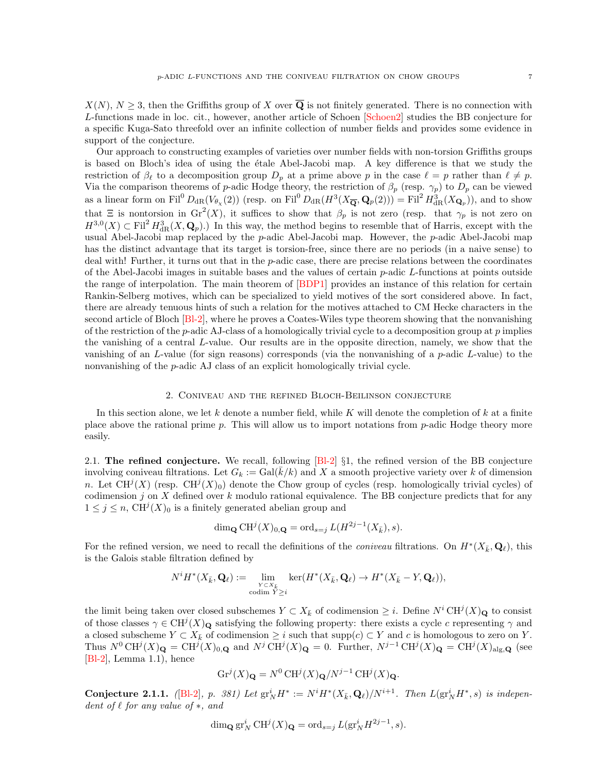$X(N)$ ,  $N > 3$ , then the Griffiths group of X over  $\overline{Q}$  is not finitely generated. There is no connection with  $L$ -functions made in loc. cit., however, another article of Schoen  $[\text{Schoen2}]$  studies the BB conjecture for a specific Kuga-Sato threefold over an infinite collection of number fields and provides some evidence in support of the conjecture.

Our approach to constructing examples of varieties over number fields with non-torsion Griffiths groups is based on Bloch's idea of using the ´etale Abel-Jacobi map. A key difference is that we study the restriction of  $\beta_\ell$  to a decomposition group  $D_p$  at a prime above p in the case  $\ell = p$  rather than  $\ell \neq p$ . Via the comparison theorems of p-adic Hodge theory, the restriction of  $\beta_p$  (resp.  $\gamma_p$ ) to  $D_p$  can be viewed as a linear form on Fil<sup>0</sup>  $D_{dR}(V_{\theta_X}(2))$  (resp. on Fil<sup>0</sup>  $D_{dR}(H^3(X_{\overline{\mathbf{Q}}},\mathbf{Q}_p(2))) =$  Fil<sup>2</sup>  $H^3_{dR}(X_{\mathbf{Q}_p})$ ), and to show that  $\Xi$  is nontorsion in  $\mathrm{Gr}^2(X)$ , it suffices to show that  $\beta_p$  is not zero (resp. that  $\gamma_p$  is not zero on  $H^{3,0}(X) \subset \text{Fil}^2 H^3_{\text{dR}}(X,\mathbf{Q}_p)$ .) In this way, the method begins to resemble that of Harris, except with the usual Abel-Jacobi map replaced by the  $p$ -adic Abel-Jacobi map. However, the  $p$ -adic Abel-Jacobi map has the distinct advantage that its target is torsion-free, since there are no periods (in a naive sense) to deal with! Further, it turns out that in the p-adic case, there are precise relations between the coordinates of the Abel-Jacobi images in suitable bases and the values of certain  $p$ -adic  $L$ -functions at points outside the range of interpolation. The main theorem of  $[BDP1]$  provides an instance of this relation for certain theorem of  $[BDP1]$  provides an instance of this relation for certain Rankin-Selberg motives, which can be specialized to yield motives of the sort considered above. In fact, there are already tenuous hints of such a relation for the motives attached to CM Hecke characters in the second article of Bloch [\[Bl-2\]](#page-45-4), where he proves a Coates-Wiles type theorem showing that the nonvanishing of the restriction of the p-adic AJ-class of a homologically trivial cycle to a decomposition group at  $p$  implies the vanishing of a central L-value. Our results are in the opposite direction, namely, we show that the vanishing of an L-value (for sign reasons) corresponds (via the nonvanishing of a p-adic L-value) to the nonvanishing of the  $p$ -adic AJ class of an explicit homologically trivial cycle.

### 2. Coniveau and the refined Bloch-Beilinson conjecture

<span id="page-6-0"></span>In this section alone, we let k denote a number field, while K will denote the completion of  $k$  at a finite place above the rational prime  $p$ . This will allow us to import notations from  $p$ -adic Hodge theory more easily.

<span id="page-6-1"></span>2.1. The refined conjecture. We recall, following  $[Bl-2]$  §1, the refined version of the BB conjecture involving coniveau filtrations. Let  $G_k := \text{Gal}(k/k)$  and X a smooth projective variety over k of dimension n. Let  $CH^{j}(X)$  (resp.  $CH^{j}(X)_{0}$ ) denote the Chow group of cycles (resp. homologically trivial cycles) of codimension j on X defined over k modulo rational equivalence. The BB conjecture predicts that for any  $1 \leq j \leq n$ ,  $CH^{j}(X)_{0}$  is a finitely generated abelian group and

$$
\dim_{\mathbf{Q}} \mathrm{CH}^j(X)_{0,\mathbf{Q}} = \mathrm{ord}_{s=j} L(H^{2j-1}(X_{\bar{k}}), s).
$$

For the refined version, we need to recall the definitions of the *coniveau* filtrations. On  $H^*(X_{\bar{k}}, \mathbf{Q}_\ell)$ , this is the Galois stable filtration defined by

$$
N^i H^*(X_{\bar{k}}, \mathbf{Q}_{\ell}) := \lim_{\substack{Y \subset X_{\bar{k}} \\ \text{codim } Y \geq i}} \ker(H^*(X_{\bar{k}}, \mathbf{Q}_{\ell}) \to H^*(X_{\bar{k}} - Y, \mathbf{Q}_{\ell})),
$$

the limit being taken over closed subschemes  $Y \subset X_{\bar{k}}$  of codimension  $\geq i$ . Define  $N^i \text{CH}^j(X)_{\mathbf{Q}}$  to consist of those classes  $\gamma \in \mathrm{CH}^j(X)_{\mathbf{Q}}$  satisfying the following property: there exists a cycle c representing  $\gamma$  and a closed subscheme  $Y \subset X_{\bar{k}}$  of codimension  $\geq i$  such that supp $(c) \subset Y$  and c is homologous to zero on Y. Thus  $N^0 \text{CH}^j(X)_{\mathbf{Q}} = \text{CH}^j(X)_{0,\mathbf{Q}}$  and  $N^j \text{CH}^j(X)_{\mathbf{Q}} = 0$ . Further,  $N^{j-1} \text{CH}^j(X)_{\mathbf{Q}} = \text{CH}^j(X)_{\text{alg},\mathbf{Q}}$  (see [\[Bl-2\]](#page-45-4), Lemma 1.1), hence

$$
Gr^{j}(X)_{\mathbf{Q}} = N^{0} \operatorname{CH}^{j}(X)_{\mathbf{Q}} / N^{j-1} \operatorname{CH}^{j}(X)_{\mathbf{Q}}.
$$

Conjecture 2.1.1. ([\[Bl-2\]](#page-45-4), p. 381) Let  $gr_N^i H^* := N^i H^*(X_{\bar{k}}, \mathbf{Q}_\ell)/N^{i+1}$ . Then  $L(gr_N^i H^*, s)$  is independent of  $\ell$  for any value of  $*$ , and

$$
\dim_{\mathbf{Q}} \operatorname{gr}^i_N \operatorname{CH}^j(X)_{\mathbf{Q}} = \operatorname{ord}_{s=j} L(\operatorname{gr}^i_N H^{2j-1}, s).
$$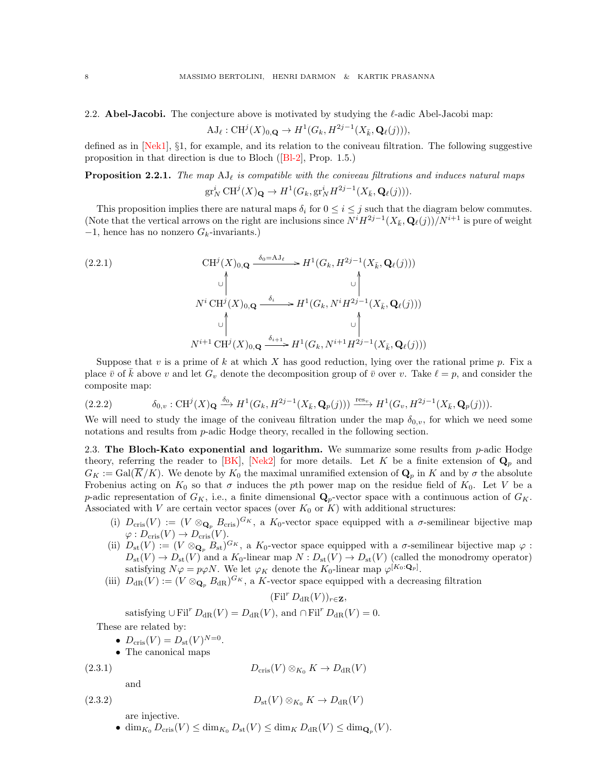<span id="page-7-0"></span>2.2. **Abel-Jacobi.** The conjecture above is motivated by studying the  $\ell$ -adic Abel-Jacobi map:

$$
\mathrm{AJ}_{\ell}: \mathrm{CH}^j(X)_{0,\mathbf{Q}} \to H^1(G_k, H^{2j-1}(X_{\bar{k}}, \mathbf{Q}_{\ell}(j))),
$$

defined as in  $[Nek1]$ , §1, for example, and its relation to the coniveau filtration. The following suggestive proposition in that direction is due to Bloch  $([BI-2]$ , Prop. 1.5.)

<span id="page-7-2"></span>**Proposition 2.2.1.** The map  $\text{AJ}_\ell$  is compatible with the coniveau filtrations and induces natural maps

$$
\operatorname{gr}^i_N \operatorname{CH}^j(X)_{{\mathbf{Q}}} \to H^1(G_k, \operatorname{gr}^i_N H^{2j-1}(X_{\bar{k}}, {\mathbf{Q}}_\ell(j))).
$$

This proposition implies there are natural maps  $\delta_i$  for  $0 \leq i \leq j$  such that the diagram below commutes. (Note that the vertical arrows on the right are inclusions since  $N^{i}H^{2j-1}(X_{\bar{k}}, \mathbf{Q}_{\ell}(j))/N^{i+1}$  is pure of weight  $-1$ , hence has no nonzero  $G_k$ -invariants.)

$$
(2.2.1)
$$
\n
$$
\text{CH}^{j}(X)_{0,\mathbf{Q}} \xrightarrow{\delta_{0} = \mathbf{A}J_{\ell}} H^{1}(G_{k}, H^{2j-1}(X_{\bar{k}}, \mathbf{Q}_{\ell}(j)))
$$
\n
$$
\text{N}^{i} \text{CH}^{j}(X)_{0,\mathbf{Q}} \xrightarrow{\delta_{i}} H^{1}(G_{k}, N^{i} H^{2j-1}(X_{\bar{k}}, \mathbf{Q}_{\ell}(j)))
$$
\n
$$
\text{N}^{i+1} \text{CH}^{j}(X)_{0,\mathbf{Q}} \xrightarrow{\delta_{i+1}} H^{1}(G_{k}, N^{i+1} H^{2j-1}(X_{\bar{k}}, \mathbf{Q}_{\ell}(j)))
$$

Suppose that v is a prime of k at which X has good reduction, lying over the rational prime p. Fix a place  $\bar{v}$  of k above v and let  $G_v$  denote the decomposition group of  $\bar{v}$  over v. Take  $\ell = p$ , and consider the composite map:

$$
(2.2.2) \qquad \delta_{0,v}: \mathrm{CH}^j(X)_{\mathbf{Q}} \xrightarrow{\delta_0} H^1(G_k, H^{2j-1}(X_{\bar{k}}, \mathbf{Q}_p(j))) \xrightarrow{\mathrm{res}_v} H^1(G_v, H^{2j-1}(X_{\bar{k}}, \mathbf{Q}_p(j))).
$$

<span id="page-7-5"></span>We will need to study the image of the coniveau filtration under the map  $\delta_{0,v}$ , for which we need some notations and results from *p*-adic Hodge theory, recalled in the following section.

<span id="page-7-1"></span>2.3. The Bloch-Kato exponential and logarithm. We summarize some results from  $p$ -adic Hodge theory, referring the reader to  $[BK]$ ,  $[Nek2]$  for more details. Let K be a finite extension of  $\mathbf{Q}_p$  and  $G_K := \text{Gal}(\overline{K}/K)$ . We denote by  $K_0$  the maximal unramified extension of  $\mathbf{Q}_p$  in K and by  $\sigma$  the absolute Frobenius acting on  $K_0$  so that  $\sigma$  induces the pth power map on the residue field of  $K_0$ . Let V be a p-adic representation of  $G_K$ , i.e., a finite dimensional  $\mathbf{Q}_p$ -vector space with a continuous action of  $G_K$ . Associated with V are certain vector spaces (over  $K_0$  or  $K$ ) with additional structures:

- (i)  $D_{\text{cris}}(V) := (V \otimes_{\mathbf{Q}_p} B_{\text{cris}})^{G_K}$ , a  $K_0$ -vector space equipped with a  $\sigma$ -semilinear bijective map  $\varphi: D_{\mathrm{cris}}(V) \to D_{\mathrm{cris}}(V).$
- (ii)  $D_{\rm st}(V) := (V \otimes_{\mathbf{Q}_p} B_{\rm st})^{G_K}$ , a  $K_0$ -vector space equipped with a  $\sigma$ -semilinear bijective map  $\varphi$ :  $D_{st}(V) \to D_{st}(V)$  and a  $K_0$ -linear map  $N: D_{st}(V) \to D_{st}(V)$  (called the monodromy operator) satisfying  $N\varphi = p\varphi N$ . We let  $\varphi_K$  denote the  $K_0$ -linear map  $\varphi^{[K_0:\mathbf{Q}_p]}$ .
- (iii)  $D_{\rm dR}(V) := (V \otimes_{\mathbf{Q}_p} B_{\rm dR})^{G_K}$ , a K-vector space equipped with a decreasing filtration

<span id="page-7-4"></span><span id="page-7-3"></span> $(Fil^r D_{\text{dR}}(V))_{r\in\mathbf{Z}},$ 

satisfying  $\cup$  Fil<sup>r</sup>  $D_{\text{dR}}(V) = D_{\text{dR}}(V)$ , and  $\cap$  Fil<sup>r</sup>  $D_{\text{dR}}(V) = 0$ .

These are related by:

- $D_{\text{cris}}(V) = D_{\text{st}}(V)^{N=0}$ .
- The canonical maps

$$
(2.3.1
$$

(1)  $D_{\text{cris}}(V) \otimes_{K_0} K \to D_{\text{dR}}(V)$ 

and

$$
(2.3.2) \t\t Dst(V) \otimes_{K_0} K \to DdR(V)
$$

are injective.

•  $\dim_{K_0} D_{\mathrm{cris}}(V) \le \dim_{K_0} D_{\mathrm{st}}(V) \le \dim_K D_{\mathrm{dR}}(V) \le \dim_{\mathbf{Q}_p}(V).$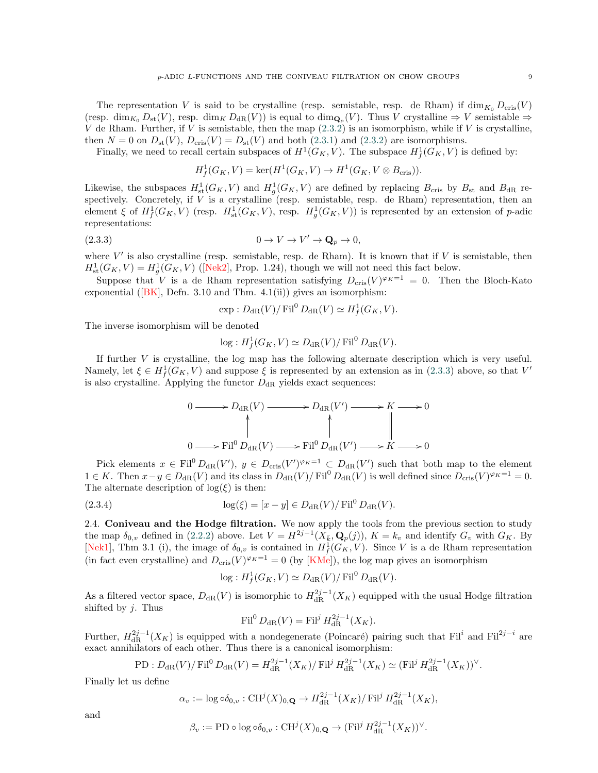The representation V is said to be crystalline (resp. semistable, resp. de Rham) if  $\dim_{K_0} D_{\text{cris}}(V)$  $(\text{resp. } \dim_{K_0} D_{\text{st}}(V), \text{ resp. } \dim_K D_{\text{dR}}(V))$  is equal to  $\dim_{\mathbf{Q}_{\mathcal{P}}}(V)$ . Thus V crystalline  $\Rightarrow V$  semistable  $\Rightarrow$ V de Rham. Further, if V is semistable, then the map  $(2.3.2)$  $(2.3.2)$  is an isomorphism, while if V is crystalline, then  $N = 0$  on  $D_{\text{st}}(V)$ ,  $D_{\text{cris}}(V) = D_{\text{st}}(V)$  and both ([2.3.1\)](#page-7-4) and ([2.3.2\)](#page-7-3) are isomorphisms.

Finally, we need to recall certain subspaces of  $H^1(G_K, V)$ . The subspace  $H^1_f(G_K, V)$  is defined by:

$$
H^1_{{f}}(G_K, V) = \ker(H^1(G_K, V) \to H^1(G_K, V \otimes B_{\mathrm{cris}})).
$$

Likewise, the subspaces  $H^1_{st}(G_K, V)$  and  $H^1_g(G_K, V)$  are defined by replacing  $B_{\text{cris}}$  by  $B_{st}$  and  $B_{dR}$  respectively. Concretely, if  $V$  is a crystalline (resp. semistable, resp. de Rham) representation, then an element ξ of  $H_f^1(G_K, V)$  (resp.  $H_s^1(G_K, V)$ , resp.  $H_g^1(G_K, V)$ ) is represented by an extension of p-adic representations:

$$
(2.3.3) \t\t 0 \to V \to V' \to \mathbf{Q}_p \to 0,
$$

where  $V'$  is also crystalline (resp. semistable, resp. de Rham). It is known that if  $V$  is semistable, then  $H<sub>st</sub><sup>1</sup>(G<sub>K</sub>, V) = H<sub>g</sub><sup>1</sup>(G<sub>K</sub>, V)$  ([\[Nek2\]](#page-45-16), Prop. 1.24), though we will not need this fact below.

Suppose that V is a de Rham representation satisfying  $D_{\text{cris}}(V)^{\varphi_K=1} = 0$ . Then the Bloch-Kato exponential ( $|BK|$ , Defn. 3.10 and Thm. 4.1(ii)) gives an isomorphism:

<span id="page-8-1"></span>
$$
\exp: D_{\mathrm{dR}}(V) / \mathrm{Fil}^0 D_{\mathrm{dR}}(V) \simeq H^1_f(G_K, V).
$$

The inverse isomorphism will be denoted

$$
\log : H^1_f(G_K, V) \simeq D_{\text{dR}}(V) / \text{Fil}^0 D_{\text{dR}}(V).
$$

If further V is crystalline, the log map has the following alternate description which is very useful. Namely, let  $\xi \in H_f^1(G_K, V)$  and suppose  $\xi$  is represented by an extension as in ([2.3.3\)](#page-8-1) above, so that  $V'$ is also crystalline. Applying the functor  $D_{\rm dR}$  yields exact sequences:

$$
0 \longrightarrow D_{\mathrm{dR}}(V) \longrightarrow D_{\mathrm{dR}}(V') \longrightarrow K \longrightarrow 0
$$
  
\n
$$
0 \longrightarrow \mathrm{Fil}^{0} D_{\mathrm{dR}}(V) \longrightarrow \mathrm{Fil}^{0} D_{\mathrm{dR}}(V') \longrightarrow K \longrightarrow 0
$$

Pick elements  $x \in \text{Fil}^0 D_{\text{dR}}(V')$ ,  $y \in D_{\text{cris}}(V')^{\varphi_K=1} \subset D_{\text{dR}}(V')$  such that both map to the element 1 ∈ K. Then  $x - y \in D_{\text{dR}}(V)$  and its class in  $D_{\text{dR}}(V)/\text{Fil}^0 D_{\text{dR}}(V)$  is well defined since  $D_{\text{cris}}(V)^{\varphi_K=1} = 0$ . The alternate description of  $log(\xi)$  is then:

(2.3.4) 
$$
\log(\xi) = [x - y] \in D_{\text{dR}}(V) / \text{Fil}^0 D_{\text{dR}}(V).
$$

<span id="page-8-0"></span>2.4. Coniveau and the Hodge filtration. We now apply the tools from the previous section to study the map  $\delta_{0,v}$  defined in ([2.2.2\)](#page-7-5) above. Let  $V = H^{2j-1}(X_k, \mathbf{Q}_p(j))$ ,  $K = k_v$  and identify  $G_v$  with  $G_K$ . By [\[Nek1\]](#page-45-14), Thm 3.1 (i), the image of  $\delta_{0,v}$  is contained in  $H^1_f(G_K, V)$ . Since V is a de Rham representation (in fact even crystalline) and  $D_{\text{cris}}(V)^{\varphi_K=1} = 0$  (by [\[KMe\]](#page-45-17)), the log map gives an isomorphism

$$
\log: H^1_f(G_K, V) \simeq D_{\text{dR}}(V) / \text{Fil}^0 D_{\text{dR}}(V).
$$

As a filtered vector space,  $D_{dR}(V)$  is isomorphic to  $H_{dR}^{2j-1}(X_K)$  equipped with the usual Hodge filtration shifted by  $j$ . Thus

$$
\operatorname{Fil}^0 D_{\mathrm{dR}}(V) = \operatorname{Fil}^j H_{\mathrm{dR}}^{2j-1}(X_K).
$$

Further,  $H_{\text{dR}}^{2j-1}(X_K)$  is equipped with a nondegenerate (Poincaré) pairing such that Fil<sup>i</sup> and Fil<sup>2j-i</sup> are exact annihilators of each other. Thus there is a canonical isomorphism:

PD: 
$$
D_{\text{dR}}(V)/\text{Fil}^0 D_{\text{dR}}(V) = H_{\text{dR}}^{2j-1}(X_K)/\text{Fil}^j H_{\text{dR}}^{2j-1}(X_K) \simeq (\text{Fil}^j H_{\text{dR}}^{2j-1}(X_K))^{\vee}.
$$

Finally let us define

$$
\alpha_v := \log \circ \delta_{0,v} : \mathrm{CH}^j(X)_{0,\mathbf{Q}} \to H^{2j-1}_{\mathrm{dR}}(X_K) / \mathrm{Fil}^j H^{2j-1}_{\mathrm{dR}}(X_K),
$$

and

$$
\beta_v := \text{PD} \circ \log \circ \delta_{0,v} : \text{CH}^j(X)_{0,\mathbf{Q}} \to (\text{Fil}^j H^{2j-1}_{\text{dR}}(X_K))^{\vee}
$$

.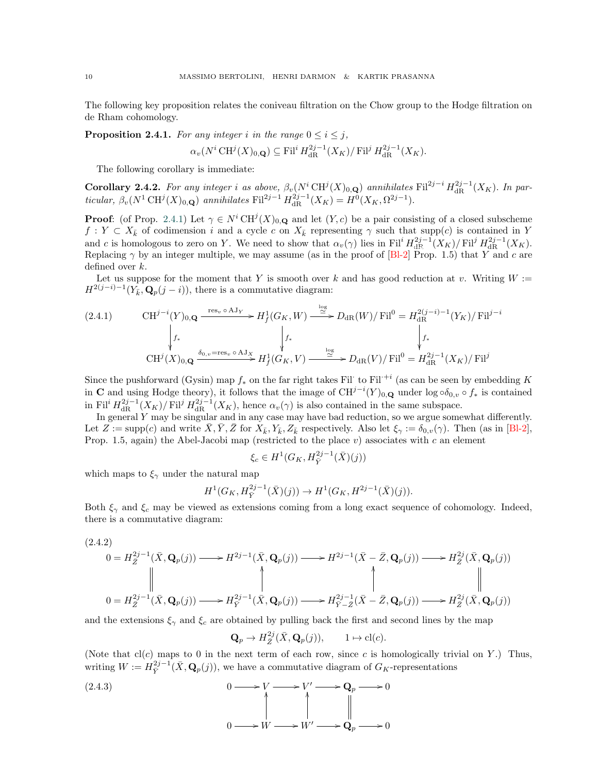The following key proposition relates the coniveau filtration on the Chow group to the Hodge filtration on de Rham cohomology.

<span id="page-9-0"></span>**Proposition 2.4.1.** For any integer i in the range  $0 \le i \le j$ ,

$$
\alpha_v(N^i \operatorname{CH}^j(X)_{0,\mathbf{Q}}) \subseteq \operatorname{Fil}^i H^{2j-1}_{\operatorname{dR}^n}(X_K)/\operatorname{Fil}^j H^{2j-1}_{\operatorname{dR}^n}(X_K).
$$

<span id="page-9-1"></span>The following corollary is immediate:

**Corollary 2.4.2.** For any integer i as above,  $\beta_v(N^i \text{CH}^j(X)_{0,\mathbf{Q}})$  annihilates Fil<sup>2j-i</sup>  $H_{\text{dR}}^{2j-1}(X_K)$ . In particular,  $\beta_v(N^1 \text{ CH}^j(X)_{0,\mathbf{Q}})$  annihilates Fil<sup>2j-1</sup>  $H_{\text{dR}}^{2j-1}(X_K) = H^0(X_K, \Omega^{2j-1}).$ 

> **Proof:** (of Prop. [2.4.1\)](#page-9-0) Let  $\gamma \in N^i \text{CH}^j(X)_{0,\mathbf{Q}}$  and let  $(Y, c)$  be a pair consisting of a closed subscheme  $f: Y \subset X_{\bar{k}}$  of codimension i and a cycle c on  $X_{\bar{k}}$  representing  $\gamma$  such that supp(c) is contained in Y and c is homologous to zero on Y. We need to show that  $\alpha_v(\gamma)$  lies in Fil<sup>i</sup>  $H_{\text{dR}}^{2j-1}(X_K)/\text{Fil}^j H_{\text{dR}}^{2j-1}(X_K)$ . Replacing  $\gamma$  by an integer multiple, we may assume (as in the proof of [\[Bl-2\]](#page-45-4) Prop. 1.5) that Y and c are defined over k.

> Let us suppose for the moment that Y is smooth over k and has good reduction at v. Writing  $W :=$  $H^{2(j-i)-1}(Y_{\bar{k}}, \mathbf{Q}_p(j-i)),$  there is a commutative diagram:

$$
(2.4.1) \t\t CH^{j-i}(Y)_{0,\mathbf{Q}} \xrightarrow{\text{res}_v \circ \text{AJ}_Y} H^1_f(G_K, W) \xrightarrow{\text{log}} D_{\text{dR}}(W) / \text{Fil}^0 = H^{2(j-i)-1}_{\text{dR}}(Y_K) / \text{Fil}^{j-i}
$$
\n
$$
\downarrow f_*
$$
\n
$$
\text{CH}^j(X)_{0,\mathbf{Q}} \xrightarrow{\delta_{0,v} = \text{res}_v \circ \text{AJ}_X} H^1_f(G_K, V) \xrightarrow{\text{log}} D_{\text{dR}}(V) / \text{Fil}^0 = H^{2j-1}_{\text{dR}}(X_K) / \text{Fil}^j
$$

Since the pushforward (Gysin) map  $f_*$  on the far right takes Fil to Fil<sup> $+i$ </sup> (as can be seen by embedding K in C and using Hodge theory), it follows that the image of  $CH^{j-i}(Y)_{0,\mathbf{Q}}$  under  $\log \circ \delta_{0,v} \circ f_*$  is contained in Fil<sup>i</sup>  $H_{\text{dR}}^{2j-1}(X_K)/\text{Fil}^j H_{\text{dR}}^{2j-1}(X_K)$ , hence  $\alpha_v(\gamma)$  is also contained in the same subspace.

In general Y may be singular and in any case may have bad reduction, so we argue somewhat differently. Let  $Z := \text{supp}(c)$  and write  $\overline{X}, \overline{Y}, \overline{Z}$  for  $X_{\overline{k}}, Y_{\overline{k}}, Z_{\overline{k}}$  respectively. Also let  $\xi_{\gamma} := \delta_{0,v}(\gamma)$ . Then (as in [\[Bl-2\]](#page-45-4), Prop. 1.5, again) the Abel-Jacobi map (restricted to the place  $v$ ) associates with c an element

$$
\xi_c \in H^1(G_K, H_{\bar{Y}}^{2j-1}(\bar{X})(j))
$$

which maps to  $\xi_{\gamma}$  under the natural map

$$
H^1(G_K, H_{\bar{Y}}^{2j-1}(\bar{X})(j)) \to H^1(G_K, H^{2j-1}(\bar{X})(j)).
$$

Both  $\xi_{\gamma}$  and  $\xi_c$  may be viewed as extensions coming from a long exact sequence of cohomology. Indeed, there is a commutative diagram:

$$
(2.4.2)
$$
\n
$$
0 = H_{\overline{Z}}^{2j-1}(\overline{X}, \mathbf{Q}_p(j)) \longrightarrow H^{2j-1}(\overline{X}, \mathbf{Q}_p(j)) \longrightarrow H^{2j-1}(\overline{X} - \overline{Z}, \mathbf{Q}_p(j)) \longrightarrow H_{\overline{Z}}^{2j}(\overline{X}, \mathbf{Q}_p(j))
$$
\n
$$
0 = H_{\overline{Z}}^{2j-1}(\overline{X}, \mathbf{Q}_p(j)) \longrightarrow H_{\overline{Y}}^{2j-1}(\overline{X}, \mathbf{Q}_p(j)) \longrightarrow H_{\overline{Y} - \overline{Z}}^{2j-1}(\overline{X} - \overline{Z}, \mathbf{Q}_p(j)) \longrightarrow H_{\overline{Z}}^{2j}(\overline{X}, \mathbf{Q}_p(j))
$$

and the extensions  $\xi_{\gamma}$  and  $\xi_c$  are obtained by pulling back the first and second lines by the map

$$
\mathbf{Q}_p \to H^{2j}_{\bar{Z}}(\bar{X}, \mathbf{Q}_p(j)), \qquad 1 \mapsto \text{cl}(c).
$$

(Note that  $cl(c)$  maps to 0 in the next term of each row, since c is homologically trivial on Y.) Thus, writing  $W := H^{2j-1}_{\bar{Y}}(\bar{X}, \mathbf{Q}_p(j))$ , we have a commutative diagram of  $G_K$ -representations

(2.4.3) 
$$
0 \longrightarrow V \longrightarrow V' \longrightarrow \mathbf{Q}_p \longrightarrow 0
$$

$$
0 \longrightarrow W \longrightarrow W' \longrightarrow \mathbf{Q}_p \longrightarrow 0
$$

$$
0 \longrightarrow W \longrightarrow W' \longrightarrow \mathbf{Q}_p \longrightarrow 0
$$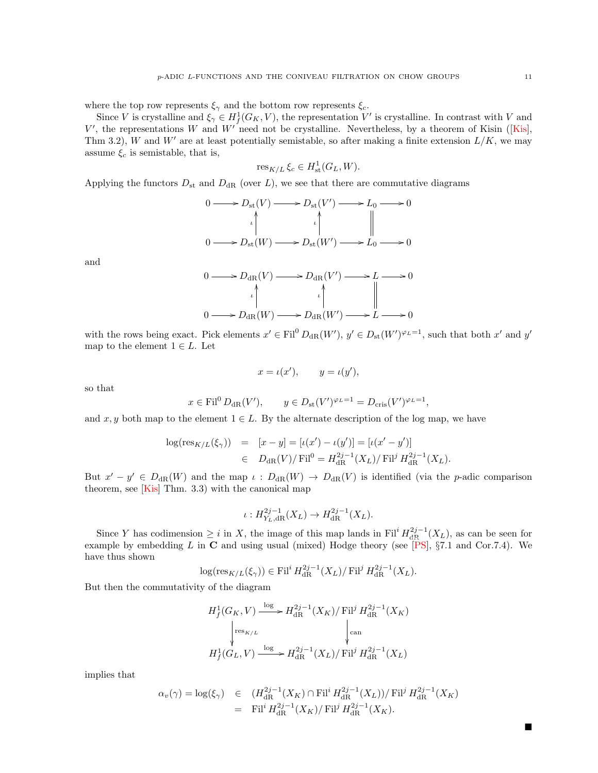where the top row represents  $\xi_{\gamma}$  and the bottom row represents  $\xi_c$ .

Since V is crystalline and  $\xi_{\gamma} \in H^1_f(G_K, V)$ , the representation V' is crystalline. In contrast with V and  $V'$ , the representations W and  $W'$  need not be crystalline. Nevertheless, by a theorem of Kisin (Kis), Thm 3.2), W and W' are at least potentially semistable, so after making a finite extension  $L/K$ , we may assume  $\xi_c$  is semistable, that is,

$$
\operatorname{res}_{K/L} \xi_c \in H^1_{\text{st}}(G_L, W).
$$

Applying the functors  $D_{\rm st}$  and  $D_{\rm dR}$  (over L), we see that there are commutative diagrams

$$
0 \longrightarrow D_{\text{st}}(V) \longrightarrow D_{\text{st}}(V') \longrightarrow L_0 \longrightarrow 0
$$
  
\n
$$
\downarrow \qquad \qquad \downarrow \qquad \qquad \downarrow
$$
  
\n
$$
0 \longrightarrow D_{\text{st}}(W) \longrightarrow D_{\text{st}}(W') \longrightarrow L_0 \longrightarrow 0
$$

and

$$
0 \longrightarrow D_{\mathrm{dR}}(V) \longrightarrow D_{\mathrm{dR}}(V') \longrightarrow L \longrightarrow 0
$$
  
\n
$$
\downarrow \qquad \qquad \downarrow \qquad \qquad \downarrow
$$
  
\n
$$
0 \longrightarrow D_{\mathrm{dR}}(W) \longrightarrow D_{\mathrm{dR}}(W') \longrightarrow L \longrightarrow 0
$$

with the rows being exact. Pick elements  $x' \in \text{Fil}^0 D_{\text{dR}}(W')$ ,  $y' \in D_{\text{st}}(W')^{\varphi_L=1}$ , such that both  $x'$  and  $y'$ map to the element  $1 \in L$ . Let

$$
x = \iota(x'), \qquad y = \iota(y'),
$$

so that

$$
x \in \text{Fil}^0 D_{\text{dR}}(V'), \qquad y \in D_{\text{st}}(V')^{\varphi_L=1} = D_{\text{cris}}(V')^{\varphi_L=1}
$$

,

and x, y both map to the element  $1 \in L$ . By the alternate description of the log map, we have

$$
\log(\text{res}_{K/L}(\xi_{\gamma})) = [x - y] = [\iota(x') - \iota(y')] = [\iota(x' - y')]
$$
  

$$
\in D_{\text{dR}}(V)/\text{Fil}^{0} = H_{\text{dR}}^{2j-1}(X_{L})/\text{Fil}^{j} H_{\text{dR}}^{2j-1}(X_{L}).
$$

But  $x' - y' \in D_{\text{dR}}(W)$  and the map  $\iota : D_{\text{dR}}(W) \to D_{\text{dR}}(V)$  is identified (via the p-adic comparison theorem, see [\[Kis\]](#page-45-18) Thm. 3.3) with the canonical map

$$
\iota: H_{Y_L, \mathrm{dR}}^{2j-1}(X_L) \to H_{\mathrm{dR}}^{2j-1}(X_L).
$$

Since Y has codimension  $\geq i$  in X, the image of this map lands in Fil<sup>i</sup>  $H_{\text{dR}}^{2j-1}(X_L)$ , as can be seen for example by embedding L in C and using usual (mixed) Hodge theory (see [\[PS\]](#page-45-19), §7.1 and Cor.7.4). We have thus shown

$$
\log(\operatorname{res}_{K/L}(\xi_\gamma)) \in \operatorname{Fil}^i H^{2j-1}_{\operatorname{dR} }(X_L)/\operatorname{Fil}^j H^{2j-1}_{\operatorname{dR} }(X_L).
$$

But then the commutativity of the diagram

$$
H_f^1(G_K, V) \xrightarrow{\log} H_{\text{dR}}^{2j-1}(X_K) / \text{Fil}^j H_{\text{dR}}^{2j-1}(X_K)
$$
  

$$
\downarrow^{\text{res}_{K/L}} \qquad \qquad \downarrow^{\text{can}}
$$
  

$$
H_f^1(G_L, V) \xrightarrow{\log} H_{\text{dR}}^{2j-1}(X_L) / \text{Fil}^j H_{\text{dR}}^{2j-1}(X_L)
$$

implies that

$$
\alpha_v(\gamma) = \log(\xi_\gamma) \quad \in \quad (H_{\text{dR}}^{2j-1}(X_K) \cap \text{Fil}^i H_{\text{dR}}^{2j-1}(X_L)) / \text{Fil}^j H_{\text{dR}}^{2j-1}(X_K)
$$
\n
$$
= \text{Fil}^i H_{\text{dR}}^{2j-1}(X_K) / \text{Fil}^j H_{\text{dR}}^{2j-1}(X_K).
$$

■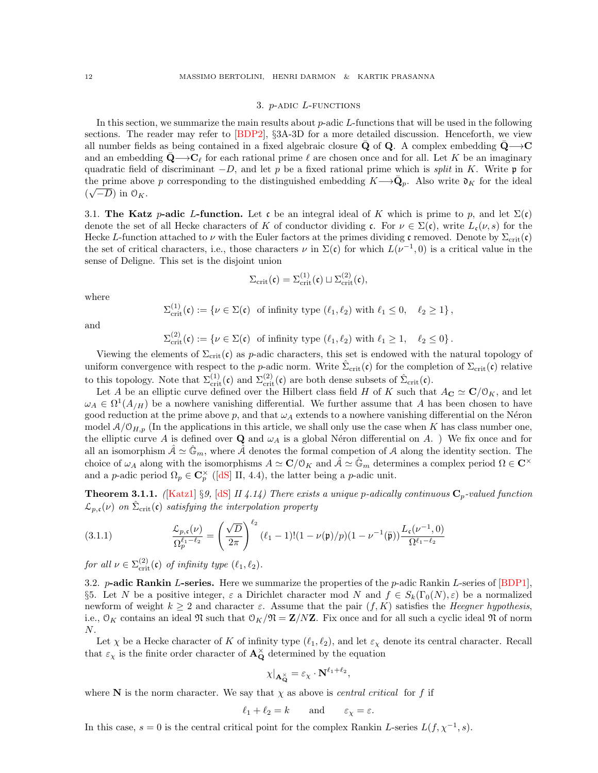#### 3. p-adic L-functions

<span id="page-11-0"></span>In this section, we summarize the main results about p-adic L-functions that will be used in the following sections. The reader may refer to [\[BDP2\]](#page-45-20), §3A-3D for a more detailed discussion. Henceforth, we view all number fields as being contained in a fixed algebraic closure Q of Q. A complex embedding  $Q \rightarrow C$ and an embedding  $\mathbf{Q}\longrightarrow \mathbf{C}_\ell$  for each rational prime  $\ell$  are chosen once and for all. Let K be an imaginary quadratic field of discriminant  $-D$ , and let p be a fixed rational prime which is split in K. Write p for the prime above p corresponding to the distinguished embedding  $K \rightarrow \bar{Q}_p$ . Also write  $\mathfrak{d}_K$  for the ideal  $(\sqrt{-D})$  in  $\mathcal{O}_K$ .

<span id="page-11-1"></span>3.1. The Katz p-adic L-function. Let c be an integral ideal of K which is prime to p, and let  $\Sigma(\mathfrak{c})$ denote the set of all Hecke characters of K of conductor dividing c. For  $\nu \in \Sigma(\mathfrak{c})$ , write  $L_{\mathfrak{c}}(\nu, s)$  for the Hecke L-function attached to  $\nu$  with the Euler factors at the primes dividing c removed. Denote by  $\Sigma_{\rm crit}(\mathfrak{c})$ the set of critical characters, i.e., those characters  $\nu$  in  $\Sigma(\mathfrak{c})$  for which  $L(\nu^{-1},0)$  is a critical value in the sense of Deligne. This set is the disjoint union

$$
\Sigma_{\rm crit}(\mathfrak{c}) = \Sigma_{\rm crit}^{(1)}(\mathfrak{c}) \sqcup \Sigma_{\rm crit}^{(2)}(\mathfrak{c}),
$$

where

$$
\Sigma_{\text{crit}}^{(1)}(\mathfrak{c}) := \{ \nu \in \Sigma(\mathfrak{c}) \text{ of infinity type } (\ell_1, \ell_2) \text{ with } \ell_1 \le 0, \quad \ell_2 \ge 1 \},
$$

and

 $\Sigma_{\text{crit}}^{(2)}(\mathfrak{c}) := \{ \nu \in \Sigma(\mathfrak{c}) \text{ of infinity type } (\ell_1, \ell_2) \text{ with } \ell_1 \geq 1, \quad \ell_2 \leq 0 \}.$ 

Viewing the elements of  $\Sigma_{\text{crit}}(c)$  as p-adic characters, this set is endowed with the natural topology of uniform convergence with respect to the *p*-adic norm. Write  $\hat{\Sigma}_{\text{crit}}(\mathfrak{c})$  for the completion of  $\Sigma_{\text{crit}}(\mathfrak{c})$  relative to this topology. Note that  $\Sigma_{\text{crit}}^{(1)}(\mathfrak{c})$  and  $\Sigma_{\text{crit}}^{(2)}(\mathfrak{c})$  are both dense subsets of  $\hat{\Sigma}_{\text{crit}}(\mathfrak{c})$ .

Let A be an elliptic curve defined over the Hilbert class field H of K such that  $A_{\mathbf{C}} \simeq \mathbf{C}/\mathfrak{O}_K$ , and let  $\omega_A \in \Omega^1(A_{/H})$  be a nowhere vanishing differential. We further assume that A has been chosen to have good reduction at the prime above p, and that  $\omega_A$  extends to a nowhere vanishing differential on the Néron model  $A/\mathcal{O}_{H,p}$  (In the applications in this article, we shall only use the case when K has class number one, the elliptic curve A is defined over Q and  $\omega_A$  is a global Néron differential on A. ) We fix once and for all an isomorphism  $A \simeq \mathbb{G}_m$ , where A denotes the formal competion of A along the identity section. The choice of  $\omega_A$  along with the isomorphisms  $A \simeq \mathbf{C}/\mathbf{O}_K$  and  $\hat{\mathcal{A}} \simeq \hat{\mathbb{G}}_m$  determines a complex period  $\Omega \in \mathbf{C}^\times$ and a p-adic period  $\Omega_p \in \mathbb{C}_p^{\times}$  ([\[dS\]](#page-45-21) II, 4.4), the latter being a p-adic unit.

**Theorem 3.1.1.** ([\[Katz1\]](#page-45-22) §9, [\[dS\]](#page-45-21) II 4.14) There exists a unique p-adically continuous  $C_p$ -valued function  $\mathcal{L}_{p,\mathfrak{c}}(\nu)$  on  $\hat{\Sigma}_{\mathrm{crit}}(\mathfrak{c})$  satisfying the interpolation property

(3.1.1) 
$$
\frac{\mathcal{L}_{p,\mathfrak{c}}(\nu)}{\Omega_p^{\ell_1-\ell_2}} = \left(\frac{\sqrt{D}}{2\pi}\right)^{\ell_2} (\ell_1-1)!(1-\nu(\mathfrak{p})/p)(1-\nu^{-1}(\bar{\mathfrak{p}}))\frac{L_{\mathfrak{c}}(\nu^{-1},0)}{\Omega^{\ell_1-\ell_2}}
$$

for all  $\nu \in \Sigma_{\text{crit}}^{(2)}(\mathfrak{c})$  of infinity type  $(\ell_1, \ell_2)$ .

<span id="page-11-2"></span>3.2. *p*-adic Rankin *L*-series. Here we summarize the properties of the *p*-adic Rankin *L*-series of  $[BDP1]$ , §5. Let N be a positive integer,  $\varepsilon$  a Dirichlet character mod N and  $f \in S_k(\Gamma_0(N), \varepsilon)$  be a normalized newform of weight  $k \geq 2$  and character  $\varepsilon$ . Assume that the pair  $(f, K)$  satisfies the Heegner hypothesis, i.e.,  $\mathcal{O}_K$  contains an ideal  $\mathfrak{N}$  such that  $\mathcal{O}_K/\mathfrak{N} = \mathbf{Z}/N\mathbf{Z}$ . Fix once and for all such a cyclic ideal  $\mathfrak{N}$  of norm  $N$ .

Let  $\chi$  be a Hecke character of K of infinity type  $(\ell_1, \ell_2)$ , and let  $\varepsilon_\chi$  denote its central character. Recall that  $\varepsilon_{\chi}$  is the finite order character of  $\mathbf{A}_{\mathbf{Q}}^{\times}$  determined by the equation

$$
\chi|_{\mathbf{A}_{\mathbf{Q}}^{\times}} = \varepsilon_{\chi} \cdot \mathbf{N}^{\ell_1 + \ell_2},
$$

where  $N$  is the norm character. We say that  $\chi$  as above is *central critical* for f if

$$
\ell_1 + \ell_2 = k \quad \text{and} \quad \varepsilon_\chi = \varepsilon.
$$

In this case,  $s = 0$  is the central critical point for the complex Rankin L-series  $L(f, \chi^{-1}, s)$ .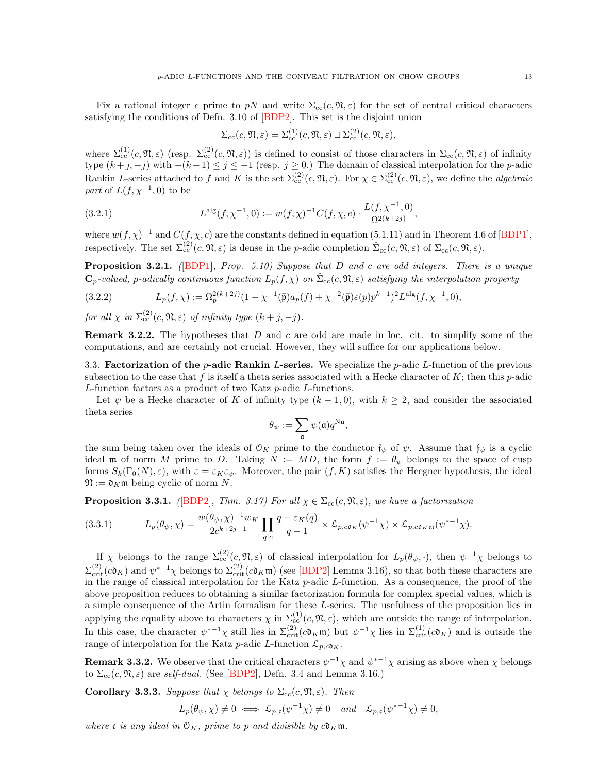Fix a rational integer c prime to pN and write  $\Sigma_{\rm cc}(c, \mathfrak{N}, \varepsilon)$  for the set of central critical characters satisfying the conditions of Defn. 3.10 of  $[BDP2]$ . This set is the disjoint union

$$
\Sigma_{\rm cc}(c,\mathfrak{N},\varepsilon)=\Sigma_{\rm cc}^{(1)}(c,\mathfrak{N},\varepsilon)\sqcup\Sigma_{\rm cc}^{(2)}(c,\mathfrak{N},\varepsilon),
$$

where  $\Sigma_{cc}^{(1)}(c, \mathfrak{N}, \varepsilon)$  (resp.  $\Sigma_{cc}^{(2)}(c, \mathfrak{N}, \varepsilon)$ ) is defined to consist of those characters in  $\Sigma_{cc}(c, \mathfrak{N}, \varepsilon)$  of infinity type  $(k+j, -j)$  with  $-(k-1) \leq j \leq -1$  (resp.  $j \geq 0$ .) The domain of classical interpolation for the *p*-adic Rankin L-series attached to f and K is the set  $\Sigma_{cc}^{(2)}(c, \mathfrak{N}, \varepsilon)$ . For  $\chi \in \Sigma_{cc}^{(2)}(c, \mathfrak{N}, \varepsilon)$ , we define the *algebraic* part of  $L(f, \chi^{-1}, 0)$  to be

(3.2.1) 
$$
L^{\text{alg}}(f, \chi^{-1}, 0) := w(f, \chi)^{-1} C(f, \chi, c) \cdot \frac{L(f, \chi^{-1}, 0)}{\Omega^{2(k+2j)}},
$$

where  $w(f, \chi)^{-1}$  and  $C(f, \chi, c)$  are the constants defined in equation (5.1.11) and in Theorem 4.6 of [\[BDP1\]](#page-45-1), respectively. The set  $\Sigma_{cc}^{(2)}(c, \mathfrak{N}, \varepsilon)$  is dense in the *p*-adic completion  $\hat{\Sigma}_{cc}(c, \mathfrak{N}, \varepsilon)$  of  $\Sigma_{cc}(c, \mathfrak{N}, \varepsilon)$ .

**Proposition 3.2.1.** ([\[BDP1\]](#page-45-1), Prop. 5.10) Suppose that D and c are odd integers. There is a unique  $\mathbf{C}_p$ -valued, p-adically continuous function  $L_p(f,\chi)$  on  $\hat{\Sigma}_{cc}(c,\mathfrak{N},\varepsilon)$  satisfying the interpolation property

(3.2.2) 
$$
L_p(f, \chi) := \Omega_p^{2(k+2j)} (1 - \chi^{-1}(\bar{\mathfrak{p}}) a_p(f) + \chi^{-2}(\bar{\mathfrak{p}}) \varepsilon(p) p^{k-1})^2 L^{\mathrm{alg}}(f, \chi^{-1}, 0),
$$

for all  $\chi$  in  $\Sigma_{cc}^{(2)}(c, \mathfrak{N}, \varepsilon)$  of infinity type  $(k+j, -j)$ .

**Remark 3.2.2.** The hypotheses that D and c are odd are made in loc. cit. to simplify some of the computations, and are certainly not crucial. However, they will suffice for our applications below.

<span id="page-12-0"></span>3.3. Factorization of the *p*-adic Rankin L-series. We specialize the *p*-adic L-function of the previous subsection to the case that f is itself a theta series associated with a Hecke character of K; then this p-adic L-function factors as a product of two Katz p-adic L-functions.

Let  $\psi$  be a Hecke character of K of infinity type  $(k-1,0)$ , with  $k \geq 2$ , and consider the associated theta series

$$
\theta_\psi := \sum_{\mathfrak{a}} \psi(\mathfrak{a}) q^{\mathrm{N}\mathfrak{a}},
$$

<span id="page-12-1"></span>the sum being taken over the ideals of  $\mathcal{O}_K$  prime to the conductor  $\mathfrak{f}_{\psi}$  of  $\psi$ . Assume that  $\mathfrak{f}_{\psi}$  is a cyclic ideal m of norm M prime to D. Taking  $N := MD$ , the form  $f := \theta_{\psi}$  belongs to the space of cusp forms  $S_k(\Gamma_0(N), \varepsilon)$ , with  $\varepsilon = \varepsilon_K \varepsilon_{\psi}$ . Moreover, the pair  $(f, K)$  satisfies the Heegner hypothesis, the ideal  $\mathfrak{N} := \mathfrak{d}_K \mathfrak{m}$  being cyclic of norm N.

**Proposition 3.3.1.** ([\[BDP2\]](#page-45-20), Thm. 3.17) For all  $\chi \in \Sigma_{cc}(c, \mathfrak{N}, \varepsilon)$ , we have a factorization

$$
(3.3.1) \tL_p(\theta_\psi, \chi) = \frac{w(\theta_\psi, \chi)^{-1} w_K}{2c^{k+2j-1}} \prod_{q|c} \frac{q - \varepsilon_K(q)}{q-1} \times \mathcal{L}_{p,c\mathfrak{d}_K}(\psi^{-1}\chi) \times \mathcal{L}_{p,c\mathfrak{d}_K \mathfrak{m}}(\psi^{*-1}\chi).
$$

If  $\chi$  belongs to the range  $\Sigma_{cc}^{(2)}(c,\mathfrak{N},\varepsilon)$  of classical interpolation for  $L_p(\theta_{\psi},\cdot)$ , then  $\psi^{-1}\chi$  belongs to  $\Sigma_{\text{crit}}^{(2)}(\mathfrak{c} \mathfrak{d}_K)$  and  $\psi^{*-1}\chi$  belongs to  $\Sigma_{\text{crit}}^{(2)}(\mathfrak{c} \mathfrak{d}_K)$  (see [\[BDP2\]](#page-45-20) Lemma 3.16), so that both these characters are in the range of classical interpolation for the Katz p-adic L-function. As a consequence, the proof of the above proposition reduces to obtaining a similar factorization formula for complex special values, which is a simple consequence of the Artin formalism for these L-series. The usefulness of the proposition lies in applying the equality above to characters  $\chi$  in  $\Sigma_c^{(1)}(c, \mathfrak{N}, \varepsilon)$ , which are outside the range of interpolation. In this case, the character  $\psi^{*-1}\chi$  still lies in  $\Sigma_{\rm crit}^{(2)}(c\mathfrak{d}_K\mathfrak{m})$  but  $\psi^{-1}\chi$  lies in  $\Sigma_{\rm crit}^{(1)}(c\mathfrak{d}_K)$  and is outside the range of interpolation for the Katz p-adic L-function  $\mathcal{L}_{p,c\mathfrak{d}_K}$ .

**Remark 3.3.2.** We observe that the critical characters  $\psi^{-1}\chi$  and  $\psi^{*-1}\chi$  arising as above when  $\chi$  belongs to  $\Sigma_{\text{cc}}(c, \mathfrak{N}, \varepsilon)$  are self-dual. (See [\[BDP2\]](#page-45-20), Defn. 3.4 and Lemma 3.16.)

Corollary 3.3.3. Suppose that  $\chi$  belongs to  $\Sigma_{cc}(c, \mathfrak{N}, \varepsilon)$ . Then

$$
L_p(\theta_{\psi}, \chi) \neq 0 \iff \mathcal{L}_{p,\mathfrak{c}}(\psi^{-1}\chi) \neq 0 \quad and \quad \mathcal{L}_{p,\mathfrak{c}}(\psi^{*-1}\chi) \neq 0,
$$

where c is any ideal in  $\mathcal{O}_K$ , prime to p and divisible by  $c\mathfrak{d}_K\mathfrak{m}$ .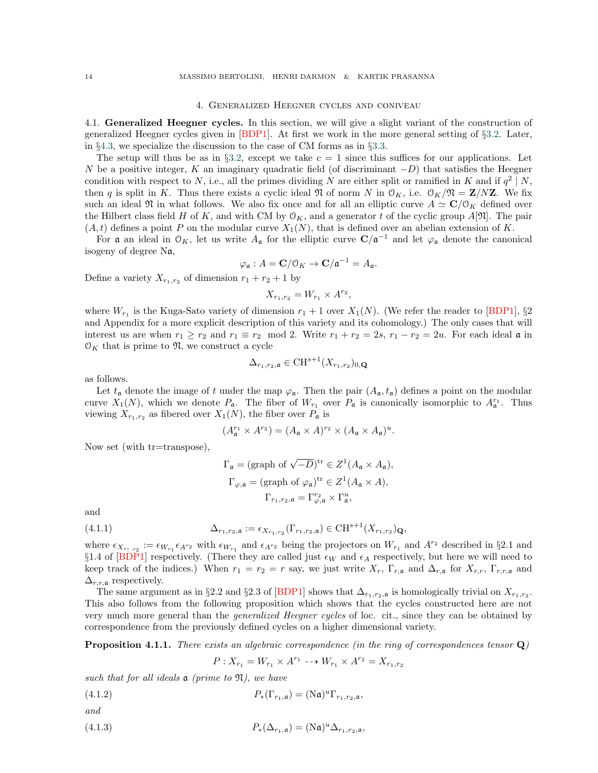#### 4. Generalized Heegner cycles and coniveau

<span id="page-13-1"></span><span id="page-13-0"></span>4.1. Generalized Heegner cycles. In this section, we will give a slight variant of the construction of generalized Heegner cycles given in  $[BDP1]$ . At first we work in the more general setting of §[3.2.](#page-11-2) Later, in §[4.3,](#page-17-0) we specialize the discussion to the case of CM forms as in §[3.3.](#page-12-0)

The setup will thus be as in §[3.2,](#page-11-2) except we take  $c = 1$  since this suffices for our applications. Let N be a positive integer, K an imaginary quadratic field (of discriminant  $-D$ ) that satisfies the Heegner condition with respect to N, i.e., all the primes dividing N are either split or ramified in K and if  $q^2 | N$ , then q is split in K. Thus there exists a cyclic ideal  $\mathfrak N$  of norm N in  $\mathfrak O_K$ , i.e.  $\mathfrak O_K/\mathfrak N = \mathbf Z/N\mathbf Z$ . We fix such an ideal  $\mathfrak{N}$  in what follows. We also fix once and for all an elliptic curve  $A \simeq \mathbf{C}/\mathbf{O}_K$  defined over the Hilbert class field H of K, and with CM by  $\mathcal{O}_K$ , and a generator t of the cyclic group  $A[\mathfrak{N}]$ . The pair  $(A, t)$  defines a point P on the modular curve  $X_1(N)$ , that is defined over an abelian extension of K.

For **a** an ideal in  $\mathcal{O}_K$ , let us write  $A_{\mathfrak{a}}$  for the elliptic curve  $\mathbf{C}/\mathfrak{a}^{-1}$  and let  $\varphi_{\mathfrak{a}}$  denote the canonical isogeny of degree Na,

$$
\varphi_{\mathfrak{a}}: A = \mathbf{C}/\mathfrak{O}_K \to \mathbf{C}/\mathfrak{a}^{-1} = A_{\mathfrak{a}}.
$$

Define a variety  $X_{r_1,r_2}$  of dimension  $r_1 + r_2 + 1$  by

$$
X_{r_1,r_2} = W_{r_1} \times A^{r_2},
$$

where  $W_{r_1}$  is the Kuga-Sato variety of dimension  $r_1 + 1$  over  $X_1(N)$ . (We refer the reader to [\[BDP1\]](#page-45-1), §2 and Appendix for a more explicit description of this variety and its cohomology.) The only cases that will interest us are when  $r_1 \ge r_2$  and  $r_1 \equiv r_2 \mod 2$ . Write  $r_1 + r_2 = 2s$ ,  $r_1 - r_2 = 2u$ . For each ideal  $\mathfrak{a}$  in  $\mathcal{O}_K$  that is prime to  $\mathfrak{N}$ , we construct a cycle

$$
\Delta_{r_1,r_2,\mathfrak{a}} \in \mathrm{CH}^{s+1}(X_{r_1,r_2})_{0,\mathbf{Q}}
$$

as follows.

Let  $t_a$  denote the image of t under the map  $\varphi_a$ . Then the pair  $(A_a, t_a)$  defines a point on the modular curve  $X_1(N)$ , which we denote  $P_a$ . The fiber of  $W_{r_1}$  over  $P_a$  is canonically isomorphic to  $A_a^{r_1}$ . Thus viewing  $X_{r_1,r_2}$  as fibered over  $X_1(N)$ , the fiber over  $P_a$  is

$$
(A_{\mathfrak{a}}^{r_1} \times A^{r_2}) = (A_{\mathfrak{a}} \times A)^{r_2} \times (A_{\mathfrak{a}} \times A_{\mathfrak{a}})^u.
$$

Now set (with tr=transpose),

$$
\Gamma_{\mathfrak{a}} = (\text{graph of } \sqrt{-D})^{\text{tr}} \in Z^1(A_{\mathfrak{a}} \times A_{\mathfrak{a}}),
$$
  
\n
$$
\Gamma_{\varphi, \mathfrak{a}} = (\text{graph of } \varphi_{\mathfrak{a}})^{\text{tr}} \in Z^1(A_{\mathfrak{a}} \times A),
$$
  
\n
$$
\Gamma_{r_1, r_2, \mathfrak{a}} = \Gamma_{\varphi, \mathfrak{a}}^{r_2} \times \Gamma_{\mathfrak{a}}^u,
$$

and

(4.1.1) 
$$
\Delta_{r_1,r_2,\mathfrak{a}} := \epsilon_{X_{r_1,r_2}}(\Gamma_{r_1,r_2,\mathfrak{a}}) \in \mathrm{CH}^{s+1}(X_{r_1,r_2})_{\mathbf{Q}},
$$

where  $\epsilon_{X_{r_1,r_2}} := \epsilon_{W_{r_1}} \epsilon_{A^{r_2}}$  with  $\epsilon_{W_{r_1}}$  and  $\epsilon_{A^{r_2}}$  being the projectors on  $W_{r_1}$  and  $A^{r_2}$  described in §2.1 and  $\S 1.4$  of [\[BDP1\]](#page-45-1) respectively. (There they are called just  $\epsilon_W$  and  $\epsilon_A$  respectively, but here we will need to keep track of the indices.) When  $r_1 = r_2 = r$  say, we just write  $X_r$ ,  $\Gamma_{r,\mathfrak{a}}$  and  $\Delta_{r,\mathfrak{a}}$  for  $X_{r,r}$ ,  $\Gamma_{r,r,\mathfrak{a}}$  and  $\Delta_{r,r,\mathfrak{a}}$  respectively.

The same argument as in §2.2 and §2.3 of [\[BDP1\]](#page-45-1) shows that  $\Delta_{r_1,r_2,\mathfrak{a}}$  is homologically trivial on  $X_{r_1,r_2}$ . This also follows from the following proposition which shows that the cycles constructed here are not very much more general than the generalized Heegner cycles of loc. cit., since they can be obtained by correspondence from the previously defined cycles on a higher dimensional variety.

<span id="page-13-4"></span>**Proposition 4.1.1.** There exists an algebraic correspondence (in the ring of correspondences tensor  $\mathbf{Q}$ )

<span id="page-13-3"></span><span id="page-13-2"></span>
$$
P: X_{r_1} = W_{r_1} \times A^{r_1} \longrightarrow W_{r_1} \times A^{r_2} = X_{r_1, r_2}
$$

such that for all ideals  $\alpha$  (prime to  $\mathfrak{N}$ ), we have

$$
(4.1.2) \t\t P_*(\Gamma_{r_1,\mathfrak{a}}) = (\mathrm{N}\mathfrak{a})^u \Gamma_{r_1,r_2,\mathfrak{a}},
$$

and

(4.1.3) 
$$
P_*(\Delta_{r_1,\mathfrak{a}}) = (\mathbf{N}\mathfrak{a})^u \Delta_{r_1,r_2,\mathfrak{a}},
$$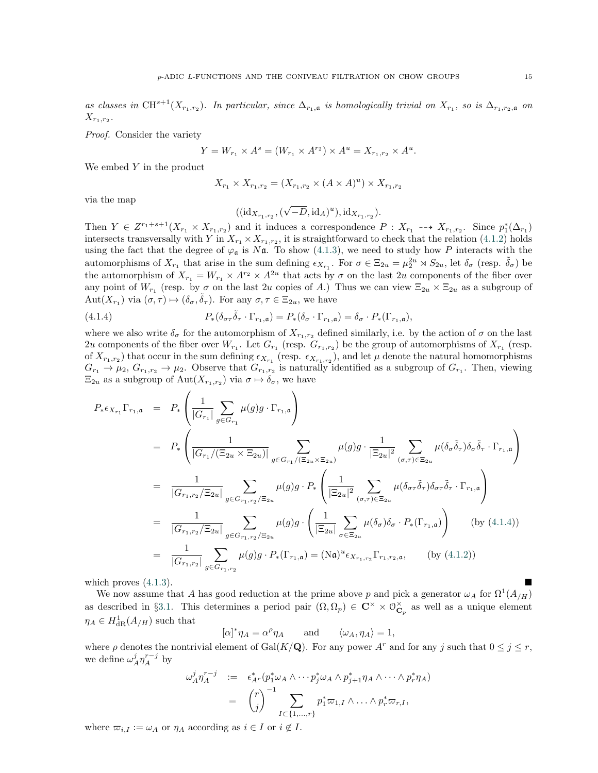as classes in CH<sup>s+1</sup>( $X_{r_1,r_2}$ ). In particular, since  $\Delta_{r_1,\mathfrak{a}}$  is homologically trivial on  $X_{r_1}$ , so is  $\Delta_{r_1,r_2,\mathfrak{a}}$  on  $X_{r_1,r_2}.$ 

Proof. Consider the variety

$$
Y = W_{r_1} \times A^s = (W_{r_1} \times A^{r_2}) \times A^u = X_{r_1, r_2} \times A^u.
$$

We embed  $Y$  in the product

$$
X_{r_1} \times X_{r_1,r_2} = (X_{r_1,r_2} \times (A \times A)^u) \times X_{r_1,r_2}
$$

via the map

<span id="page-14-0"></span>
$$
((\mathrm{id}_{X_{r_1,r_2}},(\sqrt{-D},\mathrm{id}_A)^u),\mathrm{id}_{X_{r_1,r_2}}).
$$

Then  $Y \in Z^{r_1+s+1}(X_{r_1} \times X_{r_1,r_2})$  and it induces a correspondence  $P: X_{r_1} \dashrightarrow X_{r_1,r_2}$ . Since  $p_1^*(\Delta_{r_1})$ intersects transversally with Y in  $X_{r_1} \times X_{r_1,r_2}$ , it is straightforward to check that the relation ([4.1.2\)](#page-13-2) holds using the fact that the degree of  $\varphi_a$  is N $\alpha$ . To show ([4.1.3\)](#page-13-3), we need to study how P interacts with the automorphisms of  $X_{r_1}$  that arise in the sum defining  $\epsilon_{X_{r_1}}$ . For  $\sigma \in \Xi_{2u} = \mu_2^{2u} \rtimes S_{2u}$ , let  $\delta_{\sigma}$  (resp.  $\tilde{\delta}_{\sigma}$ ) be the automorphism of  $X_{r_1} = W_{r_1} \times A^{r_2} \times A^{2u}$  that acts by  $\sigma$  on the last 2u components of the fiber over any point of  $W_{r_1}$  (resp. by  $\sigma$  on the last 2u copies of A.) Thus we can view  $\Xi_{2u} \times \Xi_{2u}$  as a subgroup of  $Aut(X_{r_1})$  via  $(\sigma, \tau) \mapsto (\delta_{\sigma}, \tilde{\delta}_{\tau})$ . For any  $\sigma, \tau \in \Xi_{2u}$ , we have

(4.1.4) 
$$
P_*(\delta_{\sigma\tau}\tilde{\delta}_{\tau}\cdot\Gamma_{r_1,\mathfrak{a}})=P_*(\delta_{\sigma}\cdot\Gamma_{r_1,\mathfrak{a}})=\delta_{\sigma}\cdot P_*(\Gamma_{r_1,\mathfrak{a}}),
$$

where we also write  $\delta_{\sigma}$  for the automorphism of  $X_{r_1,r_2}$  defined similarly, i.e. by the action of  $\sigma$  on the last 2u components of the fiber over  $W_{r_1}$ . Let  $G_{r_1}$  (resp.  $G_{r_1,r_2}$ ) be the group of automorphisms of  $X_{r_1}$  (resp. of  $X_{r_1,r_2}$ ) that occur in the sum defining  $\epsilon_{X_{r_1}}$  (resp.  $\epsilon_{X_{r_1,r_2}}$ ), and let  $\mu$  denote the natural homomorphisms  $G_{r_1} \to \mu_2$ ,  $G_{r_1,r_2} \to \mu_2$ . Observe that  $G_{r_1,r_2}$  is naturally identified as a subgroup of  $G_{r_1}$ . Then, viewing  $\Xi_{2u}$  as a subgroup of  $\mathrm{Aut}(X_{r_1,r_2})$  via  $\sigma \mapsto \delta_{\sigma}$ , we have

$$
P_{*}\epsilon_{X_{r_{1}}}\Gamma_{r_{1},\mathfrak{a}} = P_{*}\left(\frac{1}{|G_{r_{1}}|}\sum_{g\in G_{r_{1}}} \mu(g)g \cdot \Gamma_{r_{1},\mathfrak{a}}\right)
$$
  
\n
$$
= P_{*}\left(\frac{1}{|G_{r_{1}}|(\Xi_{2u}\times \Xi_{2u})|}\sum_{g\in G_{r_{1}}/(\Xi_{2u}\times \Xi_{2u})}\mu(g)g \cdot \frac{1}{|\Xi_{2u}|^{2}}\sum_{(\sigma,\tau)\in \Xi_{2u}}\mu(\delta_{\sigma}\tilde{\delta}_{\tau})\delta_{\sigma}\tilde{\delta}_{\tau} \cdot \Gamma_{r_{1},\mathfrak{a}}\right)
$$
  
\n
$$
= \frac{1}{|G_{r_{1},r_{2}}/\Xi_{2u}|}\sum_{g\in G_{r_{1},r_{2}}/\Xi_{2u}}\mu(g)g \cdot P_{*}\left(\frac{1}{|\Xi_{2u}|^{2}}\sum_{(\sigma,\tau)\in \Xi_{2u}}\mu(\delta_{\sigma\tau}\tilde{\delta}_{\tau})\delta_{\sigma\tau}\tilde{\delta}_{\tau} \cdot \Gamma_{r_{1},\mathfrak{a}}\right)
$$
  
\n
$$
= \frac{1}{|G_{r_{1},r_{2}}/|\Xi_{2u}|}\sum_{g\in G_{r_{1},r_{2}}/\Xi_{2u}}\mu(g)g \cdot \left(\frac{1}{|\Xi_{2u}|}\sum_{\sigma\in \Xi_{2u}}\mu(\delta_{\sigma})\delta_{\sigma} \cdot P_{*}(\Gamma_{r_{1},\mathfrak{a}})\right) \qquad \text{(by (4.1.4))}
$$
  
\n
$$
= \frac{1}{|G_{r_{1},r_{2}}|}\sum_{g\in G_{r_{1},r_{2}}} \mu(g)g \cdot P_{*}(\Gamma_{r_{1},\mathfrak{a}}) = (\text{Na})^{u}\epsilon_{X_{r_{1},r_{2}}}\Gamma_{r_{1},r_{2},\mathfrak{a}}, \qquad \text{(by (4.1.2))}
$$
  
\n
$$
\text{mich proves (4.1.3).}
$$

which proves  $(4.1.3)$ .

We now assume that A has good reduction at the prime above p and pick a generator  $\omega_A$  for  $\Omega^1(A_{/H})$ as described in §[3.1.](#page-11-1) This determines a period pair  $(\Omega, \Omega_p) \in \mathbb{C}^\times \times \mathcal{O}_{\mathbb{C}_p}^\times$  as well as a unique element  $\eta_A \in H^1_{\mathrm{dR}}(A_{/H})$  such that

 $[\alpha]^* \eta_A = \alpha^{\rho}$ and  $\langle \omega_A, \eta_A \rangle = 1$ ,

where  $\rho$  denotes the nontrivial element of Gal(K/Q). For any power A<sup>r</sup> and for any j such that  $0 \le j \le r$ , we define  $\omega^j_A \eta^{r-j}_A$  by

$$
\omega_A^j \eta_A^{r-j} = \epsilon_{A^r}^* (p_1^* \omega_A \wedge \cdots p_j^* \omega_A \wedge p_{j+1}^* \eta_A \wedge \cdots \wedge p_r^* \eta_A)
$$
  
= 
$$
{r \choose j}^{-1} \sum_{I \subset \{1, ..., r\}} p_1^* \omega_{1,I} \wedge \cdots \wedge p_r^* \omega_{r,I},
$$

where  $\varpi_{i,I} := \omega_A$  or  $\eta_A$  according as  $i \in I$  or  $i \notin I$ .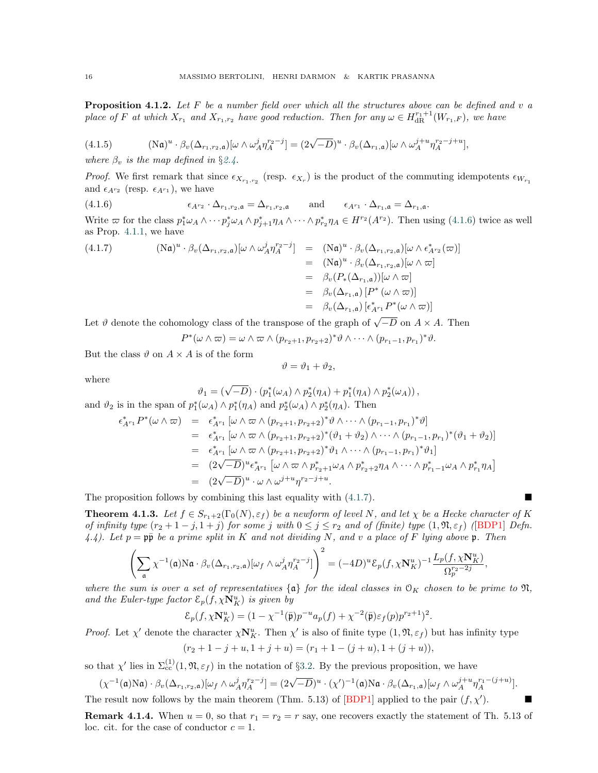<span id="page-15-2"></span>**Proposition 4.1.2.** Let F be a number field over which all the structures above can be defined and v a place of F at which  $X_{r_1}$  and  $X_{r_1,r_2}$  have good reduction. Then for any  $\omega \in H_{\rm dR}^{r_1+1}(W_{r_1,F})$ , we have

(4.1.5) 
$$
(\text{Na})^u \cdot \beta_v (\Delta_{r_1,r_2,\mathfrak{a}}) [\omega \wedge \omega_A^j \eta_A^{r_2-j}] = (2\sqrt{-D})^u \cdot \beta_v (\Delta_{r_1,\mathfrak{a}}) [\omega \wedge \omega_A^{j+u} \eta_A^{r_2-j+u}],
$$

where  $\beta_v$  is the map defined in §[2.4.](#page-8-0)

*Proof.* We first remark that since  $\epsilon_{X_{r_1,r_2}}$  (resp.  $\epsilon_{X_r}$ ) is the product of the commuting idempotents  $\epsilon_{W_{r_1}}$ and  $\epsilon_{A^{r_2}}$  (resp.  $\epsilon_{A^{r_1}}$ ), we have

(4.1.6) 
$$
\epsilon_{A^{r_2}} \cdot \Delta_{r_1, r_2, \mathfrak{a}} = \Delta_{r_1, r_2, \mathfrak{a}} \quad \text{and} \quad \epsilon_{A^{r_1}} \cdot \Delta_{r_1, \mathfrak{a}} = \Delta_{r_1, \mathfrak{a}}.
$$

<span id="page-15-1"></span><span id="page-15-0"></span>Write  $\varpi$  for the class  $p_1^*\omega_A \wedge \cdots p_j^*\omega_A \wedge p_{j+1}^*\eta_A \wedge \cdots \wedge p_{r_2}^*\eta_A \in H^{r_2}(A^{r_2})$ . Then using ([4.1.6\)](#page-15-0) twice as well as Prop. [4.1.1,](#page-13-4) we have

(4.1.7) 
$$
\begin{aligned} (\mathbf{N}\mathfrak{a})^u \cdot \beta_v(\Delta_{r_1,r_2,\mathfrak{a}})[\omega \wedge \omega_A^j \eta_A^{r_2-j}] &= (\mathbf{N}\mathfrak{a})^u \cdot \beta_v(\Delta_{r_1,r_2,\mathfrak{a}})[\omega \wedge \epsilon_{A}^*r_2(\varpi)] \\ &= (\mathbf{N}\mathfrak{a})^u \cdot \beta_v(\Delta_{r_1,r_2,\mathfrak{a}})[\omega \wedge \varpi] \\ &= \beta_v(P_*(\Delta_{r_1,\mathfrak{a}}))[\omega \wedge \varpi] \\ &= \beta_v(\Delta_{r_1,\mathfrak{a}})[P^*(\omega \wedge \varpi)] \\ &= \beta_v(\Delta_{r_1,\mathfrak{a}})[P^*(\omega \wedge \varpi)] \\ &= \beta_v(\Delta_{r_1,\mathfrak{a}})[\epsilon_{A^{r_1}}^*P^*(\omega \wedge \varpi)] \end{aligned}
$$

Let  $\vartheta$  denote the cohomology class of the transpose of the graph of  $\sqrt{-D}$  on  $A \times A$ . Then

$$
P^*(\omega \wedge \overline{\omega}) = \omega \wedge \overline{\omega} \wedge (p_{r_2+1}, p_{r_2+2})^* \vartheta \wedge \cdots \wedge (p_{r_1-1}, p_{r_1})^* \vartheta.
$$

But the class  $\vartheta$  on  $A \times A$  is of the form

$$
\vartheta = \vartheta_1 + \vartheta_2,
$$

where

$$
\vartheta_1 = (\sqrt{-D}) \cdot (p_1^*(\omega_A) \wedge p_2^*(\eta_A) + p_1^*(\eta_A) \wedge p_2^*(\omega_A)),
$$

and  $\vartheta_2$  is in the span of  $p_1^*(\omega_A) \wedge p_1^*(\eta_A)$  and  $p_2^*(\omega_A) \wedge p_2^*(\eta_A)$ . Then

$$
\epsilon_{A^{r_1}}^* P^*(\omega \wedge \varpi) = \epsilon_{A^{r_1}}^* [\omega \wedge \varpi \wedge (p_{r_2+1}, p_{r_2+2})^* \vartheta \wedge \cdots \wedge (p_{r_1-1}, p_{r_1})^* \vartheta]
$$
  
\n
$$
= \epsilon_{A^{r_1}}^* [\omega \wedge \varpi \wedge (p_{r_2+1}, p_{r_2+2})^* (\vartheta_1 + \vartheta_2) \wedge \cdots \wedge (p_{r_1-1}, p_{r_1})^* (\vartheta_1 + \vartheta_2)]
$$
  
\n
$$
= \epsilon_{A^{r_1}}^* [\omega \wedge \varpi \wedge (p_{r_2+1}, p_{r_2+2})^* \vartheta_1 \wedge \cdots \wedge (p_{r_1-1}, p_{r_1})^* \vartheta_1]
$$
  
\n
$$
= (2\sqrt{-D})^u \epsilon_{A^{r_1}}^* [\omega \wedge \varpi \wedge p_{r_2+1}^* \omega_A \wedge p_{r_2+2}^* \eta_A \wedge \cdots \wedge p_{r_1-1}^* \omega_A \wedge p_{r_1}^* \eta_A]
$$
  
\n
$$
= (2\sqrt{-D})^u \cdot \omega \wedge \omega^{j+u} \eta^{r_2-j+u}.
$$

<span id="page-15-3"></span>The proposition follows by combining this last equality with  $(4.1.7)$  $(4.1.7)$ .

**Theorem 4.1.3.** Let  $f \in S_{r_1+2}(\Gamma_0(N), \varepsilon_f)$  be a newform of level N, and let  $\chi$  be a Hecke character of K of infinity type  $(r_2+1-j,1+j)$  for some j with  $0 \leq j \leq r_2$  and of (finite) type  $(1,\mathfrak{N},\varepsilon_f)$  ([\[BDP1\]](#page-45-1) Defn. 4.4). Let  $p = p\bar{p}$  be a prime split in K and not dividing N, and v a place of F lying above p. Then

$$
\left(\sum_{\mathfrak{a}} \chi^{-1}(\mathfrak{a}) \mathrm{N}\mathfrak{a} \cdot \beta_v(\Delta_{r_1,r_2,\mathfrak{a}})[\omega_f \wedge \omega^j_A \eta_A^{r_2-j}]\right)^2 = (-4D)^u \mathcal{E}_p(f, \chi \mathbf{N}_K^u)^{-1} \frac{L_p(f, \chi \mathbf{N}_K^u)}{\Omega_p^{r_2-2j}},
$$

where the sum is over a set of representatives  $\{a\}$  for the ideal classes in  $\mathcal{O}_K$  chosen to be prime to  $\mathfrak{N}$ , and the Euler-type factor  $\mathcal{E}_p(f, \chi \mathbf{N}_K^u)$  is given by

$$
\mathcal{E}_p(f, \chi \mathbf{N}_K^u) = (1 - \chi^{-1}(\bar{\mathfrak{p}}) p^{-u} a_p(f) + \chi^{-2}(\bar{\mathfrak{p}}) \varepsilon_f(p) p^{r_2 + 1})^2.
$$

*Proof.* Let  $\chi'$  denote the character  $\chi N_K^u$ . Then  $\chi'$  is also of finite type  $(1, \mathfrak{N}, \varepsilon_f)$  but has infinity type

$$
(r_2+1-j+u, 1+j+u) = (r_1+1-(j+u), 1+(j+u)),
$$

so that  $\chi'$  lies in  $\Sigma_{\rm cc}^{(1)}(1,\mathfrak{N},\varepsilon_f)$  in the notation of §[3.2.](#page-11-2) By the previous proposition, we have

$$
(\chi^{-1}(\mathfrak{a})\mathrm{N}\mathfrak{a}) \cdot \beta_v(\Delta_{r_1,r_2,\mathfrak{a}})[\omega_f \wedge \omega_A^j \eta_A^{r_2-j}] = (2\sqrt{-D})^u \cdot (\chi')^{-1}(\mathfrak{a})\mathrm{N}\mathfrak{a} \cdot \beta_v(\Delta_{r_1,\mathfrak{a}})[\omega_f \wedge \omega_A^{j+u} \eta_A^{r_1-(j+u)}].
$$
  
The result now follows by the main theorem (Thm. 5.13) of [BDP1] applied to the pair  $(f, \chi')$ .

**Remark 4.1.4.** When  $u = 0$ , so that  $r_1 = r_2 = r$  say, one recovers exactly the statement of Th. 5.13 of loc. cit. for the case of conductor  $c = 1$ .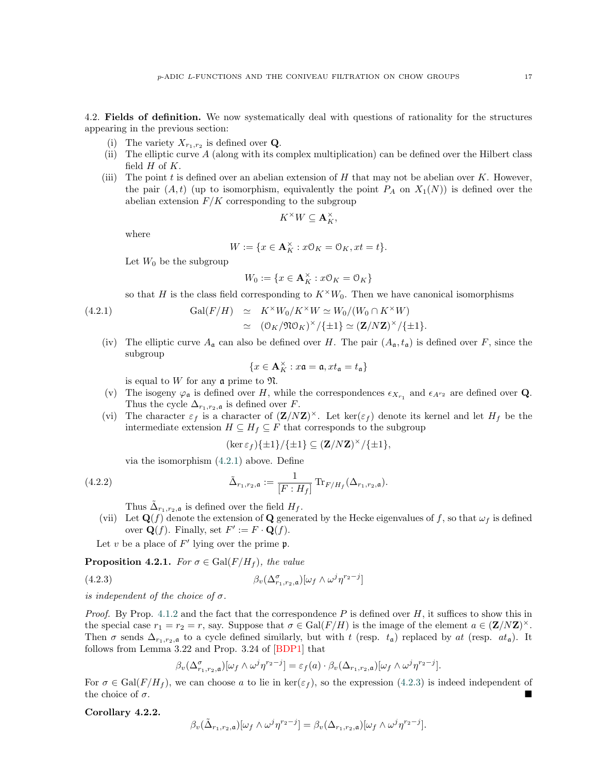<span id="page-16-0"></span>4.2. Fields of definition. We now systematically deal with questions of rationality for the structures appearing in the previous section:

- (i) The variety  $X_{r_1,r_2}$  is defined over **Q**.
- (ii) The elliptic curve A (along with its complex multiplication) can be defined over the Hilbert class field  $H$  of  $K$ .
- (iii) The point  $t$  is defined over an abelian extension of  $H$  that may not be abelian over  $K$ . However, the pair  $(A, t)$  (up to isomorphism, equivalently the point  $P_A$  on  $X_1(N)$ ) is defined over the abelian extension  $F/K$  corresponding to the subgroup

$$
K^\times W \subseteq \mathbf{A}_K^\times,
$$

where

$$
W:=\{x\in\mathbf{A}_K^{\times}:x\mathbb{O}_K=\mathbb{O}_K,xt=t\}.
$$

Let  $W_0$  be the subgroup

<span id="page-16-1"></span>
$$
W_0:=\{x\in\mathbf{A}_K^{\times}:x\mathcal{O}_K=\mathcal{O}_K\}
$$

so that H is the class field corresponding to  $K^{\times}W_0$ . Then we have canonical isomorphisms

(4.2.1) 
$$
\operatorname{Gal}(F/H) \cong K^{\times}W_0/K^{\times}W \cong W_0/(W_0 \cap K^{\times}W)
$$

$$
\cong (\mathbb{O}_K/\mathfrak{N}\mathbb{O}_K)^{\times}/\{\pm 1\} \cong (\mathbf{Z}/N\mathbf{Z})^{\times}/\{\pm 1\}.
$$

(iv) The elliptic curve  $A_{\mathfrak{a}}$  can also be defined over H. The pair  $(A_{\mathfrak{a}}, t_{\mathfrak{a}})$  is defined over F, since the subgroup

$$
\{x\in\mathbf{A}_K^\times: x\mathfrak{a}=\mathfrak{a}, xt_{\mathfrak{a}}=t_{\mathfrak{a}}\}
$$

is equal to  $W$  for any  $\mathfrak a$  prime to  $\mathfrak N$ .

- (v) The isogeny  $\varphi_{\mathfrak{a}}$  is defined over H, while the correspondences  $\epsilon_{X_{r_1}}$  and  $\epsilon_{A^{r_2}}$  are defined over **Q**. Thus the cycle  $\Delta_{r_1,r_2,\mathfrak{a}}$  is defined over F.
- (vi) The character  $\varepsilon_f$  is a character of  $(\mathbf{Z}/N\mathbf{Z})^{\times}$ . Let ker( $\varepsilon_f$ ) denote its kernel and let  $H_f$  be the intermediate extension  $H \subseteq H_f \subseteq F$  that corresponds to the subgroup

$$
(\ker \varepsilon_f)\{\pm 1\}/\{\pm 1\} \subseteq (\mathbf{Z}/N\mathbf{Z})^\times/\{\pm 1\},\
$$

via the isomorphism  $(4.2.1)$  $(4.2.1)$  above. Define

(4.2.2) 
$$
\tilde{\Delta}_{r_1,r_2,\mathfrak{a}} := \frac{1}{[F:H_f]} \text{Tr}_{F/H_f}(\Delta_{r_1,r_2,\mathfrak{a}}).
$$

Thus  $\tilde{\Delta}_{r_1,r_2,\mathfrak{a}}$  is defined over the field  $H_f$ .

(vii) Let  $\mathbf{Q}(f)$  denote the extension of  $\mathbf{Q}$  generated by the Hecke eigenvalues of f, so that  $\omega_f$  is defined over  $\mathbf{Q}(f)$ . Finally, set  $F' := F \cdot \mathbf{Q}(f)$ .

Let v be a place of  $F'$  lying over the prime  $\mathfrak{p}$ .

**Proposition 4.2.1.** For  $\sigma \in \text{Gal}(F/H_f)$ , the value

(4.2.3) 
$$
\beta_v(\Delta_{r_1,r_2,a}^{\sigma})[\omega_f \wedge \omega^j \eta^{r_2-j}]
$$

is independent of the choice of  $\sigma$ .

*Proof.* By Prop. [4.1.2](#page-15-2) and the fact that the correspondence P is defined over H, it suffices to show this in the special case  $r_1 = r_2 = r$ , say. Suppose that  $\sigma \in \text{Gal}(F/H)$  is the image of the element  $a \in (\mathbf{Z}/N\mathbf{Z})^{\times}$ . Then  $\sigma$  sends  $\Delta_{r_1,r_2,\mathfrak{a}}$  to a cycle defined similarly, but with t (resp.  $t_{\mathfrak{a}}$ ) replaced by at (resp.  $at_{\mathfrak{a}}$ ). It follows from Lemma 3.22 and Prop. 3.24 of [\[BDP1\]](#page-45-1) that

<span id="page-16-2"></span>
$$
\beta_v(\Delta_{r_1,r_2,\mathfrak{a}}^{\sigma})[\omega_f \wedge \omega^j \eta^{r_2-j}] = \varepsilon_f(a) \cdot \beta_v(\Delta_{r_1,r_2,\mathfrak{a}}) [\omega_f \wedge \omega^j \eta^{r_2-j}].
$$

For  $\sigma \in \text{Gal}(F/H_f)$ , we can choose a to lie in  $\ker(\varepsilon_f)$ , so the expression ([4.2.3\)](#page-16-2) is indeed independent of the choice of  $\sigma$ .

<span id="page-16-3"></span>Corollary 4.2.2.

$$
\beta_v(\tilde{\Delta}_{r_1,r_2,\mathfrak{a}})[\omega_f \wedge \omega^j \eta^{r_2-j}] = \beta_v(\Delta_{r_1,r_2,\mathfrak{a}})[\omega_f \wedge \omega^j \eta^{r_2-j}].
$$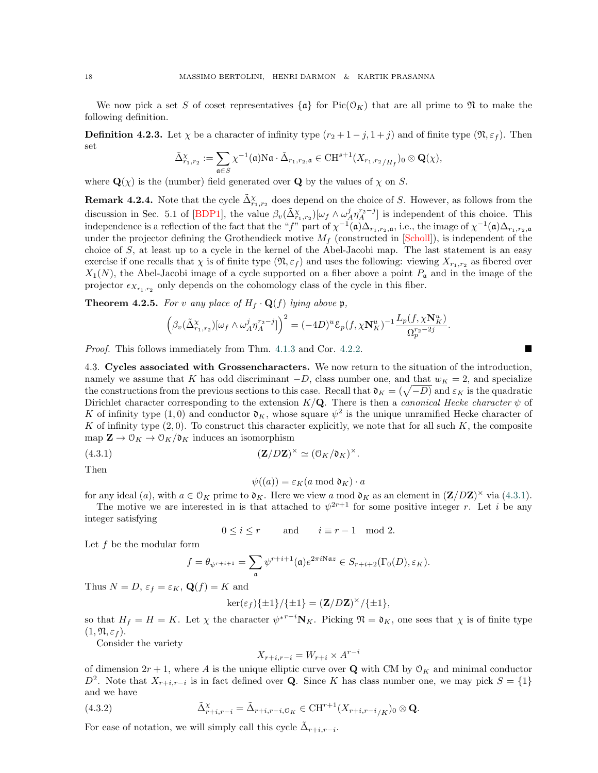We now pick a set S of coset representatives  $\{\mathfrak{a}\}\$  for  $Pic(\mathfrak{O}_K)$  that are all prime to  $\mathfrak{N}$  to make the following definition.

**Definition 4.2.3.** Let  $\chi$  be a character of infinity type  $(r_2 + 1 - j, 1 + j)$  and of finite type  $(\mathfrak{N}, \varepsilon_f)$ . Then set

$$
\tilde{\Delta}_{r_1,r_2}^{\chi} := \sum_{\mathfrak{a} \in S} \chi^{-1}(\mathfrak{a}) \mathrm{N}\mathfrak{a} \cdot \tilde{\Delta}_{r_1,r_2,\mathfrak{a}} \in \mathrm{CH}^{s+1}(X_{r_1,r_2/H_f})_0 \otimes \mathbf{Q}(\chi),
$$

where  $\mathbf{Q}(\chi)$  is the (number) field generated over **Q** by the values of  $\chi$  on S.

**Remark 4.2.4.** Note that the cycle  $\tilde{\Delta}_{r_1,r_2}^{\chi}$  does depend on the choice of S. However, as follows from the discussion in Sec. 5.1 of [\[BDP1\]](#page-45-1), the value  $\beta_v(\tilde{\Delta}_{r_1,r_2}^{\chi})[\omega_f \wedge \omega_A^j \eta_A^{r_2-j}]$  is independent of this choice. This independence is a reflection of the fact that the "f" part of  $\chi^{-1}(\mathfrak{a})\Delta_{r_1,r_2,\mathfrak{a}}$ , i.e., the image of  $\chi^{-1}(\mathfrak{a})\Delta_{r_1,r_2,\mathfrak{a}}$ under the projector defining the Grothendieck motive  $M_f$  (constructed in [\[Scholl\]](#page-45-6)), is independent of the choice of  $S$ , at least up to a cycle in the kernel of the Abel-Jacobi map. The last statement is an easy exercise if one recalls that  $\chi$  is of finite type  $(\mathfrak{N}, \varepsilon_f)$  and uses the following: viewing  $X_{r_1,r_2}$  as fibered over  $X_1(N)$ , the Abel-Jacobi image of a cycle supported on a fiber above a point  $P_a$  and in the image of the projector  $\epsilon_{X_{r_1,r_2}}$  only depends on the cohomology class of the cycle in this fiber.

<span id="page-17-3"></span>**Theorem 4.2.5.** For v any place of  $H_f \cdot \mathbf{Q}(f)$  lying above p,

$$
\Big(\beta_v(\tilde{\Delta}_{r_1,r_2}^{\chi})[\omega_f \wedge \omega_A^j \eta_A^{r_2-j}]\Big)^2 = (-4D)^u \mathcal{E}_p(f,\chi \mathbf{N}_K^u)^{-1} \frac{L_p(f,\chi \mathbf{N}_K^u)}{\Omega_p^{r_2-2j}}.
$$

*Proof.* This follows immediately from Thm.  $4.1.3$  and Cor.  $4.2.2$ . [4.2.2.](#page-16-3)

<span id="page-17-0"></span>4.3. Cycles associated with Grossencharacters. We now return to the situation of the introduction, namely we assume that K has odd discriminant  $-D$ , class number one, and that  $w_K = 2$ , and specialize the constructions from the previous sections to this case. Recall that  $\mathfrak{d}_K = (\sqrt{-D})$  and  $\varepsilon_K$  is the quadratic Dirichlet character corresponding to the extension  $K/\mathbf{Q}$ . There is then a *canonical Hecke character*  $\psi$  of K of infinity type  $(1,0)$  and conductor  $\mathfrak{d}_K$ , whose square  $\psi^2$  is the unique unramified Hecke character of K of infinity type  $(2, 0)$ . To construct this character explicitly, we note that for all such K, the composite map  $\mathbf{Z} \to \mathcal{O}_K \to \mathcal{O}_K/\mathfrak{d}_K$  induces an isomorphism

eqn:okisom (4.3.1) (Z/DZ) × ' (OK/dK) ×.

Then

<span id="page-17-1"></span>
$$
\psi((a)) = \varepsilon_K(a \bmod \mathfrak{d}_K) \cdot a
$$

for any ideal (a), with  $a \in \mathcal{O}_K$  prime to  $\mathfrak{d}_K$ . Here we view a mod  $\mathfrak{d}_K$  as an element in  $(\mathbf{Z}/D\mathbf{Z})^{\times}$  via ([4.3.1\)](#page-17-1).

The motive we are interested in is that attached to  $\psi^{2r+1}$  for some positive integer r. Let i be any integer satisfying

$$
0 \le i \le r \qquad \text{and} \qquad i \equiv r - 1 \mod 2.
$$

Let f be the modular form

$$
f=\theta_{\psi^{r+i+1}}=\sum_{\mathfrak{a}}\psi^{r+i+1}(\mathfrak{a})e^{2\pi i \mathrm{N}\mathfrak{a} z}\in S_{r+i+2}(\Gamma_0(D),\varepsilon_K).
$$

Thus  $N = D$ ,  $\varepsilon_f = \varepsilon_K$ ,  $\mathbf{Q}(f) = K$  and

$$
\ker(\varepsilon_f)\{\pm 1\}/\{\pm 1\} = (\mathbf{Z}/D\mathbf{Z})^{\times}/\{\pm 1\},\
$$

so that  $H_f = H = K$ . Let  $\chi$  the character  $\psi^{*r-i}N_K$ . Picking  $\mathfrak{N} = \mathfrak{d}_K$ , one sees that  $\chi$  is of finite type  $(1, \mathfrak{N}, \varepsilon_f).$ 

Consider the variety

<span id="page-17-2"></span>
$$
X_{r+i,r-i} = W_{r+i} \times A^{r-i}
$$

of dimension  $2r + 1$ , where A is the unique elliptic curve over Q with CM by  $\mathcal{O}_K$  and minimal conductor  $D^2$ . Note that  $X_{r+i,r-i}$  is in fact defined over Q. Since K has class number one, we may pick  $S = \{1\}$ and we have

(4.3.2) 
$$
\tilde{\Delta}_{r+i,r-i}^{\chi} = \tilde{\Delta}_{r+i,r-i,0_K} \in \mathrm{CH}^{r+1}(X_{r+i,r-i/K})_0 \otimes \mathbf{Q}.
$$

For ease of notation, we will simply call this cycle  $\tilde{\Delta}_{r+i,r-i}$ .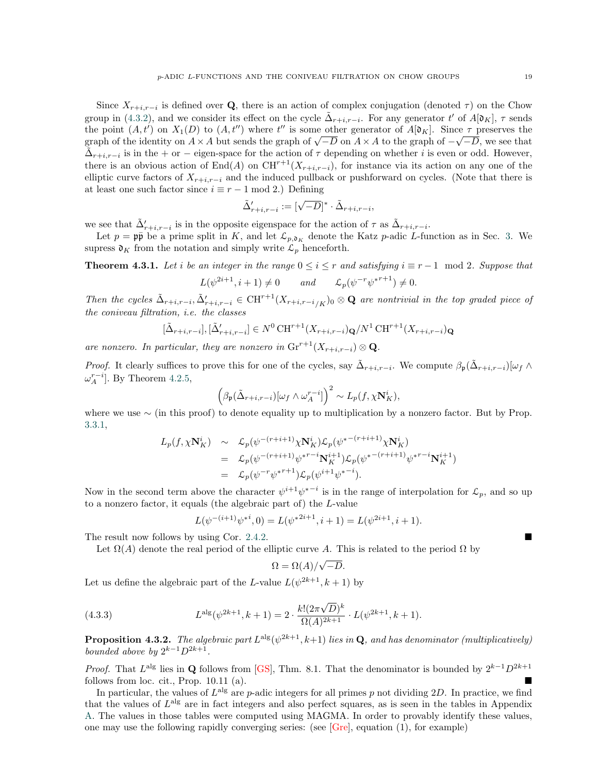Since  $X_{r+i,r-i}$  is defined over Q, there is an action of complex conjugation (denoted  $\tau$ ) on the Chow group in ([4.3.2\)](#page-17-2), and we consider its effect on the cycle  $\tilde{\Delta}_{r+i,r-i}$ . For any generator t' of  $A[\mathfrak{d}_K]$ ,  $\tau$  sends the point  $(A, t')$  on  $X_1(D)$  to  $(A, t'')$  where  $t''$  is some other generator of  $A[\mathfrak{d}_K]$ . Since  $\tau$  preserves the the point  $(A, t)$  on  $A_1(D)$  to  $(A, t)$  where the is some other generator of  $A[\mathfrak{v}_K]$ . Since  $\tau$  preserves the graph of the identity on  $A \times A$  but sends the graph of  $\sqrt{-D}$  on  $A \times A$  to the graph of  $-\sqrt{-D}$ , we see th  $\tilde{\Delta}_{r+i,r-i}$  is in the + or − eigen-space for the action of  $\tau$  depending on whether i is even or odd. However, there is an obvious action of End(A) on  $CH^{r+1}(X_{r+i,r-i})$ , for instance via its action on any one of the elliptic curve factors of  $X_{r+i,r-i}$  and the induced pullback or pushforward on cycles. (Note that there is at least one such factor since  $i \equiv r - 1 \mod 2$ .) Defining

$$
\tilde{\Delta}'_{r+i,r-i} := [\sqrt{-D}]^{*} \cdot \tilde{\Delta}_{r+i,r-i},
$$

we see that  $\tilde{\Delta}'_{r+i,r-i}$  is in the opposite eigenspace for the action of  $\tau$  as  $\tilde{\Delta}_{r+i,r-i}$ .

Let  $p = \mathfrak{p}\bar{\mathfrak{p}}$  be a prime split in K, and let  $\mathcal{L}_{p,\mathfrak{d}_K}$  denote the Katz p-adic L-function as in Sec. [3.](#page-11-0) We supress  $\mathfrak{d}_K$  from the notation and simply write  $\mathcal{L}_p$  henceforth.

<span id="page-18-0"></span>**Theorem 4.3.1.** Let i be an integer in the range  $0 \le i \le r$  and satisfying  $i \equiv r - 1 \mod 2$ . Suppose that

$$
L(\psi^{2i+1}, i+1) \neq 0 \qquad and \qquad \mathcal{L}_p(\psi^{-r}\psi^{*r+1}) \neq 0.
$$

Then the cycles  $\tilde{\Delta}_{r+i,r-i}, \tilde{\Delta}'_{r+i,r-i} \in \mathrm{CH}^{r+1}(X_{r+i,r-i/K})_0 \otimes \mathbf{Q}$  are nontrivial in the top graded piece of the coniveau filtration, i.e. the classes

$$
[\tilde{\Delta}_{r+i,r-i}], [\tilde{\Delta}'_{r+i,r-i}] \in N^0 \operatorname{CH}^{r+1}(X_{r+i,r-i}) \mathbf{Q}/N^1 \operatorname{CH}^{r+1}(X_{r+i,r-i}) \mathbf{Q}
$$

are nonzero. In particular, they are nonzero in  $\mathrm{Gr}^{r+1}(X_{r+i,r-i})\otimes \mathbf{Q}$ .

*Proof.* It clearly suffices to prove this for one of the cycles, say  $\tilde{\Delta}_{r+i,r-i}$ . We compute  $\beta_{\mathfrak{p}}(\tilde{\Delta}_{r+i,r-i})[\omega_f \wedge \tilde{\Delta}_{r+i,r-i}]$  $\omega_A^{r-i}$ . By Theorem [4.2.5,](#page-17-3)

$$
\left(\beta_{\mathfrak{p}}(\tilde{\Delta}_{r+i,r-i})[\omega_f \wedge \omega_A^{r-i}]\right)^2 \sim L_p(f, \chi \mathbf{N}_K^i),
$$

where we use  $\sim$  (in this proof) to denote equality up to multiplication by a nonzero factor. But by Prop. [3.3.1,](#page-12-1)

$$
L_p(f, \chi \mathbf{N}_K^i) \sim \mathcal{L}_p(\psi^{-(r+i+1)} \chi \mathbf{N}_K^i) \mathcal{L}_p(\psi^{*- (r+i+1)} \chi \mathbf{N}_K^i)
$$
  
=  $\mathcal{L}_p(\psi^{-(r+i+1)} \psi^{*r-i} \mathbf{N}_K^{i+1}) \mathcal{L}_p(\psi^{*- (r+i+1)} \psi^{*r-i} \mathbf{N}_K^{i+1})$   
=  $\mathcal{L}_p(\psi^{-r} \psi^{*r+1}) \mathcal{L}_p(\psi^{i+1} \psi^{*-i}).$ 

Now in the second term above the character  $\psi^{i+1}\psi^{*-1}$  is in the range of interpolation for  $\mathcal{L}_p$ , and so up to a nonzero factor, it equals (the algebraic part of) the L-value

$$
L(\psi^{-(i+1)}\psi^{*i},0) = L(\psi^{*2i+1},i+1) = L(\psi^{2i+1},i+1).
$$

The result now follows by using Cor. 2.4.2. [2.4.2.](#page-9-1)

Let  $\Omega(A)$  denote the real period of the elliptic curve A. This is related to the period  $\Omega$  by

$$
\Omega = \Omega(A)/\sqrt{-D}.
$$

Let us define the algebraic part of the L-value  $L(\psi^{2k+1}, k+1)$  by

(4.3.3) 
$$
L^{\mathrm{alg}}(\psi^{2k+1},k+1) = 2 \cdot \frac{k!(2\pi\sqrt{D})^k}{\Omega(A)^{2k+1}} \cdot L(\psi^{2k+1},k+1).
$$

**Proposition 4.3.2.** The algebraic part  $L^{alg}(\psi^{2k+1}, k+1)$  lies in Q, and has denominator (multiplicatively) bounded above by  $2^{k-1}D^{2k+1}$ .

> <span id="page-18-1"></span>*Proof.* That  $L^{\text{alg}}$  lies in Q follows from [\[GS\]](#page-45-23), Thm. 8.1. That the denominator is bounded by  $2^{k-1}D^{2k+1}$ follows from loc. cit., Prop. 10.11 (a).

> In particular, the values of  $L^{\text{alg}}$  are p-adic integers for all primes p not dividing 2D. In practice, we find that the values of  $L^{alg}$  are in fact integers and also perfect squares, as is seen in the tables in Appendix [A.](#page-27-0) The values in those tables were computed using MAGMA. In order to provably identify these values, one may use the following rapidly converging series: (see  $[Gre]$ , equation (1), for example)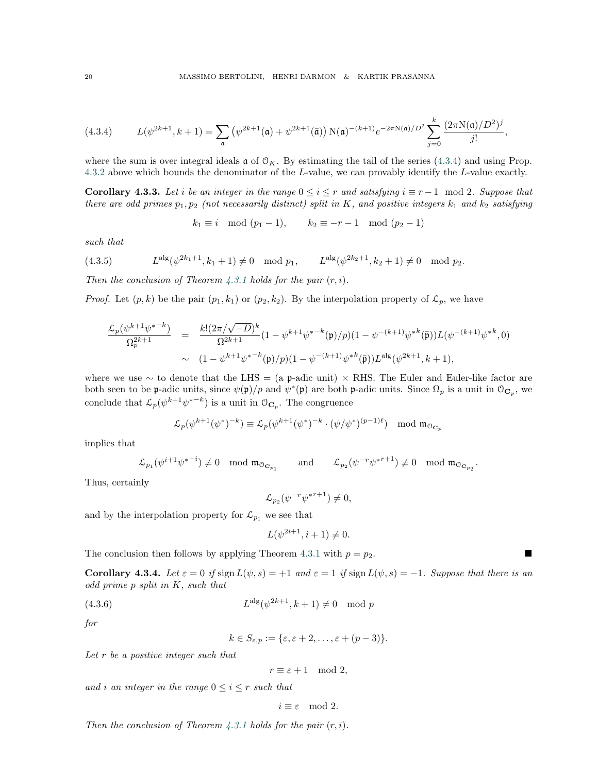$$
(4.3.4) \tL(\psi^{2k+1},k+1) = \sum_{\mathfrak{a}} (\psi^{2k+1}(\mathfrak{a}) + \psi^{2k+1}(\bar{\mathfrak{a}})) N(\mathfrak{a})^{-(k+1)} e^{-2\pi N(\mathfrak{a})/D^2} \sum_{j=0}^k \frac{(2\pi N(\mathfrak{a})/D^2)^j}{j!},
$$

<span id="page-19-0"></span>where the sum is over integral ideals  $\boldsymbol{\mathfrak{a}}$  of  $\mathfrak{O}_K$ . By estimating the tail of the series ([4.3.4\)](#page-19-0) and using Prop. [4.3.2](#page-18-1) above which bounds the denominator of the L-value, we can provably identify the L-value exactly.

**Corollary 4.3.3.** Let i be an integer in the range  $0 \le i \le r$  and satisfying  $i \equiv r - 1 \mod 2$ . Suppose that there are odd primes  $p_1, p_2$  (not necessarily distinct) split in K, and positive integers  $k_1$  and  $k_2$  satisfying

$$
k_1 \equiv i \mod (p_1 - 1), \qquad k_2 \equiv -r - 1 \mod (p_2 - 1)
$$

such that

(4.3.5) 
$$
L^{alg}(\psi^{2k_1+1}, k_1+1) \neq 0 \mod p_1
$$
,  $L^{alg}(\psi^{2k_2+1}, k_2+1) \neq 0 \mod p_2$ .

Then the conclusion of Theorem [4.3.1](#page-18-0) holds for the pair  $(r, i)$ .

*Proof.* Let  $(p, k)$  be the pair  $(p_1, k_1)$  or  $(p_2, k_2)$ . By the interpolation property of  $\mathcal{L}_p$ , we have

$$
\frac{\mathcal{L}_p(\psi^{k+1}\psi^{*-k})}{\Omega_p^{2k+1}} = \frac{k!(2\pi/\sqrt{-D})^k}{\Omega^{2k+1}}(1-\psi^{k+1}\psi^{*-k}(\mathfrak{p})/p)(1-\psi^{-(k+1)}\psi^{*k}(\bar{\mathfrak{p}}))L(\psi^{-(k+1)}\psi^{*k},0)
$$
  
 
$$
\sim (1-\psi^{k+1}\psi^{*-k}(\mathfrak{p})/p)(1-\psi^{-(k+1)}\psi^{*k}(\bar{\mathfrak{p}}))L^{\mathrm{alg}}(\psi^{2k+1},k+1),
$$

where we use  $\sim$  to denote that the LHS = (a p-adic unit)  $\times$  RHS. The Euler and Euler-like factor are both seen to be p-adic units, since  $\psi(\mathfrak{p})/p$  and  $\psi^*(\mathfrak{p})$  are both p-adic units. Since  $\Omega_p$  is a unit in  $\mathfrak{O}_{\mathbf{C}_p}$ , we conclude that  $\mathcal{L}_p(\psi^{k+1}\psi^{*-k})$  is a unit in  $\mathcal{O}_{\mathbf{C}_p}$ . The congruence

$$
\mathcal{L}_p(\psi^{k+1}(\psi^*)^{-k}) \equiv \mathcal{L}_p(\psi^{k+1}(\psi^*)^{-k} \cdot (\psi/\psi^*)^{(p-1)\ell}) \mod \mathfrak{m}_{\mathfrak{O}_{\mathbf{C}_p}}
$$

implies that

$$
\mathcal{L}_{p_1}(\psi^{i+1}\psi^{* - i}) \not\equiv 0 \mod \mathfrak{m}_{\mathcal{O}_{\mathbf{C}p_1}} \qquad \text{and} \qquad \mathcal{L}_{p_2}(\psi^{-r}\psi^{*r+1}) \not\equiv 0 \mod \mathfrak{m}_{\mathcal{O}_{\mathbf{C}p_2}}.
$$

Thus, certainly

$$
\mathcal{L}_{p_2}(\psi^{-r}\psi^{*r+1}) \neq 0,
$$

and by the interpolation property for  $\mathcal{L}_{p_1}$  we see that

$$
L(\psi^{2i+1}, i+1) \neq 0.
$$

The conclusion then follows by applying Theorem [4.3.1](#page-18-0) with  $p = p_2$ .

Corollary 4.3.4. Let  $\varepsilon = 0$  if sign  $L(\psi, s) = +1$  and  $\varepsilon = 1$  if sign  $L(\psi, s) = -1$ . Suppose that there is an odd prime p split in K, such that

$$
(4.3.6) \tLalg(\psi^{2k+1}, k+1) \neq 0 \mod p
$$

for

<span id="page-19-1"></span>
$$
k \in S_{\varepsilon,p} := \{\varepsilon, \varepsilon + 2, \ldots, \varepsilon + (p-3)\}.
$$

Let  $r$  be a positive integer such that

 $r \equiv \varepsilon + 1 \mod 2$ ,

and i an integer in the range  $0 \leq i \leq r$  such that

$$
i \equiv \varepsilon \mod 2.
$$

Then the conclusion of Theorem [4.3.1](#page-18-0) holds for the pair  $(r, i)$ .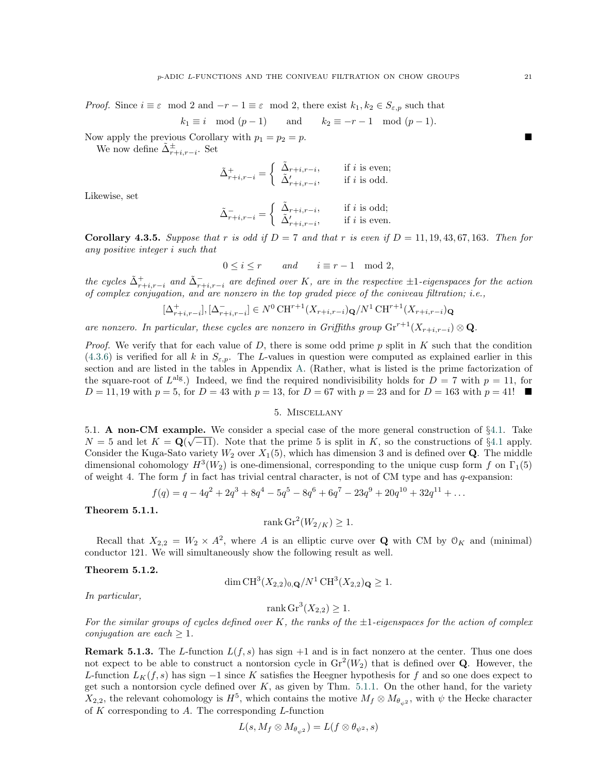*Proof.* Since  $i \equiv \varepsilon \mod 2$  and  $-r-1 \equiv \varepsilon \mod 2$ , there exist  $k_1, k_2 \in S_{\varepsilon,p}$  such that

$$
k_1 \equiv i \mod (p-1) \qquad \text{and} \qquad k_2 \equiv -r-1 \mod (p-1).
$$

Now apply the previous Corollary with  $p_1 = p_2 = p$ .

We now define  $\tilde{\Delta}_{r+i,r-i}^{\pm}$ . Set

$$
\tilde{\Delta}^+_{r+i,r-i} = \left\{ \begin{array}{ll} \tilde{\Delta}_{r+i,r-i}, & \quad \text{if $i$ is even;} \\ \tilde{\Delta}'_{r+i,r-i}, & \quad \text{if $i$ is odd.} \end{array} \right.
$$

Likewise, set

$$
\tilde{\Delta}_{r+i,r-i}^- = \left\{ \begin{array}{ll} \tilde{\Delta}_{r+i,r-i}, & \quad \text{if } i \text{ is odd;} \\ \tilde{\Delta}'_{r+i,r-i}, & \quad \text{if } i \text{ is even.} \end{array} \right.
$$

<span id="page-20-2"></span>**Corollary 4.3.5.** Suppose that r is odd if  $D = 7$  and that r is even if  $D = 11, 19, 43, 67, 163$ . Then for any positive integer i such that

$$
0 \le i \le r \qquad and \qquad i \equiv r - 1 \mod 2,
$$

the cycles  $\tilde{\Delta}_{r+i,r-i}^+$  and  $\tilde{\Delta}_{r+i,r-i}^-$  are defined over K, are in the respective  $\pm 1$ -eigenspaces for the action of complex conjugation, and are nonzero in the top graded piece of the coniveau filtration; i.e.,

$$
[\Delta^+_{r+i,r-i}], [\Delta^-_{r+i,r-i}] \in N^0 \text{CH}^{r+1}(X_{r+i,r-i}) \mathbf{Q}/N^1 \text{CH}^{r+1}(X_{r+i,r-i}) \mathbf{Q}
$$

are nonzero. In particular, these cycles are nonzero in Griffiths group  $\mathrm{Gr}^{r+1}(X_{r+i,r-i})\otimes \mathbf{Q}$ .

*Proof.* We verify that for each value of D, there is some odd prime p split in K such that the condition ([4.3.6\)](#page-19-1) is verified for all k in  $S_{\varepsilon,p}$ . The L-values in question were computed as explained earlier in this section and are listed in the tables in Appendix [A.](#page-27-0) (Rather, what is listed is the prime factorization of the square-root of  $L^{alg}$ .) Indeed, we find the required nondivisibility holds for  $D = 7$  with  $p = 11$ , for  $D = 11, 19$  with  $p = 5$ , for  $D = 43$  with  $p = 13$ , for  $D = 67$  with  $p = 23$  and for  $D = 163$  with  $p = 41!$ 

# 5. Miscellany

<span id="page-20-1"></span><span id="page-20-0"></span>5.1. A non-CM example. We consider a special case of the more general construction of §[4.1.](#page-13-1) Take  $N = 5$  and let  $K = \mathbf{Q}(\sqrt{-11})$ . Note that the prime 5 is split in K, so the constructions of §[4.1](#page-13-1) apply. Consider the Kuga-Sato variety  $W_2$  over  $X_1(5)$ , which has dimension 3 and is defined over **Q**. The middle dimensional cohomology  $H^3(W_2)$  is one-dimensional, corresponding to the unique cusp form f on  $\Gamma_1(5)$ of weight 4. The form  $f$  in fact has trivial central character, is not of CM type and has  $q$ -expansion:

$$
f(q) = q - 4q^2 + 2q^3 + 8q^4 - 5q^5 - 8q^6 + 6q^7 - 23q^9 + 20q^{10} + 32q^{11} + \dots
$$

<span id="page-20-3"></span>Theorem 5.1.1.

$$
rank Gr2(W2/K) \ge 1.
$$

Recall that  $X_{2,2} = W_2 \times A^2$ , where A is an elliptic curve over Q with CM by  $\mathcal{O}_K$  and (minimal) conductor 121. We will simultaneously show the following result as well.

# <span id="page-20-4"></span>Theorem 5.1.2.

$$
\dim \mathrm{CH}^3(X_{2,2})_{0,\mathbf{Q}}/N^1 \mathrm{CH}^3(X_{2,2})_{\mathbf{Q}} \ge 1.
$$

In particular,

$$
rank Gr3(X2,2) \ge 1.
$$

For the similar groups of cycles defined over K, the ranks of the  $\pm 1$ -eigenspaces for the action of complex conjugation are each  $\geq 1$ .

**Remark 5.1.3.** The L-function  $L(f, s)$  has sign  $+1$  and is in fact nonzero at the center. Thus one does not expect to be able to construct a nontorsion cycle in  $\text{Gr}^2(W_2)$  that is defined over Q. However, the L-function  $L_K(f, s)$  has sign  $-1$  since K satisfies the Heegner hypothesis for f and so one does expect to get such a nontorsion cycle defined over  $K$ , as given by Thm. [5.1.1.](#page-20-3) On the other hand, for the variety  $X_{2,2}$ , the relevant cohomology is  $H^5$ , which contains the motive  $M_f \otimes M_{\theta_{\psi^2}}$ , with  $\psi$  the Hecke character of K corresponding to A. The corresponding  $L$ -function

$$
L(s, M_f \otimes M_{\theta_{\psi^2}}) = L(f \otimes \theta_{\psi^2}, s)
$$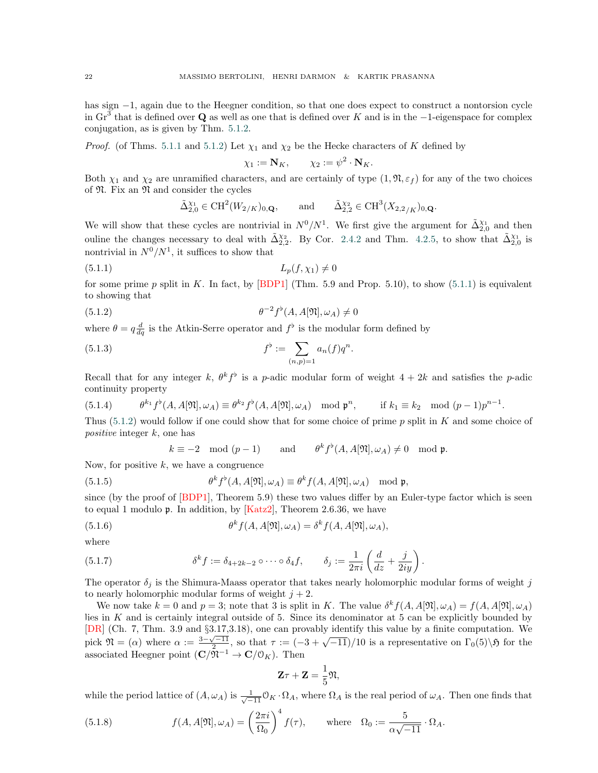has sign −1, again due to the Heegner condition, so that one does expect to construct a nontorsion cycle in Gr<sup>3</sup> that is defined over Q as well as one that is defined over K and is in the  $-1$ -eigenspace for complex conjugation, as is given by Thm. [5.1.2.](#page-20-4)

*Proof.* (of Thms. [5.1.1](#page-20-3) and [5.1.2\)](#page-20-4) Let  $\chi_1$  and  $\chi_2$  be the Hecke characters of K defined by

<span id="page-21-0"></span>
$$
\chi_1 := \mathbf{N}_K, \qquad \chi_2 := \psi^2 \cdot \mathbf{N}_K.
$$

Both  $\chi_1$  and  $\chi_2$  are unramified characters, and are certainly of type  $(1, \mathfrak{N}, \varepsilon_f)$  for any of the two choices of  $\mathfrak{N}$ . Fix an  $\mathfrak{N}$  and consider the cycles

<span id="page-21-1"></span>
$$
\tilde{\Delta}_{2,0}^{\chi_1} \in \text{CH}^2(W_{2/K})_{0,\mathbf{Q}}, \quad \text{and} \quad \tilde{\Delta}_{2,2}^{\chi_2} \in \text{CH}^3(X_{2,2/K})_{0,\mathbf{Q}}.
$$

We will show that these cycles are nontrivial in  $N^0/N^1$ . We first give the argument for  $\tilde{\Delta}_{2,0}^{\chi_1}$  and then ouline the changes necessary to deal with  $\tilde{\Delta}_{2,2}^{X_2}$ . By Cor. [2.4.2](#page-9-1) and Thm. [4.2.5,](#page-17-3) to show that  $\tilde{\Delta}_{2,0}^{X_1}$  is nontrivial in  $N^0/N^1$ , it suffices to show that

$$
(5.1.1)\qquad \qquad L_p(f, \chi_1) \neq 0
$$

for some prime p split in K. In fact, by [\[BDP1\]](#page-45-1) (Thm. 5.9 and Prop. 5.10), to show  $(5.1.1)$  $(5.1.1)$  is equivalent to showing that

eqn:dfneq0 (5.1.2) θ −2 f [ (A, A[N], ωA) 6= 0

where  $\theta = q \frac{d}{dq}$  is the Atkin-Serre operator and  $f^{\flat}$  is the modular form defined by

(5.1.3) 
$$
f^{\flat} := \sum_{(n,p)=1} a_n(f) q^n.
$$

Recall that for any integer k,  $\theta^k f^{\flat}$  is a p-adic modular form of weight  $4 + 2k$  and satisfies the p-adic continuity property

(5.1.4) 
$$
\theta^{k_1} f^{\flat}(A, A[\mathfrak{N}], \omega_A) \equiv \theta^{k_2} f^{\flat}(A, A[\mathfrak{N}], \omega_A) \mod \mathfrak{p}^n, \quad \text{if } k_1 \equiv k_2 \mod (p-1)p^{n-1}.
$$

Thus ([5.1.2\)](#page-21-1) would follow if one could show that for some choice of prime p split in K and some choice of positive integer k, one has

$$
k \equiv -2 \mod (p-1)
$$
 and  $\theta^k f^{\flat}(A, A[\mathfrak{N}], \omega_A) \neq 0 \mod \mathfrak{p}.$ 

Now, for positive  $k$ , we have a congruence

(5.1.5) 
$$
\theta^k f^{\flat}(A, A[\mathfrak{N}], \omega_A) \equiv \theta^k f(A, A[\mathfrak{N}], \omega_A) \mod \mathfrak{p},
$$

since (by the proof of  $[BDP1]$ , Theorem 5.9) these two values differ by an Euler-type factor which is seen to equal 1 modulo  $\mathfrak{p}$ . In addition, by  $[Katz2]$ , Theorem 2.6.36, we have

(5.1.6) 
$$
\theta^k f(A, A[\mathfrak{N}], \omega_A) = \delta^k f(A, A[\mathfrak{N}], \omega_A),
$$

where

(5.1.7) 
$$
\delta^k f := \delta_{4+2k-2} \circ \cdots \circ \delta_4 f, \qquad \delta_j := \frac{1}{2\pi i} \left( \frac{d}{dz} + \frac{j}{2iy} \right).
$$

The operator  $\delta_j$  is the Shimura-Maass operator that takes nearly holomorphic modular forms of weight j to nearly holomorphic modular forms of weight  $j + 2$ .

We now take  $k = 0$  and  $p = 3$ ; note that 3 is split in K. The value  $\delta^k f(A, A[\mathfrak{N}], \omega_A) = f(A, A[\mathfrak{N}], \omega_A)$ lies in  $K$  and is certainly integral outside of 5. Since its denominator at 5 can be explicitly bounded by [\[DR\]](#page-45-26) (Ch. 7, Thm. 3.9 and  $\S3.17,3.18$ ), one can provably identify this value by a finite computation. We pick  $\mathfrak{N} = (\alpha)$  where  $\alpha := \frac{3-\sqrt{-11}}{2}$ , so that  $\tau := (-3+\sqrt{-11})/10$  is a representative on  $\Gamma_0(5)\setminus\mathfrak{H}$  for the associated Heegner point  $(\mathbf{C}/\mathfrak{N}^{-1} \to \mathbf{C}/\mathfrak{O}_K)$ . Then

$$
\mathbf{Z}\tau + \mathbf{Z} = \frac{1}{5}\mathfrak{N},
$$

while the period lattice of  $(A, \omega_A)$  is  $\frac{1}{\sqrt{-11}} \mathbb{O}_K \cdot \Omega_A$ , where  $\Omega_A$  is the real period of  $\omega_A$ . Then one finds that

(5.1.8) 
$$
f(A, A[\mathfrak{N}], \omega_A) = \left(\frac{2\pi i}{\Omega_0}\right)^4 f(\tau), \quad \text{where} \quad \Omega_0 := \frac{5}{\alpha\sqrt{-11}} \cdot \Omega_A.
$$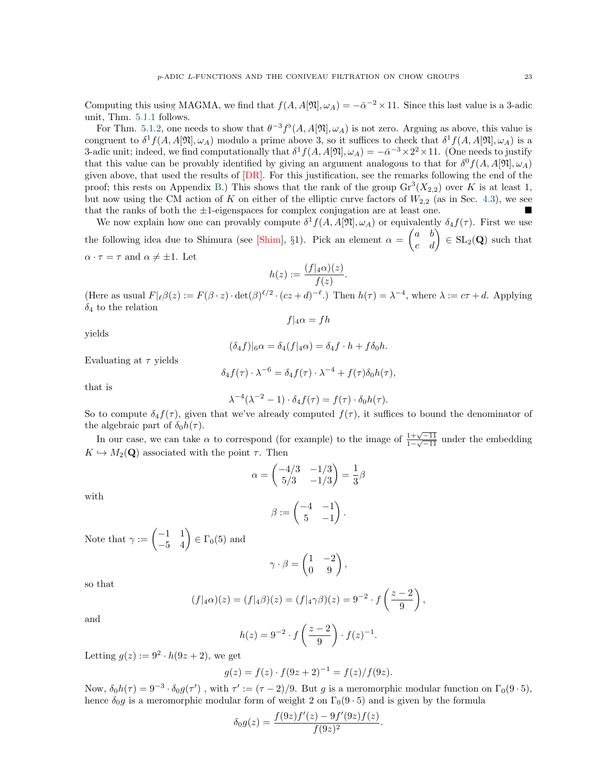Computing this using MAGMA, we find that  $f(A, A[\mathfrak{N}], \omega_A) = -\bar{\alpha}^{-2} \times 11$ . Since this last value is a 3-adic  $\frac{1}{2}$  computing  $\frac{1}{2}$  and  $\frac{1}{2}$  follows.

For Thm. [5.1.2,](#page-20-4) one needs to show that  $\theta^{-3} f^{\flat}(A, A[\mathfrak{N}], \omega_A)$  is not zero. Arguing as above, this value is congruent to  $\delta^1 f(A, A[\mathfrak{N}], \omega_A)$  modulo a prime above 3, so it suffices to check that  $\delta^1 f(A, A[\mathfrak{N}], \omega_A)$  is a 3-adic unit; indeed, we find computationally that  $\delta^1 f(A, A[\mathfrak{N}], \omega_A) = -\bar{\alpha}^{-3} \times 2^2 \times 11$ . (One needs to justify that this value can be provably identified by giving an argument analogous to that for  $\delta^0 f(A, A[\mathfrak{N}], \omega_A)$ given above, that used the results of  $[DR]$ . For this justification, see the remarks following the end of the proof; this rests on Appendix [B.](#page-29-0)) This shows that the rank of the group  $\text{Gr}^3(X_{2,2})$  over K is at least 1, but now using the CM action of K on either of the elliptic curve factors of  $W_{2,2}$  (as in Sec. [4.3\)](#page-17-0), we see that the ranks of both the  $\pm 1$ -eigenspaces for complex conjugation are at least one.

We now explain how one can provably compute  $\delta^1 f(A, A[\mathfrak{N}], \omega_A)$  or equivalently  $\delta_4 f(\tau)$ . First we use the following idea due to Shimura (see [\[Shim\]](#page-45-27), §1). Pick an element  $\alpha = \begin{pmatrix} a & b \\ c & d \end{pmatrix} \in SL_2(\mathbf{Q})$  such that  $\alpha \cdot \tau = \tau$  and  $\alpha \neq \pm 1$ . Let

$$
h(z) := \frac{(f|_4\alpha)(z)}{f(z)}.
$$

(Here as usual  $F|_{\ell}\beta(z) := F(\beta \cdot z) \cdot \det(\beta)^{\ell/2} \cdot (cz + d)^{-\ell}$ .) Then  $h(\tau) = \lambda^{-4}$ , where  $\lambda := c\tau + d$ . Applying  $\delta_4$  to the relation  $f|_4\alpha = fh$ 

yields

$$
(\delta_4 f)|_6 \alpha = \delta_4(f|_4 \alpha) = \delta_4 f \cdot h + f \delta_0 h.
$$

Evaluating at  $\tau$  yields

$$
\delta_4 f(\tau) \cdot \lambda^{-6} = \delta_4 f(\tau) \cdot \lambda^{-4} + f(\tau) \delta_0 h(\tau),
$$

that is

$$
\lambda^{-4}(\lambda^{-2} - 1) \cdot \delta_4 f(\tau) = f(\tau) \cdot \delta_0 h(\tau).
$$

So to compute  $\delta_4 f(\tau)$ , given that we've already computed  $f(\tau)$ , it suffices to bound the denominator of the algebraic part of  $\delta_0 h(\tau)$ .

In our case, we can take  $\alpha$  to correspond (for example) to the image of  $\frac{1+\sqrt{-11}}{1-\sqrt{-11}}$  $\frac{1+\sqrt{-11}}{1-\sqrt{-11}}$  under the embedding  $K \hookrightarrow M_2(\mathbf{Q})$  associated with the point  $\tau$ . Then

$$
\alpha = \begin{pmatrix} -4/3 & -1/3 \\ 5/3 & -1/3 \end{pmatrix} = \frac{1}{3}\beta
$$

with

$$
\beta:=\begin{pmatrix}-4 & -1\\ 5 & -1\end{pmatrix}.
$$

Note that  $\gamma := \begin{pmatrix} -1 & 1 \\ -5 & 4 \end{pmatrix} \in \Gamma_0(5)$  and

$$
\gamma \cdot \beta = \begin{pmatrix} 1 & -2 \\ 0 & 9 \end{pmatrix},
$$

so that

$$
(f|_4\alpha)(z) = (f|_4\beta)(z) = (f|_4\gamma\beta)(z) = 9^{-2} \cdot f\left(\frac{z-2}{9}\right),
$$

and

$$
h(z) = 9^{-2} \cdot f\left(\frac{z-2}{9}\right) \cdot f(z)^{-1}.
$$

Letting  $g(z) := 9^2 \cdot h(9z + 2)$ , we get

$$
g(z) = f(z) \cdot f(9z + 2)^{-1} = f(z)/f(9z).
$$

Now,  $\delta_0 h(\tau) = 9^{-3} \cdot \delta_0 g(\tau')$ , with  $\tau' := (\tau - 2)/9$ . But g is a meromorphic modular function on  $\Gamma_0(9.5)$ , hence  $\delta_0 g$  is a meromorphic modular form of weight 2 on  $\Gamma_0(9 \cdot 5)$  and is given by the formula

$$
\delta_0 g(z) = \frac{f(9z)f'(z) - 9f'(9z)f(z)}{f(9z)^2}.
$$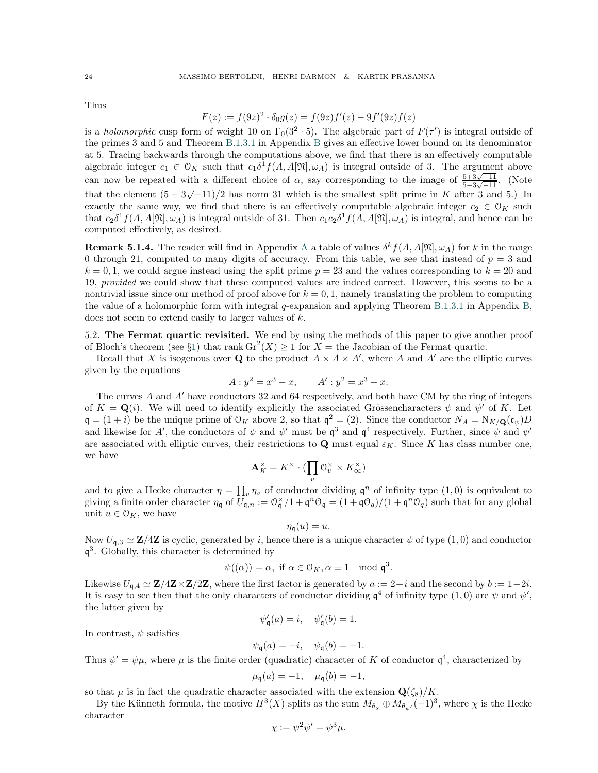Thus

$$
F(z) := f(9z)^2 \cdot \delta_0 g(z) = f(9z)f'(z) - 9f'(9z)f(z)
$$

is a *holomorphic* cusp form of weight 10 on  $\Gamma_0(3^2 \cdot 5)$ . The algebraic part of  $F(\tau')$  is integral outside of the primes 3 and 5 and Theorem [B.1.3.1](#page-31-1) in Appendix [B](#page-29-0) gives an effective lower bound on its denominator at 5. Tracing backwards through the computations above, we find that there is an effectively computable algebraic integer  $c_1 \in \mathcal{O}_K$  such that  $c_1 \delta^1 f(A, A[\mathfrak{N}], \omega_A)$  is integral outside of 3. The argument above can now be repeated with a different choice of  $\alpha$ , say corresponding to the image of  $\frac{5+3\sqrt{-11}}{5-\sqrt{31}}$  $rac{5+3\sqrt{-11}}{5-3\sqrt{-11}}$ . (Note that the element  $(5 + 3\sqrt{-11})/2$  has norm 31 which is the smallest split prime in K after 3 and 5.) In exactly the same way, we find that there is an effectively computable algebraic integer  $c_2 \in \mathcal{O}_K$  such that  $c_2\delta^1 f(A, A[\mathfrak{N}], \omega_A)$  is integral outside of 31. Then  $c_1c_2\delta^1 f(A, A[\mathfrak{N}], \omega_A)$  is integral, and hence can be computed effectively, as desired.

**Remark 5.1.4.** The reader will find in [A](#page-27-0)ppendix A a table of values  $\delta^k f(A, A[\mathfrak{N}], \omega_A)$  for k in the range 0 through 21, computed to many digits of accuracy. From this table, we see that instead of  $p = 3$  and  $k = 0, 1$ , we could argue instead using the split prime  $p = 23$  and the values corresponding to  $k = 20$  and 19, provided we could show that these computed values are indeed correct. However, this seems to be a nontrivial issue since our method of proof above for  $k = 0, 1$ , namely translating the problem to computing the value of a holomorphic form with integral q-expansion and applying Theorem [B.1.3.1](#page-31-1) in Appendix [B,](#page-29-0) appendix-brian does not seem to extend easily to larger values of k.

> <span id="page-23-0"></span>5.2. The Fermat quartic revisited. We end by using the methods of this paper to give another proof of Bloch's theorem (see §[1\)](#page-4-0) that rank  $\text{Gr}^2(X) \ge 1$  for  $X =$  the Jacobian of the Fermat quartic.

> Recall that X is isogenous over Q to the product  $A \times A \times A'$ , where A and A' are the elliptic curves given by the equations

$$
A: y^2 = x^3 - x, \qquad A': y^2 = x^3 + x.
$$

The curves A and  $A'$  have conductors 32 and 64 respectively, and both have CM by the ring of integers of  $K = \mathbf{Q}(i)$ . We will need to identify explicitly the associated Grössencharacters  $\psi$  and  $\psi'$  of K. Let  $\mathfrak{q} = (1+i)$  be the unique prime of  $\mathcal{O}_K$  above 2, so that  $\mathfrak{q}^2 = (2)$ . Since the conductor  $N_A = N_{K/\mathbf{Q}}(\mathfrak{c}_{\psi})D$ and likewise for A', the conductors of  $\psi$  and  $\psi'$  must be  $\mathfrak{q}^3$  and  $\mathfrak{q}^4$  respectively. Further, since  $\psi$  and  $\psi'$ are associated with elliptic curves, their restrictions to Q must equal  $\varepsilon_K$ . Since K has class number one, we have

$$
\mathbf{A}_K^{\times} = K^{\times} \cdot (\prod_v \mathbb{O}_v^{\times} \times K_{\infty}^{\times})
$$

and to give a Hecke character  $\eta = \prod_v \eta_v$  of conductor dividing  $\mathfrak{q}^n$  of infinity type  $(1,0)$  is equivalent to giving a finite order character  $\eta_{\mathfrak{q}}$  of  $U_{\mathfrak{q},n} := \mathfrak{O}_{\mathfrak{q}}^{\times}/1 + \mathfrak{q}^n \mathfrak{O}_{\mathfrak{q}} = (1 + \mathfrak{q} \mathfrak{O}_q)/(1 + \mathfrak{q}^n \mathfrak{O}_q)$  such that for any global unit  $u \in \mathcal{O}_K$ , we have

$$
\eta_{\mathfrak{q}}(u)=u.
$$

Now  $U_{\mathfrak{q},3} \simeq \mathbf{Z}/4\mathbf{Z}$  is cyclic, generated by i, hence there is a unique character  $\psi$  of type  $(1,0)$  and conductor q 3 . Globally, this character is determined by

$$
\psi((\alpha)) = \alpha
$$
, if  $\alpha \in \mathcal{O}_K$ ,  $\alpha \equiv 1 \mod \mathfrak{q}^3$ .

Likewise  $U_{\mathfrak{q},4} \simeq \mathbf{Z}/4\mathbf{Z} \times \mathbf{Z}/2\mathbf{Z}$ , where the first factor is generated by  $a := 2+i$  and the second by  $b := 1-2i$ . It is easy to see then that the only characters of conductor dividing  $\mathfrak{q}^4$  of infinity type  $(1,0)$  are  $\psi$  and  $\psi'$ , the latter given by

$$
\psi_{\mathfrak{q}}'(a) = i, \quad \psi_{\mathfrak{q}}'(b) = 1.
$$

In contrast,  $\psi$  satisfies

$$
\psi_{\mathfrak{q}}(a) = -i, \quad \psi_{\mathfrak{q}}(b) = -1.
$$

Thus  $\psi' = \psi \mu$ , where  $\mu$  is the finite order (quadratic) character of K of conductor  $\mathfrak{q}^4$ , characterized by

$$
\mu_{\mathfrak{q}}(a) = -1, \quad \mu_{\mathfrak{q}}(b) = -1,
$$

so that  $\mu$  is in fact the quadratic character associated with the extension  $\mathbf{Q}(\zeta_8)/K$ .

By the Künneth formula, the motive  $H^3(X)$  splits as the sum  $M_{\theta_\chi} \oplus M_{\theta_{\psi'}}(-1)^3$ , where  $\chi$  is the Hecke character

$$
\chi := \psi^2 \psi' = \psi^3 \mu.
$$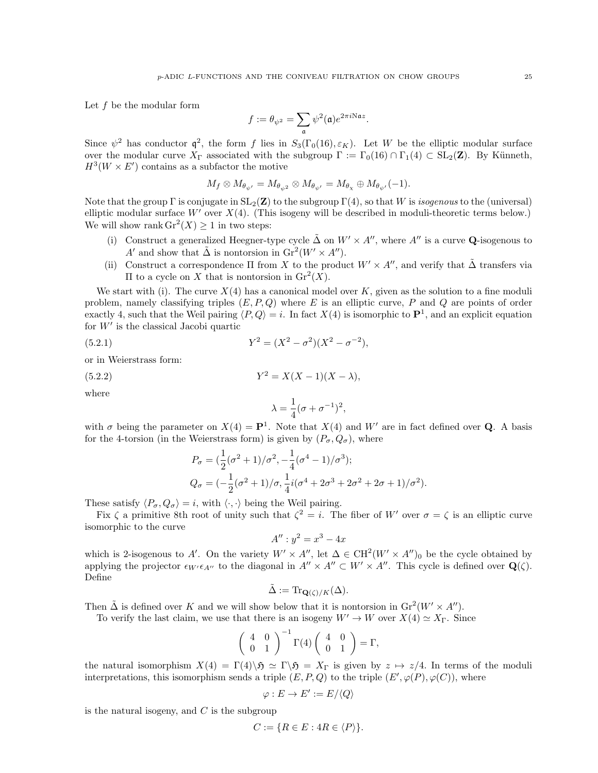Let f be the modular form

$$
f:=\theta_{\psi^2}=\sum_{\mathfrak{a}}\psi^2(\mathfrak{a})e^{2\pi i \mathrm{N}\mathfrak{a} z}.
$$

Since  $\psi^2$  has conductor  $\mathfrak{q}^2$ , the form f lies in  $S_3(\Gamma_0(16), \varepsilon_K)$ . Let W be the elliptic modular surface over the modular curve  $X_{\Gamma}$  associated with the subgroup  $\Gamma := \Gamma_0(16) \cap \Gamma_1(4) \subset SL_2(\mathbb{Z})$ . By Künneth,  $H^3(W \times E')$  contains as a subfactor the motive

$$
M_f\otimes M_{\theta_{\psi'}}=M_{\theta_{\psi^2}}\otimes M_{\theta_{\psi'}}=M_{\theta_{\chi}}\oplus M_{\theta_{\psi'}}(-1).
$$

Note that the group  $\Gamma$  is conjugate in  $SL_2(\mathbf{Z})$  to the subgroup  $\Gamma(4)$ , so that W is *isogenous* to the (universal) elliptic modular surface  $W'$  over  $X(4)$ . (This isogeny will be described in moduli-theoretic terms below.) We will show rank  $\operatorname{Gr}^2(X) \geq 1$  in two steps:

- (i) Construct a generalized Heegner-type cycle  $\Delta$  on  $W' \times A''$ , where A'' is a curve Q-isogenous to A' and show that  $\tilde{\Delta}$  is nontorsion in  $\text{Gr}^2(W' \times A'')$ .
- (ii) Construct a correspondence  $\Pi$  from X to the product  $W' \times A''$ , and verify that  $\tilde{\Delta}$  transfers via II to a cycle on X that is nontorsion in  $\mathrm{Gr}^2(X)$ .

We start with (i). The curve  $X(4)$  has a canonical model over K, given as the solution to a fine moduli problem, namely classifying triples  $(E, P, Q)$  where E is an elliptic curve, P and Q are points of order exactly 4, such that the Weil pairing  $\langle P, Q \rangle = i$ . In fact  $X(4)$  is isomorphic to  $\mathbf{P}^1$ , and an explicit equation for  $W'$  is the classical Jacobi quartic

(5.2.1) 
$$
Y^2 = (X^2 - \sigma^2)(X^2 - \sigma^{-2}),
$$

or in Weierstrass form:

(5.2.2) 
$$
Y^2 = X(X-1)(X-\lambda),
$$

where

<span id="page-24-0"></span>
$$
\lambda=\frac{1}{4}(\sigma+\sigma^{-1})^2,
$$

with  $\sigma$  being the parameter on  $X(4) = \mathbf{P}^1$ . Note that  $X(4)$  and W' are in fact defined over **Q**. A basis for the 4-torsion (in the Weierstrass form) is given by  $(P_{\sigma}, Q_{\sigma})$ , where

$$
P_{\sigma} = \left(\frac{1}{2}(\sigma^2 + 1)/\sigma^2, -\frac{1}{4}(\sigma^4 - 1)/\sigma^3\right);
$$
  
\n
$$
Q_{\sigma} = \left(-\frac{1}{2}(\sigma^2 + 1)/\sigma, \frac{1}{4}i(\sigma^4 + 2\sigma^3 + 2\sigma^2 + 2\sigma + 1)/\sigma^2\right).
$$

These satisfy  $\langle P_{\sigma}, Q_{\sigma} \rangle = i$ , with  $\langle \cdot, \cdot \rangle$  being the Weil pairing.

Fix  $\zeta$  a primitive 8th root of unity such that  $\zeta^2 = i$ . The fiber of W' over  $\sigma = \zeta$  is an elliptic curve isomorphic to the curve

$$
A'': y^2 = x^3 - 4x
$$

which is 2-isogenous to A'. On the variety  $W' \times A''$ , let  $\Delta \in CH^2(W' \times A'')_0$  be the cycle obtained by applying the projector  $\epsilon_{W'}\epsilon_{A''}$  to the diagonal in  $A'' \times A'' \subset W' \times A''$ . This cycle is defined over  $\mathbf{Q}(\zeta)$ . Define

$$
\tilde{\Delta} := \text{Tr}_{\mathbf{Q}(\zeta)/K}(\Delta).
$$

Then  $\tilde{\Delta}$  is defined over K and we will show below that it is nontorsion in  $\text{Gr}^2(W' \times A'')$ .

To verify the last claim, we use that there is an isogeny  $W' \to W$  over  $X(4) \simeq X_{\Gamma}$ . Since

$$
\left(\begin{array}{cc} 4 & 0 \\ 0 & 1 \end{array}\right)^{-1} \Gamma(4) \left(\begin{array}{cc} 4 & 0 \\ 0 & 1 \end{array}\right) = \Gamma,
$$

the natural isomorphism  $X(4) = \Gamma(4)\backslash \mathfrak{H} \simeq \Gamma \backslash \mathfrak{H} = X_{\Gamma}$  is given by  $z \mapsto z/4$ . In terms of the moduli interpretations, this isomorphism sends a triple  $(E, P, Q)$  to the triple  $(E', \varphi(P), \varphi(C))$ , where

$$
\varphi : E \to E' := E / \langle Q \rangle
$$

is the natural isogeny, and  $C$  is the subgroup

$$
C := \{ R \in E : 4R \in \langle P \rangle \}.
$$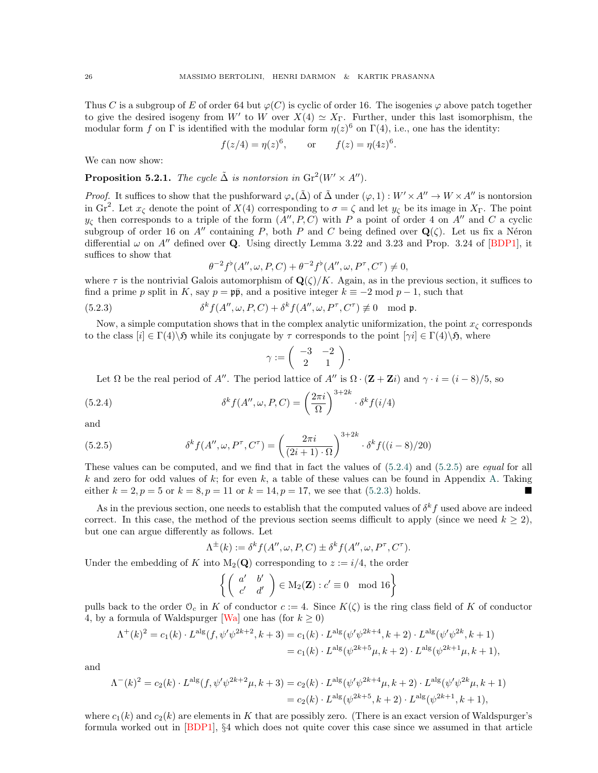Thus C is a subgroup of E of order 64 but  $\varphi(C)$  is cyclic of order 16. The isogenies  $\varphi$  above patch together to give the desired isogeny from W' to W over  $X(4) \simeq X_{\Gamma}$ . Further, under this last isomorphism, the modular form f on  $\Gamma$  is identified with the modular form  $\eta(z)^6$  on  $\Gamma(4)$ , i.e., one has the identity:

$$
f(z/4) = \eta(z)^6
$$
, or  $f(z) = \eta(4z)^6$ .

We can now show:

**Proposition 5.2.1.** The cycle  $\tilde{\Delta}$  is nontorsion in  $\text{Gr}^2(W' \times A'')$ .

*Proof.* It suffices to show that the pushforward  $\varphi_*(\tilde{\Delta})$  of  $\tilde{\Delta}$  under  $(\varphi, 1) : W' \times A'' \to W \times A''$  is nontorsion in Gr<sup>2</sup>. Let  $x_{\zeta}$  denote the point of  $X(4)$  corresponding to  $\sigma = \zeta$  and let  $y_{\zeta}$  be its image in  $X_{\Gamma}$ . The point  $y_{\zeta}$  then corresponds to a triple of the form  $(A'', P, C)$  with P a point of order 4 on A'' and C a cyclic subgroup of order 16 on A'' containing P, both P and C being defined over  $\mathbf{Q}(\zeta)$ . Let us fix a Néron differential  $\omega$  on A<sup>n</sup> defined over **Q**. Using directly Lemma 3.22 and 3.23 and Prop. 3.24 of [\[BDP1\]](#page-45-1), it suffices to show that

<span id="page-25-2"></span>
$$
\theta^{-2}f^{\flat}(A'',\omega,P,C) + \theta^{-2}f^{\flat}(A'',\omega,P^{\tau},C^{\tau}) \neq 0,
$$

where  $\tau$  is the nontrivial Galois automorphism of  $\mathbf{Q}(\zeta)/K$ . Again, as in the previous section, it suffices to find a prime p split in K, say  $p = \mathfrak{p}\bar{\mathfrak{p}}$ , and a positive integer  $k \equiv -2 \mod p - 1$ , such that

(5.2.3) 
$$
\delta^k f(A'', \omega, P, C) + \delta^k f(A'', \omega, P^{\tau}, C^{\tau}) \not\equiv 0 \mod \mathfrak{p}.
$$

Now, a simple computation shows that in the complex analytic uniformization, the point  $x<sub>\zeta</sub>$  corresponds to the class  $[i] \in \Gamma(4) \setminus \mathfrak{H}$  while its conjugate by  $\tau$  corresponds to the point  $[\gamma i] \in \Gamma(4) \setminus \mathfrak{H}$ , where

<span id="page-25-0"></span>
$$
\gamma := \left( \begin{array}{cc} -3 & -2 \\ 2 & 1 \end{array} \right).
$$

Let  $\Omega$  be the real period of A''. The period lattice of A'' is  $\Omega \cdot (\mathbf{Z} + \mathbf{Z}i)$  and  $\gamma \cdot i = (i - 8)/5$ , so

(5.2.4) 
$$
\delta^k f(A'', \omega, P, C) = \left(\frac{2\pi i}{\Omega}\right)^{3+2k} \cdot \delta^k f(i/4)
$$

<span id="page-25-1"></span>and

(5.2.5) 
$$
\delta^k f(A'', \omega, P^{\tau}, C^{\tau}) = \left(\frac{2\pi i}{(2i+1)\cdot\Omega}\right)^{3+2k} \cdot \delta^k f((i-8)/20)
$$

These values can be computed, and we find that in fact the values of  $(5.2.4)$  $(5.2.4)$  and  $(5.2.5)$  $(5.2.5)$  are *equal* for all k and zero for odd values of k; for even k, a table of these values can be found in Appendix [A.](#page-27-0) Taking either  $k = 2, p = 5$  or  $k = 8, p = 11$  or  $k = 14, p = 17$ , we see that ([5.2.3\)](#page-25-2) holds.

As in the previous section, one needs to establish that the computed values of  $\delta^k f$  used above are indeed correct. In this case, the method of the previous section seems difficult to apply (since we need  $k \geq 2$ ), but one can argue differently as follows. Let

$$
\Lambda^{\pm}(k) := \delta^k f(A'', \omega, P, C) \pm \delta^k f(A'', \omega, P^{\tau}, C^{\tau}).
$$

Under the embedding of K into  $M_2(Q)$  corresponding to  $z := i/4$ , the order

$$
\left\{ \left( \begin{array}{cc} a' & b' \\ c' & d' \end{array} \right) \in M_2(\mathbf{Z}) : c' \equiv 0 \mod 16 \right\}
$$

pulls back to the order  $\mathcal{O}_c$  in K of conductor  $c := 4$ . Since  $K(\zeta)$  is the ring class field of K of conductor 4, by a formula of Waldspurger [\[Wa\]](#page-46-1) one has (for  $k \geq 0$ )

$$
\Lambda^+(k)^2 = c_1(k) \cdot L^{\text{alg}}(f, \psi'\psi^{2k+2}, k+3) = c_1(k) \cdot L^{\text{alg}}(\psi'\psi^{2k+4}, k+2) \cdot L^{\text{alg}}(\psi'\psi^{2k}, k+1)
$$
  
=  $c_1(k) \cdot L^{\text{alg}}(\psi^{2k+5}\mu, k+2) \cdot L^{\text{alg}}(\psi^{2k+1}\mu, k+1),$ 

and

$$
\Lambda^{-}(k)^{2} = c_{2}(k) \cdot L^{\text{alg}}(f, \psi' \psi^{2k+2} \mu, k+3) = c_{2}(k) \cdot L^{\text{alg}}(\psi' \psi^{2k+4} \mu, k+2) \cdot L^{\text{alg}}(\psi' \psi^{2k} \mu, k+1)
$$
  
=  $c_{2}(k) \cdot L^{\text{alg}}(\psi^{2k+5}, k+2) \cdot L^{\text{alg}}(\psi^{2k+1}, k+1),$ 

where  $c_1(k)$  and  $c_2(k)$  are elements in K that are possibly zero. (There is an exact version of Waldspurger's formula worked out in  $[BDP1]$ , §4 which does not quite cover this case since we assumed in that article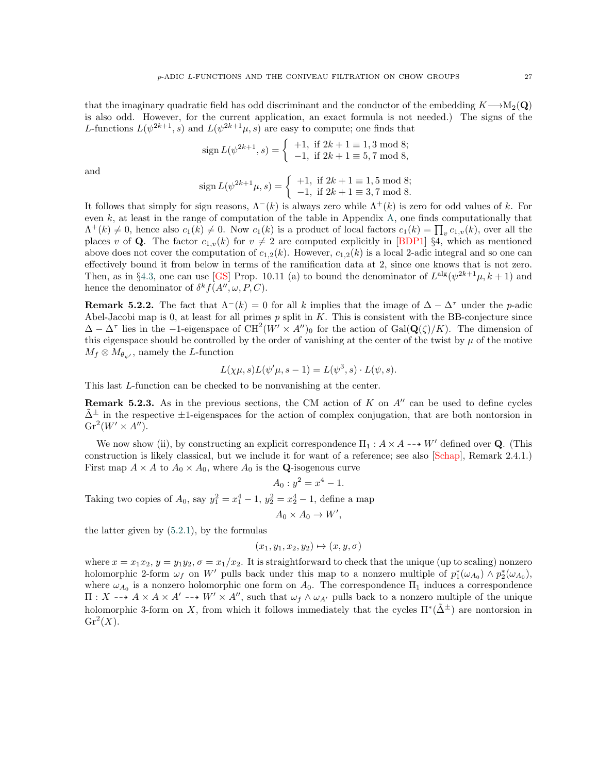that the imaginary quadratic field has odd discriminant and the conductor of the embedding  $K\rightarrow M_2(Q)$ is also odd. However, for the current application, an exact formula is not needed.) The signs of the L-functions  $L(\psi^{2k+1}, s)$  and  $L(\psi^{2k+1}\mu, s)$  are easy to compute; one finds that

$$
sign L(\psi^{2k+1}, s) = \begin{cases} +1, & \text{if } 2k+1 \equiv 1, 3 \text{ mod } 8; \\ -1, & \text{if } 2k+1 \equiv 5, 7 \text{ mod } 8, \end{cases}
$$

and

$$
\operatorname{sign} L(\psi^{2k+1}\mu, s) = \begin{cases} +1, & \text{if } 2k+1 \equiv 1, 5 \pmod{8} \\ -1, & \text{if } 2k+1 \equiv 3, 7 \pmod{8} \end{cases}
$$

It follows that simply for sign reasons,  $\Lambda^{-}(k)$  is always zero while  $\Lambda^{+}(k)$  is zero for odd values of k. For even k, at least in the range of computation of the table in Appendix [A,](#page-27-0) one finds computationally that  $\Lambda^+(k) \neq 0$ , hence also  $c_1(k) \neq 0$ . Now  $c_1(k)$  is a product of local factors  $c_1(k) = \prod_v c_{1,v}(k)$ , over all the places v of **Q**. The factor  $c_{1,v}(k)$  for  $v \neq 2$  are computed explicitly in [\[BDP1\]](#page-45-1) §4, which as mentioned above does not cover the computation of  $c_{1,2}(k)$ . However,  $c_{1,2}(k)$  is a local 2-adic integral and so one can effectively bound it from below in terms of the ramification data at 2, since one knows that is not zero. Then, as in §[4.3,](#page-17-0) one can use [\[GS\]](#page-45-23) Prop. 10.11 (a) to bound the denominator of  $L^{alg}(\psi^{2k+1}\mu, k+1)$  and hence the denominator of  $\delta^k f(A'', \omega, P, C)$ .

**Remark 5.2.2.** The fact that  $\Lambda^{-}(k) = 0$  for all k implies that the image of  $\Delta - \Delta^{\tau}$  under the p-adic Abel-Jacobi map is 0, at least for all primes  $p$  split in  $K$ . This is consistent with the BB-conjecture since  $\Delta - \Delta^{\tau}$  lies in the -1-eigenspace of CH<sup>2</sup>(W' × A'')<sub>0</sub> for the action of Gal( $\mathbf{Q}(\zeta)/K$ ). The dimension of this eigenspace should be controlled by the order of vanishing at the center of the twist by  $\mu$  of the motive  $M_f \otimes M_{\theta_{\psi'}}$ , namely the L-function

$$
L(\chi\mu, s)L(\psi'\mu, s-1) = L(\psi^3, s) \cdot L(\psi, s).
$$

This last L-function can be checked to be nonvanishing at the center.

**Remark 5.2.3.** As in the previous sections, the CM action of K on  $A''$  can be used to define cycles  $\tilde{\Delta}^{\pm}$  in the respective  $\pm$ 1-eigenspaces for the action of complex conjugation, that are both nontorsion in  $\operatorname{Gr}^2(W' \times A'')$ .

We now show (ii), by constructing an explicit correspondence  $\Pi_1 : A \times A \dashrightarrow W'$  defined over Q. (This construction is likely classical, but we include it for want of a reference; see also [\[Schap\]](#page-45-28), Remark 2.4.1.) First map  $A \times A$  to  $A_0 \times A_0$ , where  $A_0$  is the **Q**-isogenous curve

$$
A_0: y^2 = x^4 - 1.
$$

Taking two copies of  $A_0$ , say  $y_1^2 = x_1^4 - 1$ ,  $y_2^2 = x_2^4 - 1$ , define a map

$$
A_0 \times A_0 \to W',
$$

the latter given by  $(5.2.1)$  $(5.2.1)$ , by the formulas

$$
(x_1, y_1, x_2, y_2) \mapsto (x, y, \sigma)
$$

where  $x = x_1x_2$ ,  $y = y_1y_2$ ,  $\sigma = x_1/x_2$ . It is straightforward to check that the unique (up to scaling) nonzero holomorphic 2-form  $\omega_f$  on W' pulls back under this map to a nonzero multiple of  $p_1^*(\omega_{A_0}) \wedge p_2^*(\omega_{A_0})$ , where  $\omega_{A_0}$  is a nonzero holomorphic one form on  $A_0$ . The correspondence  $\Pi_1$  induces a correspondence  $\Pi: X \dashrightarrow A \times A \times A' \dashrightarrow W' \times A''$ , such that  $\omega_f \wedge \omega_{A'}$  pulls back to a nonzero multiple of the unique holomorphic 3-form on X, from which it follows immediately that the cycles  $\Pi^*(\tilde{\Delta}^{\pm})$  are nontorsion in  $\mathrm{Gr}^2(X).$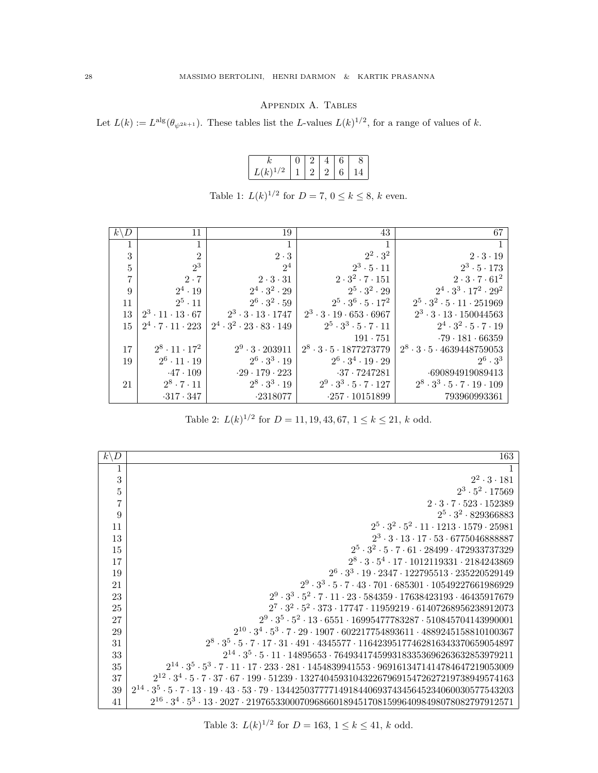Appendix A. Tables

<span id="page-27-0"></span>Let  $L(k) := L^{\text{alg}}(\theta_{\psi^{2k+1}})$ . These tables list the L-values  $L(k)^{1/2}$ , for a range of values of k.

|              | $+2$ 1 | $\overline{4}$ |        |  |
|--------------|--------|----------------|--------|--|
| $L(k)^{1/2}$ |        |                | 112126 |  |

| D<br>$k^{\scriptscriptstyle \backslash}$ | 11                               | 19                                          | 43                                          | 67                                                 |
|------------------------------------------|----------------------------------|---------------------------------------------|---------------------------------------------|----------------------------------------------------|
|                                          |                                  |                                             |                                             |                                                    |
| 3                                        | $\overline{2}$                   | $2 \cdot 3$                                 | $2^2 \cdot 3^2$                             | $2 \cdot 3 \cdot 19$                               |
| 5                                        | $2^3$                            | $2^4$                                       | $2^3 \cdot 5 \cdot 11$                      | $2^3 \cdot 5 \cdot 173$                            |
| 7                                        | $2 \cdot 7$                      | $2 \cdot 3 \cdot 31$                        | $2 \cdot 3^2 \cdot 7 \cdot 151$             | $2 \cdot 3 \cdot 7 \cdot 61^2$                     |
| 9                                        | $2^4 \cdot 19$                   | $2^4 \cdot 3^2 \cdot 29$                    | $2^5 \cdot 3^2 \cdot 29$                    | $2^4 \cdot 3^3 \cdot 17^2 \cdot 29^2$              |
| 11                                       | $2^5 \cdot 11$                   | $2^6 \cdot 3^2 \cdot 59$                    | $2^5 \cdot 3^6 \cdot 5 \cdot 17^2$          | $2^5 \cdot 3^2 \cdot 5 \cdot 11 \cdot 251969$      |
| 13                                       | $2^3 \cdot 11 \cdot 13 \cdot 67$ | $2^3 \cdot 3 \cdot 13 \cdot 1747$           | $2^3 \cdot 3 \cdot 19 \cdot 653 \cdot 6967$ | $2^3 \cdot 3 \cdot 13 \cdot 150044563$             |
| 15                                       | $2^4 \cdot 7 \cdot 11 \cdot 223$ | $2^4 \cdot 3^2 \cdot 23 \cdot 83 \cdot 149$ | $2^5 \cdot 3^3 \cdot 5 \cdot 7 \cdot 11$    | $2^4 \cdot 3^2 \cdot 5 \cdot 7 \cdot 19$           |
|                                          |                                  |                                             | $191 \cdot 751$                             | $-79 - 181 - 66359$                                |
| 17                                       | $2^8 \cdot 11 \cdot 17^2$        | $2^9 \cdot 3 \cdot 203911$                  | $2^8 \cdot 3 \cdot 5 \cdot 1877273779$      | $2^8 \cdot 3 \cdot 5 \cdot 4639448759053$          |
| 19                                       | $2^6 \cdot 11 \cdot 19$          | $2^6 \cdot 3^3 \cdot 19$                    | $2^6 \cdot 3^4 \cdot 19 \cdot 29$           | $2^6 \cdot 3^3$                                    |
|                                          | $-47 \cdot 109$                  | $-29 \cdot 179 \cdot 223$                   | $-37 - 7247281$                             | -690894919089413                                   |
| 21                                       | $2^8 \cdot 7 \cdot 11$           | $2^8 \cdot 3^3 \cdot 19$                    | $2^9 \cdot 3^3 \cdot 5 \cdot 7 \cdot 127$   | $2^8 \cdot 3^3 \cdot 5 \cdot 7 \cdot 19 \cdot 109$ |
|                                          | $-317 \cdot 347$                 | $-2318077$                                  | $-257 \cdot 10151899$                       | 793960993361                                       |

Table 1:  $L(k)^{1/2}$  for  $D = 7, 0 \le k \le 8, k$  even.

Table 2:  $L(k)^{1/2}$  for  $D = 11, 19, 43, 67, 1 \le k \le 21, k$  odd.

| $k\backslash D$ | 163                                                                                                                                     |
|-----------------|-----------------------------------------------------------------------------------------------------------------------------------------|
| 1               |                                                                                                                                         |
| 3               | $2^2 \cdot 3 \cdot 181$                                                                                                                 |
| $\overline{5}$  | $2^3 \cdot 5^2 \cdot 17569$                                                                                                             |
| $\overline{7}$  | $2 \cdot 3 \cdot 7 \cdot 523 \cdot 152389$                                                                                              |
| 9               | $2^5 \cdot 3^2 \cdot 829366883$                                                                                                         |
| 11              | $2^5 \cdot 3^2 \cdot 5^2 \cdot 11 \cdot 1213 \cdot 1579 \cdot 25981$                                                                    |
| 13              | $2^3 \cdot 3 \cdot 13 \cdot 17 \cdot 53 \cdot 6775046888887$                                                                            |
| 15              | $2^5 \cdot 3^2 \cdot 5 \cdot 7 \cdot 61 \cdot 28499 \cdot 472933737329$                                                                 |
| 17              | $2^8 \cdot 3 \cdot 5^4 \cdot 17 \cdot 1012119331 \cdot 2184243869$                                                                      |
| 19              | $2^6 \cdot 3^3 \cdot 19 \cdot 2347 \cdot 122795513 \cdot 235220529149$                                                                  |
| 21              | $2^9 \cdot 3^3 \cdot 5 \cdot 7 \cdot 43 \cdot 701 \cdot 685301 \cdot 10549227661986929$                                                 |
| 23              | $2^9\cdot 3^3\cdot 5^2\cdot 7\cdot 11\cdot 23\cdot 584359\cdot 17638423193\cdot 46435917679$                                            |
| 25              | $2^7 \cdot 3^2 \cdot 5^2 \cdot 373 \cdot 17747 \cdot 11959219 \cdot 61407268956238912073$                                               |
| 27              | $2^9 \cdot 3^5 \cdot 5^2 \cdot 13 \cdot 6551 \cdot 16995477783287 \cdot 510845704143990001$                                             |
| 29              | $2^{10} \cdot 3^4 \cdot 5^3 \cdot 7 \cdot 29 \cdot 1907 \cdot 602217754893611 \cdot 4889245158810100367$                                |
| 31              | $2^8 \cdot 3^5 \cdot 5 \cdot 7 \cdot 17 \cdot 31 \cdot 491 \cdot 4345577 \cdot 11642395177462816343370659054897$                        |
| 33              | $2^{14} \cdot 3^5 \cdot 5 \cdot 11 \cdot 14895653 \cdot 7649341745993183353696263632853979211$                                          |
| 35              | $2^{14} \cdot 3^5 \cdot 5^3 \cdot 7 \cdot 11 \cdot 17 \cdot 233 \cdot 281 \cdot 1454839941553 \cdot 9691613471414784647219053009$       |
| 37              | $2^{12} \cdot 3^4 \cdot 5 \cdot 7 \cdot 37 \cdot 67 \cdot 199 \cdot 51239 \cdot 13274045931043226796915472627219738949574163$           |
| 39              | $2^{14} \cdot 3^5 \cdot 5 \cdot 7 \cdot 13 \cdot 19 \cdot 43 \cdot 53 \cdot 79 \cdot 1344250377771491844069374345645234060030577543203$ |
| 41              | $2^{16} \cdot 3^4 \cdot 5^3 \cdot 13 \cdot 2027 \cdot 2197653300070968660189451708159964098498078082797912571$                          |

Table 3:  $L(k)^{1/2}$  for  $D = 163, 1 \le k \le 41, k$  odd.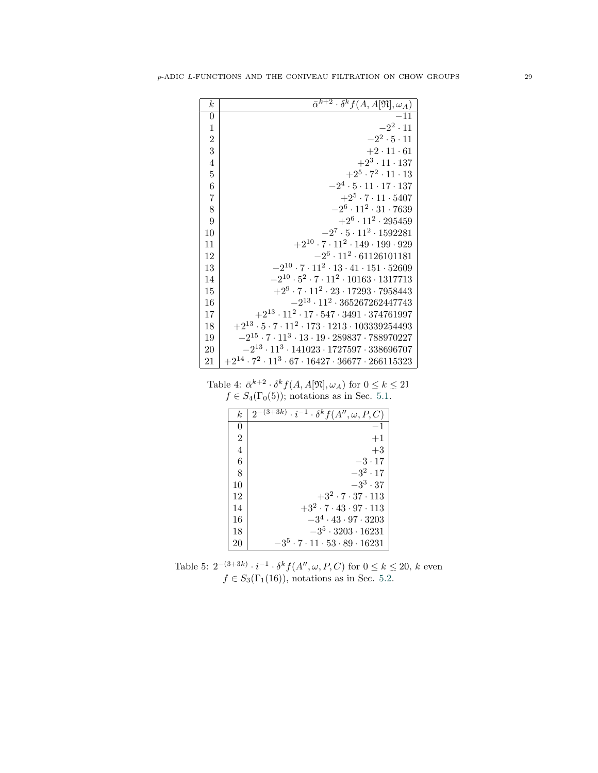| $\boldsymbol{k}$ | $\overline{\alpha}^{k+2} \cdot \delta^k f(A, A[\overline{\mathfrak{N}}], \omega_A)$ |
|------------------|-------------------------------------------------------------------------------------|
| $\overline{0}$   | $-11$                                                                               |
| $\mathbf{1}$     | $-2^2 \cdot 11$                                                                     |
| $\overline{2}$   | $-2^2 \cdot 5 \cdot 11$                                                             |
| 3                | $+2 \cdot 11 \cdot 61$                                                              |
| $\overline{4}$   | $+2^3 \cdot 11 \cdot 137$                                                           |
| $\overline{5}$   | $+2^5 \cdot 7^2 \cdot 11 \cdot 13$                                                  |
| $\,6$            | $-2^4 \cdot 5 \cdot 11 \cdot 17 \cdot 137$                                          |
| $\overline{7}$   | $+2^5 \cdot 7 \cdot 11 \cdot 5407$                                                  |
| 8                | $-2^6 \cdot 11^2 \cdot 31 \cdot 7639$                                               |
| 9                | $+2^6 \cdot 11^2 \cdot 295459$                                                      |
| 10               | $-2^7 \cdot 5 \cdot 11^2 \cdot 1592281$                                             |
| 11               | $+2^{10} \cdot 7 \cdot 11^2 \cdot 149 \cdot 199 \cdot 929$                          |
| 12               | $-2^6 \cdot 11^2 \cdot 61126101181$                                                 |
| 13               | $-2^{10} \cdot 7 \cdot 11^2 \cdot 13 \cdot 41 \cdot 151 \cdot 52609$                |
| 14               | $-2^{10} \cdot 5^2 \cdot 7 \cdot 11^2 \cdot 10163 \cdot 1317713$                    |
| 15               | $+2^9 \cdot 7 \cdot 11^2 \cdot 23 \cdot 17293 \cdot 7958443$                        |
| 16               | $-2^{13} \cdot 11^2 \cdot 365267262447743$                                          |
| 17               | $+2^{13} \cdot 11^2 \cdot 17 \cdot 547 \cdot 3491 \cdot 374761997$                  |
| 18               | $+2^{13} \cdot 5 \cdot 7 \cdot 11^2 \cdot 173 \cdot 1213 \cdot 103339254493$        |
| 19               | $-2^{15} \cdot 7 \cdot 11^3 \cdot 13 \cdot 19 \cdot 289837 \cdot 788970227$         |
| 20               | $-2^{13} \cdot 11^3 \cdot 141023 \cdot 1727597 \cdot 338696707$                     |
| 21               | $+2^{14}\cdot 7^2\cdot 11^3\cdot 67\cdot 16427\cdot 36677\cdot 266115323$           |
|                  |                                                                                     |

Table 4:  $\bar{\alpha}^{k+2} \cdot \delta^k f(A, A[\mathfrak{N}], \omega_A)$  for  $0 \le k \le 21$ <br> $f \in S_4(\Gamma_0(5))$ ; notations as in Sec. [5.1.](#page-20-1)

| k              | $\overline{2^{-(3+3k)} \cdot i^{-1} \cdot \delta^k f(A'', \omega, P, C)}$ |
|----------------|---------------------------------------------------------------------------|
| 0              | $-1$                                                                      |
| $\overline{2}$ | $+1$                                                                      |
| $\overline{4}$ | $+3$                                                                      |
| 6              | $-3 \cdot 17$                                                             |
| 8              | $-3^2 \cdot 17$                                                           |
| 10             | $-3^3 \cdot 37$                                                           |
| 12             | $+3^2 \cdot 7 \cdot 37 \cdot 113$                                         |
| 14             | $+3^2 \cdot 7 \cdot 43 \cdot 97 \cdot 113$                                |
| 16             | $-3^4 \cdot 43 \cdot 97 \cdot 3203$                                       |
| 18             | $-3^5 \cdot 3203 \cdot 16231$                                             |
| 20             | $-3^5\cdot 7\cdot 11\cdot 53\cdot 89\cdot 16231$                          |

Table 5:  $2^{-(3+3k)} \cdot i^{-1} \cdot \delta^k f(A'', \omega, P, C)$  for  $0 \le k \le 20$ , k even  $f \in S_3(\Gamma_1(16))$ , notations as in Sec. [5.2.](#page-23-0)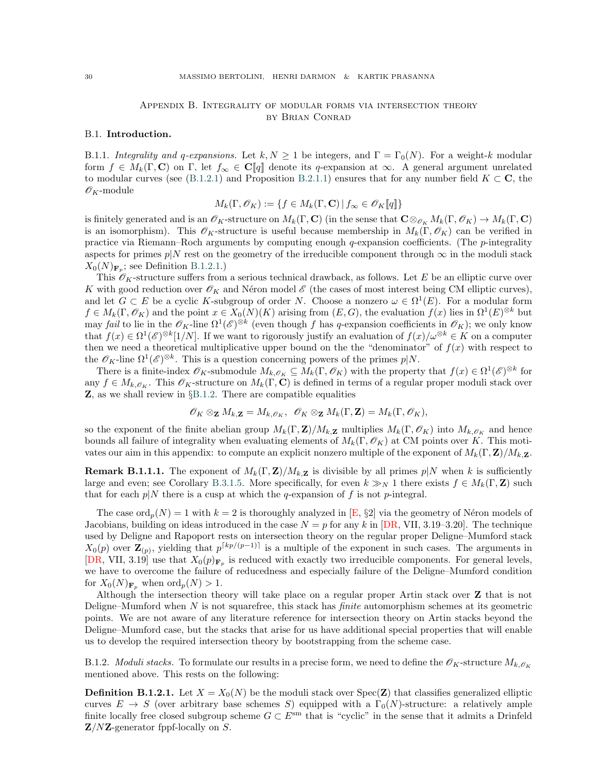# Appendix B. Integrality of modular forms via intersection theory by Brian Conrad

### <span id="page-29-1"></span><span id="page-29-0"></span>B.1. Introduction.

<span id="page-29-4"></span>B.1.1. Integrality and q-expansions. Let  $k, N \geq 1$  be integers, and  $\Gamma = \Gamma_0(N)$ . For a weight-k modular form  $f \in M_k(\Gamma, \mathbf{C})$  on  $\Gamma$ , let  $f_{\infty} \in \mathbf{C}[[q]]$  denote its q-expansion at  $\infty$ . A general argument unrelated to modular curves (see ([B.1.2.1\)](#page-30-0) and Proposition [B.2.1.1\)](#page-31-2) ensures that for any number field  $K \subset \mathbf{C}$ , the  $\mathscr{O}_K$ -module

$$
M_k(\Gamma, \mathcal{O}_K) := \{ f \in M_k(\Gamma, \mathbf{C}) \, | \, f_\infty \in \mathcal{O}_K[\![q]\!]\}
$$

is finitely generated and is an  $\mathscr{O}_K$ -structure on  $M_k(\Gamma, \mathbf{C})$  (in the sense that  $\mathbf{C} \otimes_{\mathscr{O}_K} M_k(\Gamma, \mathscr{O}_K) \to M_k(\Gamma, \mathbf{C})$ is an isomorphism). This  $\mathscr{O}_K$ -structure is useful because membership in  $M_k(\Gamma, \mathscr{O}_K)$  can be verified in practice via Riemann–Roch arguments by computing enough  $q$ -expansion coefficients. (The  $p$ -integrality aspects for primes  $p|N$  rest on the geometry of the irreducible component through  $\infty$  in the moduli stack  $X_0(N)_{\mathbf{F}_p}$ ; see Definition [B.1.2.1.](#page-29-2))

This  $\mathscr{O}_K$ -structure suffers from a serious technical drawback, as follows. Let E be an elliptic curve over K with good reduction over  $\mathscr{O}_K$  and Néron model  $\mathscr{E}$  (the cases of most interest being CM elliptic curves), and let  $G \subset E$  be a cyclic K-subgroup of order N. Choose a nonzero  $\omega \in \Omega^1(E)$ . For a modular form  $f \in M_k(\Gamma, \mathscr{O}_K)$  and the point  $x \in X_0(N)(K)$  arising from  $(E, G)$ , the evaluation  $f(x)$  lies in  $\Omega^1(E)^{\otimes k}$  but may fail to lie in the  $\mathcal{O}_K$ -line  $\Omega^1(\mathscr{E})^{\otimes k}$  (even though f has q-expansion coefficients in  $\mathscr{O}_K$ ); we only know that  $f(x) \in \Omega^1(\mathscr{E})^{\otimes k}[1/N]$ . If we want to rigorously justify an evaluation of  $f(x)/\omega^{\otimes k} \in K$  on a computer then we need a theoretical multiplicative upper bound on the the "denominator" of  $f(x)$  with respect to the  $\mathscr{O}_K$ -line  $\Omega^1(\mathscr{E})^{\otimes k}$ . This is a question concerning powers of the primes  $p|N$ .

There is a finite-index  $\mathscr{O}_K$ -submodule  $M_{k,\mathscr{O}_K} \subseteq M_k(\Gamma,\mathscr{O}_K)$  with the property that  $f(x) \in \Omega^1(\mathscr{E})^{\otimes k}$  for any  $f \in M_{k,\mathscr{O}_{K}}$ . This  $\mathscr{O}_{K}$ -structure on  $M_{k}(\Gamma, \mathbf{C})$  is defined in terms of a regular proper moduli stack over  $\mathbf{Z}$ , as we shall review in §[B.1.2.](#page-29-3) There are compatible equalities

$$
\mathscr{O}_K \otimes_{\mathbf{Z}} M_{k,\mathbf{Z}} = M_{k,\mathscr{O}_K}, \ \ \mathscr{O}_K \otimes_{\mathbf{Z}} M_k(\Gamma,\mathbf{Z}) = M_k(\Gamma,\mathscr{O}_K),
$$

so the exponent of the finite abelian group  $M_k(\Gamma, \mathbf{Z})/M_k$ ,  $\mathbf{Z}$  multiplies  $M_k(\Gamma, \mathscr{O}_K)$  into  $M_k$ ,  $\mathscr{O}_K$  and hence bounds all failure of integrality when evaluating elements of  $M_k(\Gamma, \mathscr{O}_K)$  at CM points over K. This motivates our aim in this appendix: to compute an explicit nonzero multiple of the exponent of  $M_k(\Gamma, \mathbf{Z})/M_k$ , z.

**Remark B.1.1.1.** The exponent of  $M_k(\Gamma, \mathbf{Z})/M_k$ , z is divisible by all primes p|N when k is sufficiently large and even; see Corollary [B.3.1.5.](#page-41-0) More specifically, for even  $k \gg_N 1$  there exists  $f \in M_k(\Gamma, \mathbf{Z})$  such that for each  $p|N$  there is a cusp at which the q-expansion of f is not p-integral.

> The case  $\text{ord}_p(N) = 1$  with  $k = 2$  is thoroughly analyzed in [\[E,](#page-45-29) §2] via the geometry of Néron models of Jacobians, building on ideas introduced in the case  $N = p$  for any k in [\[DR,](#page-45-26) VII, 3.19–3.20]. The technique used by Deligne and Rapoport rests on intersection theory on the regular proper Deligne–Mumford stack  $X_0(p)$  over  $\mathbf{Z}_{(p)}$ , yielding that  $p^{\lceil kp/(p-1) \rceil}$  is a multiple of the exponent in such cases. The arguments in [\[DR,](#page-45-26) VII, 3.19] use that  $X_0(p)_{\mathbf{F}_p}$  is reduced with exactly two irreducible components. For general levels, we have to overcome the failure of reducedness and especially failure of the Deligne–Mumford condition for  $X_0(N)_{\mathbf{F}_p}$  when  $\text{ord}_p(N) > 1$ .

> Although the intersection theory will take place on a regular proper Artin stack over Z that is not Deligne–Mumford when  $N$  is not squarefree, this stack has *finite* automorphism schemes at its geometric points. We are not aware of any literature reference for intersection theory on Artin stacks beyond the Deligne–Mumford case, but the stacks that arise for us have additional special properties that will enable us to develop the required intersection theory by bootstrapping from the scheme case.

> <span id="page-29-3"></span>B.1.2. Moduli stacks. To formulate our results in a precise form, we need to define the  $\mathscr{O}_K$ -structure  $M_{k,\mathscr{O}_K}$ mentioned above. This rests on the following:

> <span id="page-29-2"></span>**Definition B.1.2.1.** Let  $X = X_0(N)$  be the moduli stack over  $Spec(Z)$  that classifies generalized elliptic curves  $E \to S$  (over arbitrary base schemes S) equipped with a  $\Gamma_0(N)$ -structure: a relatively ample finite locally free closed subgroup scheme  $G \subset E^{sm}$  that is "cyclic" in the sense that it admits a Drinfeld  $\mathbf{Z}/N\mathbf{Z}$ -generator fppf-locally on S.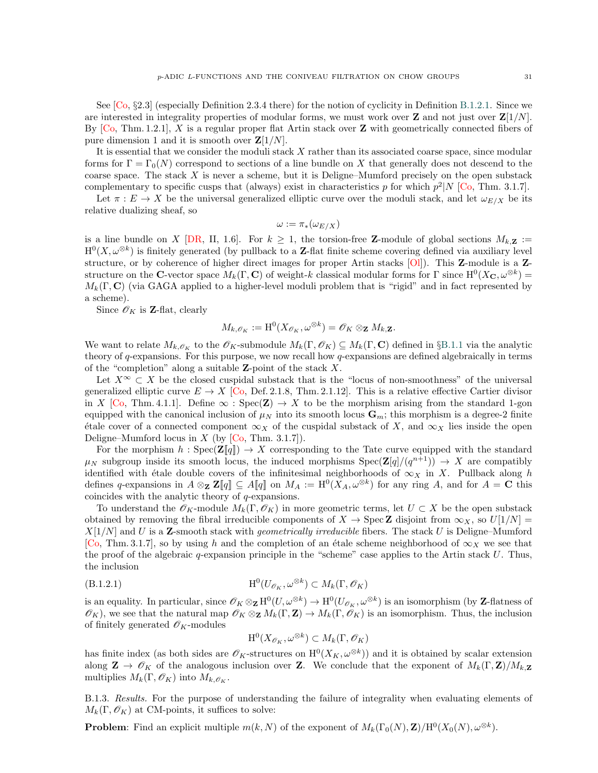See  $[Co, §2.3]$  $[Co, §2.3]$  (especially Definition 2.3.4 there) for the notion of cyclicity in Definition [B.1.2.1.](#page-29-2) Since we are interested in integrality properties of modular forms, we must work over  $\mathbf{Z}$  and not just over  $\mathbf{Z}[1/N]$ . By  $[C_0, Thm. 1.2.1]$ , X is a regular proper flat Artin stack over Z with geometrically connected fibers of pure dimension 1 and it is smooth over  $\mathbf{Z}[1/N]$ .

It is essential that we consider the moduli stack X rather than its associated coarse space, since modular forms for  $\Gamma = \Gamma_0(N)$  correspond to sections of a line bundle on X that generally does not descend to the coarse space. The stack X is never a scheme, but it is Deligne–Mumford precisely on the open substack complementary to specific cusps that (always) exist in characteristics p for which  $p^2|N|$  [\[Co,](#page-45-30) Thm. 3.1.7].

Let  $\pi : E \to X$  be the universal generalized elliptic curve over the moduli stack, and let  $\omega_{E/X}$  be its relative dualizing sheaf, so

$$
\omega := \pi_*(\omega_{E/X})
$$

is a line bundle on X [\[DR,](#page-45-26) II, 1.6]. For  $k \geq 1$ , the torsion-free Z-module of global sections  $M_{k,\mathbf{Z}} :=$  $H^0(X, \omega^{\otimes k})$  is finitely generated (by pullback to a Z-flat finite scheme covering defined via auxiliary level structure, or by coherence of higher direct images for proper Artin stacks  $[OI]$ ). This **Z**-module is a **Z**structure on the C-vector space  $M_k(\Gamma, \mathbf{C})$  of weight-k classical modular forms for  $\Gamma$  since  $\mathrm{H}^0(X_{\mathbf{C}}, \omega^{\otimes k}) =$  $M_k(\Gamma, \mathbf{C})$  (via GAGA applied to a higher-level moduli problem that is "rigid" and in fact represented by a scheme).

Since  $\mathscr{O}_K$  is **Z**-flat, clearly

$$
M_{k,\mathscr{O}_K}:=\mathrm{H}^0(X_{\mathscr{O}_K},\omega^{\otimes k})=\mathscr{O}_K\otimes_{\mathbf{Z}} M_{k,\mathbf{Z}}.
$$

We want to relate  $M_{k,\mathscr{O}_K}$  to the  $\mathscr{O}_K$ -submodule  $M_k(\Gamma,\mathscr{O}_K) \subseteq M_k(\Gamma,\mathbf{C})$  defined in §[B.1.1](#page-29-4) via the analytic theory of q-expansions. For this purpose, we now recall how q-expansions are defined algebraically in terms of the "completion" along a suitable **Z**-point of the stack  $X$ .

Let  $X^{\infty} \subset X$  be the closed cuspidal substack that is the "locus of non-smoothness" of the universal generalized elliptic curve  $E \to X$  [\[Co,](#page-45-30) Def. 2.1.18, Thm. 2.1.12]. This is a relative effective Cartier divisor in X [\[Co,](#page-45-30) Thm. 4.1.1]. Define  $\infty$ : Spec(Z)  $\rightarrow$  X to be the morphism arising from the standard 1-gon equipped with the canonical inclusion of  $\mu_N$  into its smooth locus  $\mathbf{G}_m$ ; this morphism is a degree-2 finite  $\alpha$  etale cover of a connected component  $\infty_X$  of the cuspidal substack of X, and  $\infty_X$  lies inside the open Deligne–Mumford locus in X (by  $[Co, Thm. 3.1.7]$  $[Co, Thm. 3.1.7]$ ).

For the morphism  $h : \text{Spec}(\mathbf{Z}[q]) \to X$  corresponding to the Tate curve equipped with the standard  $\mu_N$  subgroup inside its smooth locus, the induced morphisms  $Spec(\mathbf{Z}[q]/(q^{n+1})) \to X$  are compatibly identified with étale double covers of the infinitesimal neighborhoods of  $\infty_X$  in X. Pullback along h defines q-expansions in  $A \otimes_{\mathbf{Z}} \mathbf{Z}[\![q]\!] \subseteq A[\![q]\!]$  on  $M_A := \mathrm{H}^0(X_A, \omega^{\otimes k})$  for any ring  $A$ , and for  $A = \mathbf{C}$  this coincides with the analytic theory of q-expansions.

To understand the  $\mathscr{O}_K$ -module  $M_k(\Gamma,\mathscr{O}_K)$  in more geometric terms, let  $U \subset X$  be the open substack obtained by removing the fibral irreducible components of  $X \to \text{Spec } \mathbb{Z}$  disjoint from  $\infty_X$ , so  $U[1/N] =$  $X[1/N]$  and U is a Z-smooth stack with *geometrically irreducible* fibers. The stack U is Deligne–Mumford [\[Co,](#page-45-30) Thm. 3.1.7], so by using h and the completion of an étale scheme neighborhood of  $\infty_X$  we see that the proof of the algebraic  $q$ -expansion principle in the "scheme" case applies to the Artin stack U. Thus, the inclusion

$$
(B.1.2.1) \t\t H0(U\mathscr{O}_{K}, \omega^{\otimes k}) \subset M_{k}(\Gamma, \mathscr{O}_{K})
$$

is an equality. In particular, since  $\mathscr{O}_K \otimes_{\mathbf{Z}} \mathrm{H}^0(U, \omega^{\otimes k}) \to \mathrm{H}^0(U_{\mathscr{O}_K}, \omega^{\otimes k})$  is an isomorphism (by **Z**-flatness of  $\mathscr{O}_K$ , we see that the natural map  $\mathscr{O}_K \otimes_{\mathbf{Z}} M_k(\Gamma, \mathbf{Z}) \to M_k(\Gamma, \mathscr{O}_K)$  is an isomorphism. Thus, the inclusion of finitely generated  $\mathscr{O}_K$ -modules

<span id="page-30-0"></span>
$$
\mathrm{H}^{0}(X_{\mathscr{O}_{K}}, \omega^{\otimes k}) \subset M_{k}(\Gamma, \mathscr{O}_{K})
$$

has finite index (as both sides are  $\mathscr{O}_K$ -structures on  $\mathrm{H}^0(X_K,\omega^{\otimes k})$ ) and it is obtained by scalar extension along  $\mathbf{Z} \to \mathscr{O}_K$  of the analogous inclusion over Z. We conclude that the exponent of  $M_k(\Gamma, \mathbf{Z})/M_k$ , multiplies  $M_k(\Gamma, \mathscr{O}_K)$  into  $M_{k, \mathscr{O}_K}$ .

B.1.3. Results. For the purpose of understanding the failure of integrality when evaluating elements of  $M_k(\Gamma, \mathscr{O}_K)$  at CM-points, it suffices to solve:

**Problem**: Find an explicit multiple  $m(k, N)$  of the exponent of  $M_k(\Gamma_0(N), \mathbf{Z})/H^0(X_0(N), \omega^{\otimes k})$ .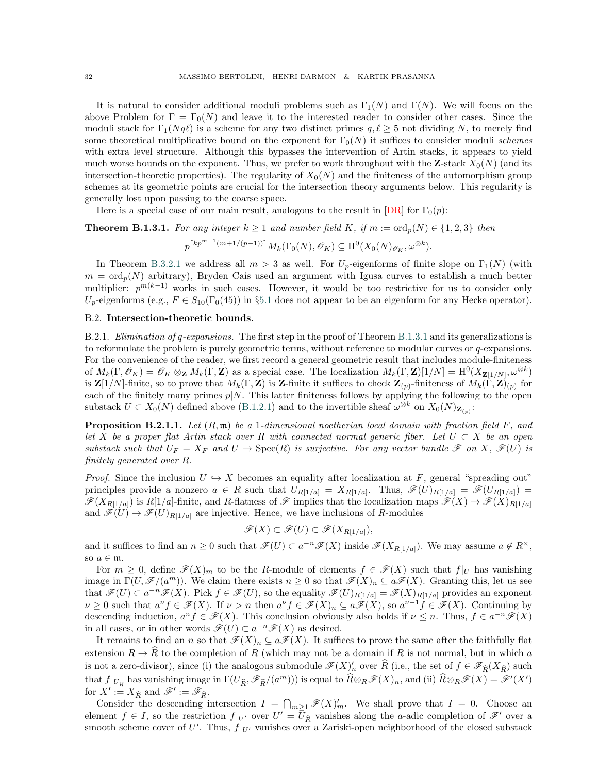It is natural to consider additional moduli problems such as  $\Gamma_1(N)$  and  $\Gamma(N)$ . We will focus on the above Problem for  $\Gamma = \Gamma_0(N)$  and leave it to the interested reader to consider other cases. Since the moduli stack for  $\Gamma_1(Nq\ell)$  is a scheme for any two distinct primes  $q, \ell \geq 5$  not dividing N, to merely find some theoretical multiplicative bound on the exponent for  $\Gamma_0(N)$  it suffices to consider moduli schemes with extra level structure. Although this bypasses the intervention of Artin stacks, it appears to yield much worse bounds on the exponent. Thus, we prefer to work throughout with the **Z**-stack  $X_0(N)$  (and its intersection-theoretic properties). The regularity of  $X_0(N)$  and the finiteness of the automorphism group schemes at its geometric points are crucial for the intersection theory arguments below. This regularity is generally lost upon passing to the coarse space.

Here is a special case of our main result, analogous to the result in  $[DR]$  for  $\Gamma_0(p)$ :

<span id="page-31-1"></span>**Theorem B.1.3.1.** For any integer  $k \ge 1$  and number field K, if  $m := \text{ord}_p(N) \in \{1, 2, 3\}$  then

$$
p^{\lceil kp^{m-1}(m+1/(p-1))\rceil} M_k(\Gamma_0(N), \mathscr{O}_K) \subseteq \mathrm{H}^0(X_0(N)_{\mathscr{O}_K}, \omega^{\otimes k}).
$$

In Theorem [B.3.2.1](#page-42-0) we address all  $m > 3$  as well. For  $U_p$ -eigenforms of finite slope on  $\Gamma_1(N)$  (with  $m = \text{ord}_p(N)$  arbitrary), Bryden Cais used an argument with Igusa curves to establish a much better multiplier:  $p^{m(k-1)}$  works in such cases. However, it would be too restrictive for us to consider only  $U_p$ -eigenforms (e.g.,  $F \in S_{10}(\Gamma_0(45))$  in §[5.1](#page-20-1) does not appear to be an eigenform for any Hecke operator).

### <span id="page-31-0"></span>B.2. Intersection-theoretic bounds.

B.2.1. Elimination of q-expansions. The first step in the proof of Theorem [B.1.3.1](#page-31-1) and its generalizations is to reformulate the problem is purely geometric terms, without reference to modular curves or  $q$ -expansions. For the convenience of the reader, we first record a general geometric result that includes module-finiteness of  $M_k(\Gamma, \mathscr{O}_K) = \mathscr{O}_K \otimes_{\mathbf{Z}} M_k(\Gamma, \mathbf{Z})$  as a special case. The localization  $M_k(\Gamma, \mathbf{Z})[1/N] = H^0(X_{\mathbf{Z}[1/N]}, \omega^{\otimes k})$ is  $\mathbf{Z}[1/N]$ -finite, so to prove that  $M_k(\Gamma, \mathbf{Z})$  is Z-finite it suffices to check  $\mathbf{Z}_{(p)}$ -finiteness of  $M_k(\Gamma, \mathbf{Z})_{(p)}$  for each of the finitely many primes  $p|N$ . This latter finiteness follows by applying the following to the open substack  $U \subset X_0(N)$  defined above ([B.1.2.1\)](#page-30-0) and to the invertible sheaf  $\omega^{\otimes k}$  on  $X_0(N)_{\mathbf{Z}_{(p)}}$ :

<span id="page-31-2"></span>**Proposition B.2.1.1.** Let  $(R, \mathfrak{m})$  be a 1-dimensional noetherian local domain with fraction field F, and let X be a proper flat Artin stack over R with connected normal generic fiber. Let  $U \subset X$  be an open substack such that  $U_F = X_F$  and  $U \to \text{Spec}(R)$  is surjective. For any vector bundle  $\mathscr F$  on  $X, \mathscr F(U)$  is finitely generated over R.

*Proof.* Since the inclusion  $U \hookrightarrow X$  becomes an equality after localization at F, general "spreading out" principles provide a nonzero  $a \in R$  such that  $U_{R[1/a]} = X_{R[1/a]}$ . Thus,  $\mathscr{F}(U)_{R[1/a]} = \mathscr{F}(U_{R[1/a]}) =$  $\mathscr{F}(X_{R[1/a]})$  is  $R[1/a]$ -finite, and R-flatness of  $\mathscr{F}$  implies that the localization maps  $\mathscr{F}(X) \to \mathscr{F}(X)_{R[1/a]}$ and  $\mathscr{F}(U) \to \mathscr{F}(U)_{R[1/a]}$  are injective. Hence, we have inclusions of R-modules

$$
\mathscr{F}(X) \subset \mathscr{F}(U) \subset \mathscr{F}(X_{R[1/a]}),
$$

and it suffices to find an  $n \geq 0$  such that  $\mathscr{F}(U) \subset a^{-n} \mathscr{F}(X)$  inside  $\mathscr{F}(X_{R[1/a]})$ . We may assume  $a \notin R^{\times}$ , so  $a \in \mathfrak{m}$ .

For  $m \geq 0$ , define  $\mathscr{F}(X)_m$  to be the R-module of elements  $f \in \mathscr{F}(X)$  such that  $f|_U$  has vanishing image in  $\Gamma(U, \mathscr{F}/(a^m))$ . We claim there exists  $n \geq 0$  so that  $\mathscr{F}(X)_n \subseteq a\mathscr{F}(X)$ . Granting this, let us see that  $\mathscr{F}(U) \subset a^{-n}\mathscr{F}(X)$ . Pick  $f \in \mathscr{F}(U)$ , so the equality  $\mathscr{F}(U)_{R[1/a]} = \mathscr{F}(X)_{R[1/a]}$  provides an exponent  $\nu \geq 0$  such that  $a^{\nu} f \in \mathscr{F}(X)$ . If  $\nu > n$  then  $a^{\nu} f \in \mathscr{F}(X)_n \subseteq a\mathscr{F}(X)$ , so  $a^{\nu-1} f \in \mathscr{F}(X)$ . Continuing by descending induction,  $a^n f \in \mathscr{F}(X)$ . This conclusion obviously also holds if  $\nu \leq n$ . Thus,  $f \in a^{-n} \mathscr{F}(X)$ in all cases, or in other words  $\mathscr{F}(U) \subset a^{-n} \mathscr{F}(X)$  as desired.

It remains to find an n so that  $\mathscr{F}(X)_n \subseteq a\mathscr{F}(X)$ . It suffices to prove the same after the faithfully flat extension  $R \to \widehat{R}$  to the completion of R (which may not be a domain if R is not normal, but in which a is not a zero-divisor), since (i) the analogous submodule  $\mathscr{F}(X)'_n$  over  $\widehat{R}$  (i.e., the set of  $f \in \mathscr{F}_{\widehat{R}}(X_{\widehat{R}})$  such that  $f|_{U_{\widehat{R}}}$  has vanishing image in  $\Gamma(U_{\widehat{R}}, \mathscr{F}_{\widehat{R}}/(a^m)))$  is equal to  $\widehat{R}\otimes_R \mathscr{F}(X)_n$ , and (ii)  $\widehat{R}\otimes_R \mathscr{F}(X) = \mathscr{F}'(X')$ for  $X' := X_{\widehat{R}}$  and  $\mathscr{F}' := \mathscr{F}_{\widehat{R}}$ .

Consider the descending intersection  $I = \bigcap_{m \geq 1} \mathscr{F}(X)'_m$ . We shall prove that  $I = 0$ . Choose an element  $f \in I$ , so the restriction  $f|_{U'}$  over  $U' = \overline{U}_{\widehat{R}}$  vanishes along the *a*-adic completion of  $\mathscr{F}'$  over a smooth scheme cover of U'. Thus,  $f|_{U'}$  vanishes over a Zariski-open neighborhood of the closed substack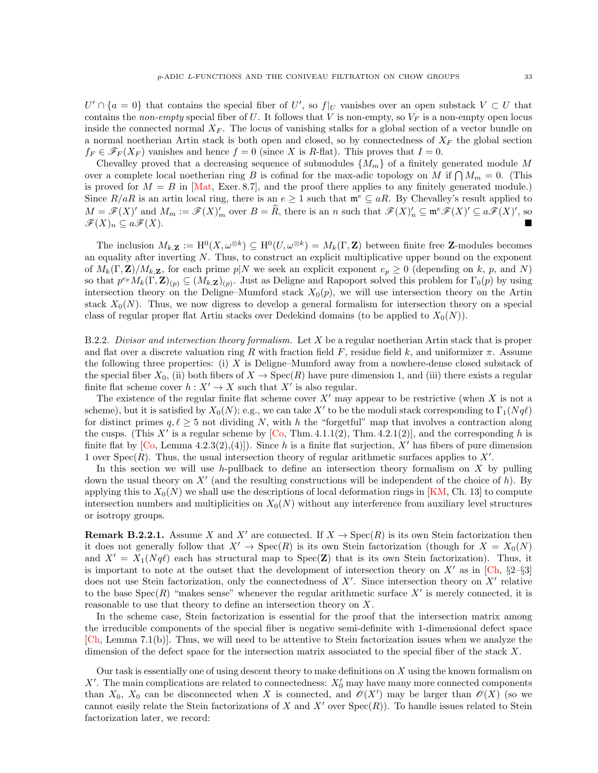$U' \cap \{a = 0\}$  that contains the special fiber of U', so  $f|_U$  vanishes over an open substack  $V \subset U$  that contains the non-empty special fiber of U. It follows that V is non-empty, so  $V_F$  is a non-empty open locus inside the connected normal  $X_F$ . The locus of vanishing stalks for a global section of a vector bundle on a normal noetherian Artin stack is both open and closed, so by connectedness of  $X_F$  the global section  $f_F \in \mathscr{F}_F(X_F)$  vanishes and hence  $f = 0$  (since X is R-flat). This proves that  $I = 0$ .

Chevalley proved that a decreasing sequence of submodules  $\{M_m\}$  of a finitely generated module M over a complete local noetherian ring B is cofinal for the max-adic topology on M if  $\bigcap M_m = 0$ . (This is proved for  $M = B$  in [\[Mat,](#page-45-32) Exer. 8.7], and the proof there applies to any finitely generated module.) Since  $R/aR$  is an artin local ring, there is an  $e \geq 1$  such that  $\mathfrak{m}^e \subseteq aR$ . By Chevalley's result applied to  $M = \mathscr{F}(X)'$  and  $M_m := \mathscr{F}(X)'_m$  over  $B = \widehat{R}$ , there is an n such that  $\mathscr{F}(X)'_n \subseteq \mathfrak{m}^e \mathscr{F}(X)' \subseteq a\mathscr{F}(X)'$ , so  $\cong \mathscr{F}(X)$ .  $\mathscr{F}(X)_n \subseteq a\mathscr{F}(X).$ 

The inclusion  $M_{k,\mathbf{Z}} := H^0(X, \omega^{\otimes k}) \subseteq H^0(U, \omega^{\otimes k}) = M_k(\Gamma, \mathbf{Z})$  between finite free **Z**-modules becomes an equality after inverting N. Thus, to construct an explicit multiplicative upper bound on the exponent of  $M_k(\Gamma, \mathbf{Z})/M_k$ , for each prime  $p|N$  we seek an explicit exponent  $e_p \geq 0$  (depending on k, p, and N) so that  $p^{e_p}M_k(\Gamma, \mathbf{Z})_{(p)} \subseteq (M_{k,\mathbf{Z}})_{(p)}$ . Just as Deligne and Rapoport solved this problem for  $\Gamma_0(p)$  by using intersection theory on the Deligne–Mumford stack  $X_0(p)$ , we will use intersection theory on the Artin stack  $X_0(N)$ . Thus, we now digress to develop a general formalism for intersection theory on a special class of regular proper flat Artin stacks over Dedekind domains (to be applied to  $X_0(N)$ ).

<span id="page-32-0"></span>B.2.2. Divisor and intersection theory formalism. Let X be a regular noetherian Artin stack that is proper and flat over a discrete valuation ring R with fraction field F, residue field k, and uniformizer  $\pi$ . Assume the following three properties: (i)  $X$  is Deligne–Mumford away from a nowhere-dense closed substack of the special fiber  $X_0$ , (ii) both fibers of  $X \to \text{Spec}(R)$  have pure dimension 1, and (iii) there exists a regular finite flat scheme cover  $h: X' \to X$  such that X' is also regular.

The existence of the regular finite flat scheme cover  $X'$  may appear to be restrictive (when X is not a scheme), but it is satisfied by  $X_0(N)$ ; e.g., we can take  $X'$  to be the moduli stack corresponding to  $\Gamma_1(Nq\ell)$ for distinct primes  $q, \ell \geq 5$  not dividing N, with h the "forgetful" map that involves a contraction along the cusps. (This X' is a regular scheme by  $[C_0, Thm. 4.1.1(2), Thm. 4.2.1(2)]$ , and the corresponding h is finite flat by  $[C_0, \text{Lemma 4.2.3(2)}, (4)]$ . Since h is a finite flat surjection, X' has fibers of pure dimension 1 over Spec( $R$ ). Thus, the usual intersection theory of regular arithmetic surfaces applies to  $X'$ .

In this section we will use h-pullback to define an intersection theory formalism on  $X$  by pulling down the usual theory on  $X'$  (and the resulting constructions will be independent of the choice of h). By applying this to  $X_0(N)$  we shall use the descriptions of local deformation rings in [\[KM,](#page-45-33) Ch. 13] to compute intersection numbers and multiplicities on  $X_0(N)$  without any interference from auxiliary level structures or isotropy groups.

**Remark B.2.2.1.** Assume X and X' are connected. If  $X \to \text{Spec}(R)$  is its own Stein factorization then it does not generally follow that  $X' \to \text{Spec}(R)$  is its own Stein factorization (though for  $X = X_0(N)$ and  $X' = X_1(Nq\ell)$  each has structural map to  $Spec(\mathbf{Z})$  that is its own Stein factorization). Thus, it is important to note at the outset that the development of intersection theory on  $X'$  as in [\[Ch,](#page-45-34) §2–§3] does not use Stein factorization, only the connectedness of  $X'$ . Since intersection theory on  $X'$  relative to the base  $Spec(R)$  "makes sense" whenever the regular arithmetic surface  $X'$  is merely connected, it is reasonable to use that theory to define an intersection theory on X.

In the scheme case, Stein factorization is essential for the proof that the intersection matrix among the irreducible components of the special fiber is negative semi-definite with 1-dimensional defect space [\[Ch,](#page-45-34) Lemma 7.1(b)]. Thus, we will need to be attentive to Stein factorization issues when we analyze the dimension of the defect space for the intersection matrix associated to the special fiber of the stack X.

Our task is essentially one of using descent theory to make definitions on  $X$  using the known formalism on X'. The main complications are related to connectedness:  $X'_0$  may have many more connected components than  $X_0$ ,  $X_0$  can be disconnected when X is connected, and  $\mathcal{O}(X')$  may be larger than  $\mathcal{O}(X)$  (so we cannot easily relate the Stein factorizations of X and X' over  $Spec(R)$ ). To handle issues related to Stein factorization later, we record: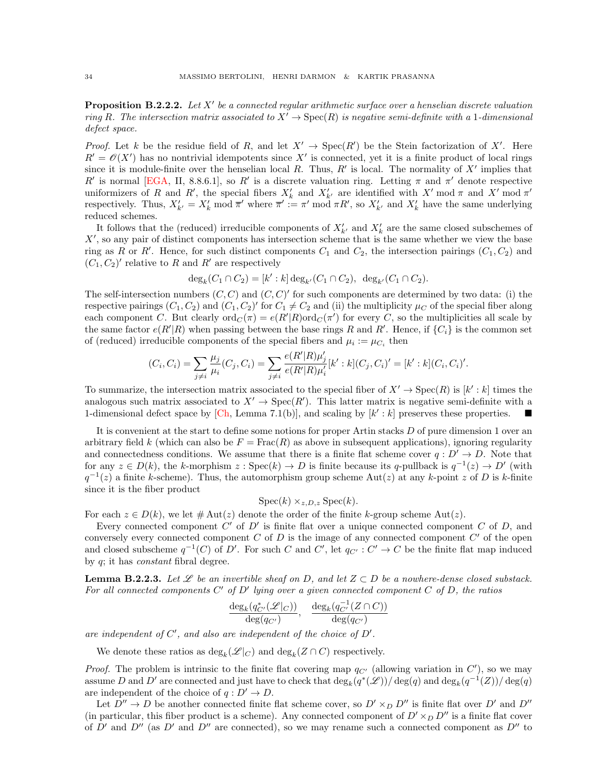<span id="page-33-0"></span>**Proposition B.2.2.2.** Let  $X'$  be a connected regular arithmetic surface over a henselian discrete valuation ring R. The intersection matrix associated to  $X' \to \text{Spec}(R)$  is negative semi-definite with a 1-dimensional defect space.

*Proof.* Let k be the residue field of R, and let  $X' \to \text{Spec}(R')$  be the Stein factorization of X'. Here  $R' = \mathcal{O}(X')$  has no nontrivial idempotents since X' is connected, yet it is a finite product of local rings since it is module-finite over the henselian local R. Thus, R' is local. The normality of  $X'$  implies that R' is normal [\[EGA,](#page-45-35) II, 8.8.6.1], so R' is a discrete valuation ring. Letting π and π' denote respective uniformizers of R and R', the special fibers  $X'_k$  and  $X'_{k'}$  are identified with  $X'$  mod  $\pi$  and  $X'$  mod  $\pi'$ respectively. Thus,  $X'_{k'} = X'_{k} \mod \overline{\pi}'$  where  $\overline{\pi}' := \pi' \mod \pi R'$ , so  $X'_{k'}$  and  $X'_{k}$  have the same underlying reduced schemes.

It follows that the (reduced) irreducible components of  $X'_{k'}$  and  $X'_{k}$  are the same closed subschemes of  $X'$ , so any pair of distinct components has intersection scheme that is the same whether we view the base ring as R or R'. Hence, for such distinct components  $C_1$  and  $C_2$ , the intersection pairings  $(C_1, C_2)$  and  $(C_1, C_2)'$  relative to R and R' are respectively

$$
\deg_k(C_1 \cap C_2) = [k':k] \deg_{k'}(C_1 \cap C_2), \deg_{k'}(C_1 \cap C_2).
$$

The self-intersection numbers  $(C, C)$  and  $(C, C)'$  for such components are determined by two data: (i) the respective pairings  $(C_1, C_2)$  and  $(C_1, C_2)'$  for  $C_1 \neq C_2$  and (ii) the multiplicity  $\mu_C$  of the special fiber along each component C. But clearly  $\text{ord}_C(\pi) = e(R'|R)\text{ord}_C(\pi')$  for every C, so the multiplicities all scale by the same factor  $e(R'|R)$  when passing between the base rings R and R'. Hence, if  $\{C_i\}$  is the common set of (reduced) irreducible components of the special fibers and  $\mu_i := \mu_{C_i}$  then

$$
(C_i, C_i) = \sum_{j \neq i} \frac{\mu_j}{\mu_i} (C_j, C_i) = \sum_{j \neq i} \frac{e(R'|R)\mu'_j}{e(R'|R)\mu'_i} [k':k](C_j, C_i)' = [k':k](C_i, C_i)'.
$$

To summarize, the intersection matrix associated to the special fiber of  $X' \to \text{Spec}(R)$  is  $[k':k]$  times the analogous such matrix associated to  $X' \to \text{Spec}(R')$ . This latter matrix is negative semi-definite with a 1-dimensional defect space by [\[Ch,](#page-45-34) Lemma 7.1(b)], and scaling by  $[k':k]$  preserves these properties.

It is convenient at the start to define some notions for proper Artin stacks  $D$  of pure dimension 1 over an arbitrary field k (which can also be  $F = \text{Frac}(R)$  as above in subsequent applications), ignoring regularity and connectedness conditions. We assume that there is a finite flat scheme cover  $q: D' \to D$ . Note that for any  $z \in D(k)$ , the k-morphism  $z : \text{Spec}(k) \to D$  is finite because its q-pullback is  $q^{-1}(z) \to D'$  (with  $q^{-1}(z)$  a finite k-scheme). Thus, the automorphism group scheme Aut(z) at any k-point z of D is k-finite since it is the fiber product

$$
Spec(k) \times_{z,D,z} Spec(k).
$$

For each  $z \in D(k)$ , we let  $\#\text{Aut}(z)$  denote the order of the finite k-group scheme Aut $(z)$ .

Every connected component  $C'$  of  $D'$  is finite flat over a unique connected component  $C$  of  $D$ , and conversely every connected component  $C$  of  $D$  is the image of any connected component  $C'$  of the open and closed subscheme  $q^{-1}(C)$  of D'. For such C and C', let  $q_{C'} : C' \to C$  be the finite flat map induced by q; it has constant fibral degree.

**Lemma B.2.2.3.** Let  $\mathscr L$  be an invertible sheaf on D, and let  $Z \subset D$  be a nowhere-dense closed substack. For all connected components  $C'$  of  $D'$  lying over a given connected component  $C$  of  $D$ , the ratios

$$
\frac{\deg_k(q_{C'}^*(\mathscr{L}|_C))}{\deg(q_{C'})}, \frac{\deg_k(q_{C'}^{-1}(Z\cap C))}{\deg(q_{C'})}
$$

are independent of  $C'$ , and also are independent of the choice of  $D'$ .

We denote these ratios as  $\deg_k(\mathscr{L}|_C)$  and  $\deg_k(Z \cap C)$  respectively.

*Proof.* The problem is intrinsic to the finite flat covering map  $q_{C'}$  (allowing variation in  $C'$ ), so we may assume D and D' are connected and just have to check that  $\deg_k(q^*(\mathscr{L}))/\deg(q)$  and  $\deg_k(q^{-1}(Z))/\deg(q)$ are independent of the choice of  $q: D' \to D$ .

Let  $D'' \to D$  be another connected finite flat scheme cover, so  $D' \times_D D''$  is finite flat over D' and D'' (in particular, this fiber product is a scheme). Any connected component of  $D' \times_D D''$  is a finite flat cover of  $D'$  and  $D''$  (as  $D'$  and  $D''$  are connected), so we may rename such a connected component as  $D''$  to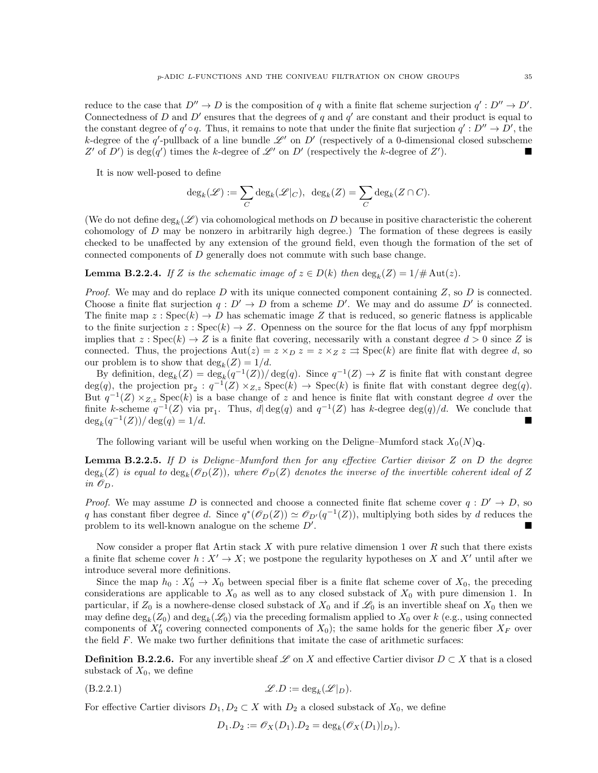reduce to the case that  $D'' \to D$  is the composition of q with a finite flat scheme surjection  $q' : D'' \to D'$ . Connectedness of D and D' ensures that the degrees of q and  $q'$  are constant and their product is equal to the constant degree of  $q' \circ q$ . Thus, it remains to note that under the finite flat surjection  $q' : D'' \to D'$ , the k-degree of the q'-pullback of a line bundle  $\mathscr{L}'$  on D' (respectively of a 0-dimensional closed subscheme Z' of D') is  $deg(q')$  times the k-degree of  $\mathscr{L}'$  on D' (respectively the k-degree of Z'  $\Box$ 

It is now well-posed to define

$$
\deg_k(\mathscr{L}) := \sum_C \deg_k(\mathscr{L}|_C), \ \ \deg_k(Z) = \sum_C \deg_k(Z \cap C).
$$

(We do not define  $\deg_k(\mathscr{L})$  via cohomological methods on D because in positive characteristic the coherent cohomology of  $D$  may be nonzero in arbitrarily high degree.) The formation of these degrees is easily checked to be unaffected by any extension of the ground field, even though the formation of the set of connected components of D generally does not commute with such base change.

**Lemma B.2.2.4.** If Z is the schematic image of  $z \in D(k)$  then  $\deg_k(Z) = 1/\# \text{Aut}(z)$ .

<span id="page-34-3"></span>*Proof.* We may and do replace D with its unique connected component containing  $Z$ , so D is connected. Choose a finite flat surjection  $q: D' \to D$  from a scheme D'. We may and do assume D' is connected. The finite map  $z : \text{Spec}(k) \to D$  has schematic image Z that is reduced, so generic flatness is applicable to the finite surjection  $z : \text{Spec}(k) \to Z$ . Openness on the source for the flat locus of any fppf morphism implies that  $z : \text{Spec}(k) \to Z$  is a finite flat covering, necessarily with a constant degree  $d > 0$  since Z is connected. Thus, the projections  $\text{Aut}(z) = z \times_D z = z \times_Z z \Rightarrow \text{Spec}(k)$  are finite flat with degree d, so our problem is to show that  $deg_k(Z) = 1/d$ .

By definition,  $deg_k(Z) = deg_k(q^{-1}(Z))/deg(q)$ . Since  $q^{-1}(Z) \to Z$  is finite flat with constant degree  $deg(q)$ , the projection  $pr_2: q^{-1}(Z) \times_{Z,z} Spec(k) \rightarrow Spec(k)$  is finite flat with constant degree  $deg(q)$ . But  $q^{-1}(Z) \times_{Z,z}$  Spec $(k)$  is a base change of z and hence is finite flat with constant degree d over the finite k-scheme  $q^{-1}(Z)$  via pr<sub>1</sub>. Thus,  $d | \deg(q)$  and  $q^{-1}(Z)$  has k-degree  $\deg(q)/d$ . We conclude that  $deg_k(q^{-1}(Z))/deg(q) = 1/d.$ 

The following variant will be useful when working on the Deligne–Mumford stack  $X_0(N)_{\mathbf{Q}}$ .

<span id="page-34-2"></span>**Lemma B.2.2.5.** If D is Deligne–Mumford then for any effective Cartier divisor Z on D the degree  $\deg_k(Z)$  is equal to  $\deg_k(\mathscr{O}_D(Z))$ , where  $\mathscr{O}_D(Z)$  denotes the inverse of the invertible coherent ideal of Z in  $\mathscr{O}_D$ .

*Proof.* We may assume D is connected and choose a connected finite flat scheme cover  $q: D' \to D$ , so q has constant fiber degree d. Since  $q^*(\mathcal{O}_D(Z)) \simeq \mathcal{O}_{D'}(q^{-1}(Z))$ , multiplying both sides by d reduces the problem to its well-known analogue on the scheme  $D'$ . .

Now consider a proper flat Artin stack X with pure relative dimension 1 over  $R$  such that there exists a finite flat scheme cover  $h: X' \to X$ ; we postpone the regularity hypotheses on X and X' until after we introduce several more definitions.

Since the map  $h_0: X'_0 \to X_0$  between special fiber is a finite flat scheme cover of  $X_0$ , the preceding considerations are applicable to  $X_0$  as well as to any closed substack of  $X_0$  with pure dimension 1. In particular, if  $Z_0$  is a nowhere-dense closed substack of  $X_0$  and if  $\mathscr{L}_0$  is an invertible sheaf on  $X_0$  then we may define  $\deg_k(Z_0)$  and  $\deg_k(\mathscr{L}_0)$  via the preceding formalism applied to  $X_0$  over k (e.g., using connected components of  $X'_0$  covering connected components of  $X_0$ ); the same holds for the generic fiber  $X_F$  over the field F. We make two further definitions that imitate the case of arithmetic surfaces:

<span id="page-34-1"></span>**Definition B.2.2.6.** For any invertible sheaf L on X and effective Cartier divisor  $D \subset X$  that is a closed substack of  $X_0$ , we define

$$
(\text{B.2.2.1}) \quad \mathscr{L}.\text{D} := \text{deg}_k(\mathscr{L}|_D).
$$

For effective Cartier divisors  $D_1, D_2 \subset X$  with  $D_2$  a closed substack of  $X_0$ , we define

<span id="page-34-0"></span>
$$
D_1.D_2 := \mathcal{O}_X(D_1).D_2 = \deg_k(\mathcal{O}_X(D_1)|_{D_2}).
$$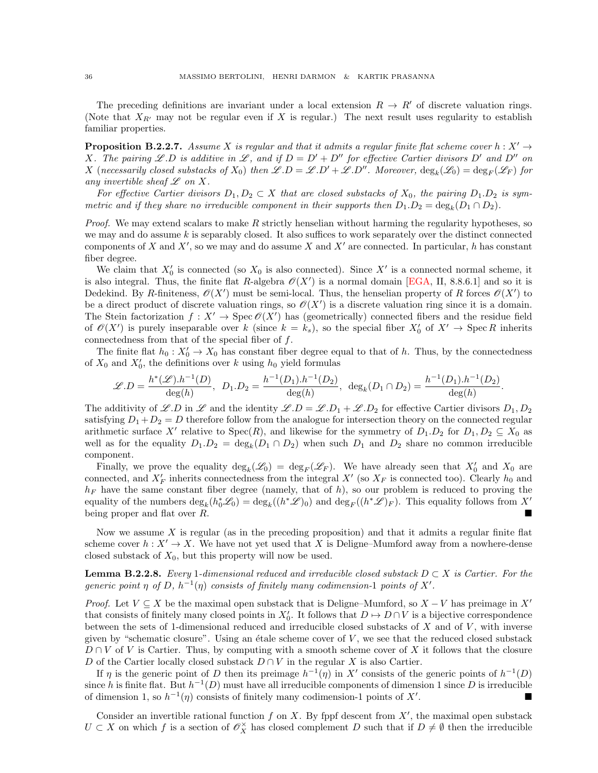The preceding definitions are invariant under a local extension  $R \to R'$  of discrete valuation rings. (Note that  $X_{R'}$  may not be regular even if X is regular.) The next result uses regularity to establish familiar properties.

<span id="page-35-1"></span>**Proposition B.2.2.7.** Assume X is regular and that it admits a regular finite flat scheme cover  $h : X' \to Y$ X. The pairing L.D is additive in L, and if  $D = D' + D''$  for effective Cartier divisors D' and D'' on X (necessarily closed substacks of  $X_0$ ) then  $\mathscr{L}.D = \mathscr{L}.D' + \mathscr{L}.D''$ . Moreover,  $\deg_k(\mathscr{L}_0) = \deg_F(\mathscr{L}_F)$  for any invertible sheaf  $\mathscr L$  on X.

For effective Cartier divisors  $D_1, D_2 \subset X$  that are closed substacks of  $X_0$ , the pairing  $D_1 \cdot D_2$  is symmetric and if they share no irreducible component in their supports then  $D_1.D_2 = \deg_k(D_1 \cap D_2)$ .

*Proof.* We may extend scalars to make  $R$  strictly henselian without harming the regularity hypotheses, so we may and do assume  $k$  is separably closed. It also suffices to work separately over the distinct connected components of X and X', so we may and do assume X and X' are connected. In particular, h has constant fiber degree.

We claim that  $X'_0$  is connected (so  $X_0$  is also connected). Since  $X'$  is a connected normal scheme, it is also integral. Thus, the finite flat R-algebra  $\mathcal{O}(X')$  is a normal domain [\[EGA,](#page-45-35) II, 8.8.6.1] and so it is Dedekind. By R-finiteness,  $\mathcal{O}(X')$  must be semi-local. Thus, the henselian property of R forces  $\mathcal{O}(X')$  to be a direct product of discrete valuation rings, so  $\mathscr{O}(X')$  is a discrete valuation ring since it is a domain. The Stein factorization  $f: X' \to \text{Spec } \mathcal{O}(X')$  has (geometrically) connected fibers and the residue field of  $\mathcal{O}(X')$  is purely inseparable over k (since  $k = k_s$ ), so the special fiber  $X'_0$  of  $X' \to \text{Spec } R$  inherits connectedness from that of the special fiber of  $f$ .

The finite flat  $h_0: X'_0 \to X_0$  has constant fiber degree equal to that of h. Thus, by the connectedness of  $X_0$  and  $X'_0$ , the definitions over k using  $h_0$  yield formulas

$$
\mathscr{L}.D = \frac{h^*(\mathscr{L}).h^{-1}(D)}{\deg(h)}, \ D_1.D_2 = \frac{h^{-1}(D_1).h^{-1}(D_2)}{\deg(h)}, \ \deg_k(D_1 \cap D_2) = \frac{h^{-1}(D_1).h^{-1}(D_2)}{\deg(h)}.
$$

The additivity of L.D in L and the identity  $\mathscr{L}.D = \mathscr{L}.D_1 + \mathscr{L}.D_2$  for effective Cartier divisors  $D_1, D_2$ satisfying  $D_1 + D_2 = D$  therefore follow from the analogue for intersection theory on the connected regular arithmetic surface X' relative to  $Spec(R)$ , and likewise for the symmetry of  $D_1, D_2$  for  $D_1, D_2 \subseteq X_0$  as well as for the equality  $D_1 \cdot D_2 = \deg_k(D_1 \cap D_2)$  when such  $D_1$  and  $D_2$  share no common irreducible component.

Finally, we prove the equality  $deg_k(\mathcal{L}_0) = deg_F(\mathcal{L}_F)$ . We have already seen that  $X'_0$  and  $X_0$  are connected, and  $X'_F$  inherits connectedness from the integral  $X'$  (so  $X_F$  is connected too). Clearly  $h_0$  and  $h_F$  have the same constant fiber degree (namely, that of h), so our problem is reduced to proving the equality of the numbers  $\deg_k(h_0^*\mathscr{L}_0) = \deg_k((h^*\mathscr{L})_0)$  and  $\deg_F((h^*\mathscr{L})_F)$ . This equality follows from X' being proper and flat over R.

Now we assume  $X$  is regular (as in the preceding proposition) and that it admits a regular finite flat scheme cover  $h: X' \to X$ . We have not yet used that X is Deligne–Mumford away from a nowhere-dense closed substack of  $X_0$ , but this property will now be used.

<span id="page-35-0"></span>**Lemma B.2.2.8.** Every 1-dimensional reduced and irreducible closed substack  $D \subset X$  is Cartier. For the generic point  $\eta$  of D,  $h^{-1}(\eta)$  consists of finitely many codimension-1 points of X'.

*Proof.* Let  $V \subseteq X$  be the maximal open substack that is Deligne–Mumford, so  $X - V$  has preimage in X<sup>'</sup> that consists of finitely many closed points in  $X'_0$ . It follows that  $D \to D \cap V$  is a bijective correspondence between the sets of 1-dimensional reduced and irreducible closed substacks of  $X$  and of  $V$ , with inverse given by "schematic closure". Using an étale scheme cover of  $V$ , we see that the reduced closed substack  $D \cap V$  of V is Cartier. Thus, by computing with a smooth scheme cover of X it follows that the closure D of the Cartier locally closed substack  $D \cap V$  in the regular X is also Cartier.

If  $\eta$  is the generic point of D then its preimage  $h^{-1}(\eta)$  in X' consists of the generic points of  $h^{-1}(D)$ since h is finite flat. But  $h^{-1}(D)$  must have all irreducible components of dimension 1 since D is irreducible of dimension 1, so  $h^{-1}(\eta)$  consists of finitely many codimension-1 points of X' .

Consider an invertible rational function  $f$  on  $X$ . By fppf descent from  $X'$ , the maximal open substack  $U \subset X$  on which f is a section of  $\mathscr{O}_X^{\times}$  has closed complement D such that if  $D \neq \emptyset$  then the irreducible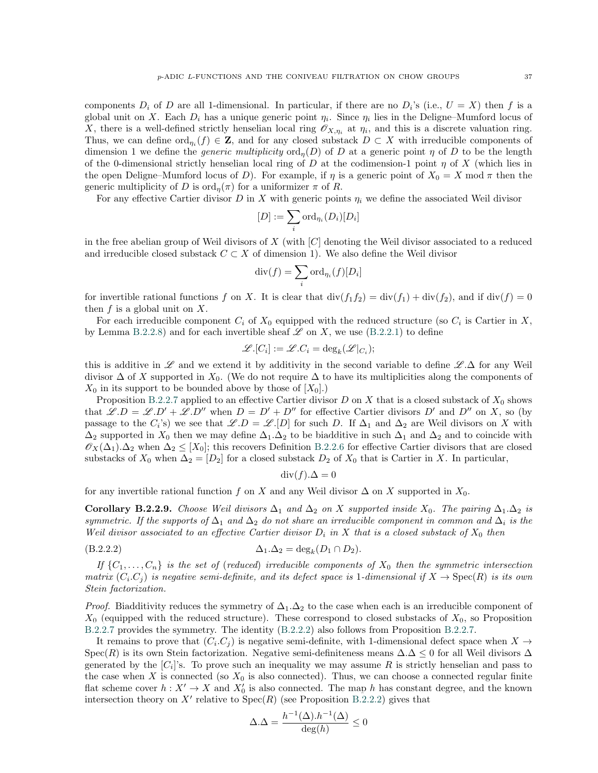components  $D_i$  of D are all 1-dimensional. In particular, if there are no  $D_i$ 's (i.e.,  $U = X$ ) then f is a global unit on X. Each  $D_i$  has a unique generic point  $\eta_i$ . Since  $\eta_i$  lies in the Deligne–Mumford locus of X, there is a well-defined strictly henselian local ring  $\mathscr{O}_{X,\eta_i}$  at  $\eta_i$ , and this is a discrete valuation ring. Thus, we can define  $\text{ord}_{\eta_i}(f) \in \mathbb{Z}$ , and for any closed substack  $D \subset X$  with irreducible components of dimension 1 we define the *generic multiplicity* ord<sub>n</sub>(D) of D at a generic point  $\eta$  of D to be the length of the 0-dimensional strictly henselian local ring of D at the codimension-1 point  $\eta$  of X (which lies in the open Deligne–Mumford locus of D). For example, if  $\eta$  is a generic point of  $X_0 = X \text{ mod } \pi$  then the generic multiplicity of D is  $\text{ord}_{\eta}(\pi)$  for a uniformizer  $\pi$  of R.

For any effective Cartier divisor D in X with generic points  $\eta_i$  we define the associated Weil divisor

$$
[D] := \sum_i \mathrm{ord}_{\eta_i}(D_i)[D_i]
$$

in the free abelian group of Weil divisors of X (with  $|C|$  denoting the Weil divisor associated to a reduced and irreducible closed substack  $C \subset X$  of dimension 1). We also define the Weil divisor

$$
\operatorname{div}(f) = \sum_{i} \operatorname{ord}_{\eta_i}(f)[D_i]
$$

for invertible rational functions f on X. It is clear that  $\text{div}(f_1f_2) = \text{div}(f_1) + \text{div}(f_2)$ , and if  $\text{div}(f) = 0$ then  $f$  is a global unit on  $X$ .

For each irreducible component  $C_i$  of  $X_0$  equipped with the reduced structure (so  $C_i$  is Cartier in X, by Lemma [B.2.2.8\)](#page-35-0) and for each invertible sheaf  $\mathscr L$  on X, we use ([B.2.2.1\)](#page-34-0) to define

$$
\mathscr{L}.[C_i] := \mathscr{L}.C_i = \deg_k(\mathscr{L}|_{C_i});
$$

this is additive in  $\mathscr L$  and we extend it by additivity in the second variable to define  $\mathscr L.\Delta$  for any Weil divisor  $\Delta$  of X supported in  $X_0$ . (We do not require  $\Delta$  to have its multiplicities along the components of  $X_0$  in its support to be bounded above by those of  $[X_0]$ .

Proposition [B.2.2.7](#page-35-1) applied to an effective Cartier divisor  $D$  on  $X$  that is a closed substack of  $X_0$  shows that  $\mathscr{L}.D = \mathscr{L}.D' + \mathscr{L}.D''$  when  $D = D' + D''$  for effective Cartier divisors D' and D'' on X, so (by passage to the  $C_i$ 's) we see that  $\mathscr{L}.D = \mathscr{L}.[D]$  for such D. If  $\Delta_1$  and  $\Delta_2$  are Weil divisors on X with  $\Delta_2$  supported in  $X_0$  then we may define  $\Delta_1.\Delta_2$  to be biadditive in such  $\Delta_1$  and  $\Delta_2$  and to coincide with  $\mathscr{O}_X(\Delta_1)$ . $\Delta_2$  when  $\Delta_2 \leq [X_0]$ ; this recovers Definition [B.2.2.6](#page-34-1) for effective Cartier divisors that are closed substacks of  $X_0$  when  $\Delta_2 = [D_2]$  for a closed substack  $D_2$  of  $X_0$  that is Cartier in X. In particular,

<span id="page-36-0"></span>
$$
\operatorname{div}(f).\Delta = 0
$$

for any invertible rational function f on X and any Weil divisor  $\Delta$  on X supported in  $X_0$ .

**Corollary B.2.2.9.** Choose Weil divisors  $\Delta_1$  and  $\Delta_2$  on X supported inside  $X_0$ . The pairing  $\Delta_1.\Delta_2$  is symmetric. If the supports of  $\Delta_1$  and  $\Delta_2$  do not share an irreducible component in common and  $\Delta_i$  is the Weil divisor associated to an effective Cartier divisor  $D_i$  in X that is a closed substack of  $X_0$  then

$$
\Delta_1.\Delta_2 = \deg_k(D_1 \cap D_2).
$$

If  $\{C_1,\ldots,C_n\}$  is the set of (reduced) irreducible components of  $X_0$  then the symmetric intersection matrix  $(C_i.C_j)$  is negative semi-definite, and its defect space is 1-dimensional if  $X \to \text{Spec}(R)$  is its own Stein factorization.

*Proof.* Biadditivity reduces the symmetry of  $\Delta_1.\Delta_2$  to the case when each is an irreducible component of  $X_0$  (equipped with the reduced structure). These correspond to closed substacks of  $X_0$ , so Proposition [B.2.2.7](#page-35-1) provides the symmetry. The identity ( [B.2.2.2\)](#page-36-0) also follows from Proposition [B.2.2.7.](#page-35-1)

It remains to prove that  $(C_i.C_j)$  is negative semi-definite, with 1-dimensional defect space when  $X \to$ Spec(R) is its own Stein factorization. Negative semi-definiteness means  $\Delta.\Delta \leq 0$  for all Weil divisors  $\Delta$ generated by the  $[C_i]$ 's. To prove such an inequality we may assume R is strictly henselian and pass to the case when X is connected (so  $X_0$  is also connected). Thus, we can choose a connected regular finite flat scheme cover  $h: X' \to X$  and  $X'_0$  is also connected. The map h has constant degree, and the known intersection theory on X' relative to  $Spec(R)$  (see Proposition [B.2.2.2\)](#page-33-0) gives that

$$
\Delta.\Delta=\frac{h^{-1}(\Delta).h^{-1}(\Delta)}{\deg(h)}\leq 0
$$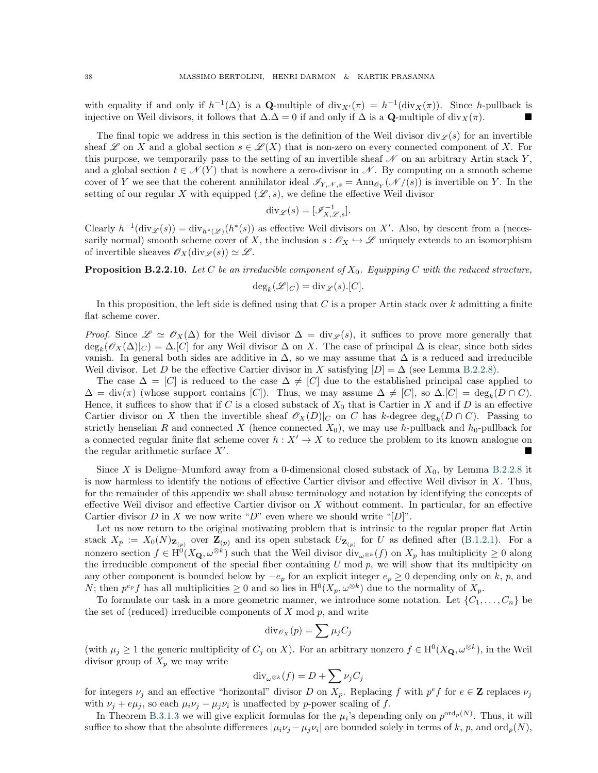with equality if and only if  $h^{-1}(\Delta)$  is a Q-multiple of  $\text{div}_{X'}(\pi) = h^{-1}(\text{div}_X(\pi))$ . Since h-pullback is injective on Weil divisors, it follows that  $\Delta.\Delta=0$  if and only if  $\Delta$  is a Q-multiple of div $_X(\pi)$ .

The final topic we address in this section is the definition of the Weil divisor div $\varphi(s)$  for an invertible sheaf L on X and a global section  $s \in \mathcal{L}(X)$  that is non-zero on every connected component of X. For this purpose, we temporarily pass to the setting of an invertible sheaf  $\mathcal N$  on an arbitrary Artin stack Y, and a global section  $t \in \mathcal{N}(Y)$  that is nowhere a zero-divisor in N. By computing on a smooth scheme cover of Y we see that the coherent annihilator ideal  $\mathscr{I}_{Y,\mathscr{N},s} = \text{Ann}_{\mathscr{O}_Y}(\mathscr{N}/(s))$  is invertible on Y. In the setting of our regular X with equipped  $(\mathscr{L}, s)$ , we define the effective Weil divisor

$$
\mathrm{div}_{\mathscr{L}}(s) = [\mathscr{I}_{X,\mathscr{L},s}^{-1}].
$$

Clearly  $h^{-1}(\text{div}_{\mathscr{L}}(s)) = \text{div}_{h^*(\mathscr{L})}(h^*(s))$  as effective Weil divisors on X'. Also, by descent from a (necessarily normal) smooth scheme cover of X, the inclusion  $s : \mathscr{O}_X \hookrightarrow \mathscr{L}$  uniquely extends to an isomorphism of invertible sheaves  $\mathscr{O}_X(\text{div}_{\mathscr{L}}(s)) \simeq \mathscr{L}$ .

**Proposition B.2.2.10.** Let C be an irreducible component of  $X_0$ . Equipping C with the reduced structure,

$$
\deg_k(\mathcal{L}|_C) = \mathrm{div}_{\mathcal{L}}(s).[C].
$$

In this proposition, the left side is defined using that C is a proper Artin stack over  $k$  admitting a finite flat scheme cover.

*Proof.* Since  $\mathscr{L} \simeq \mathscr{O}_X(\Delta)$  for the Weil divisor  $\Delta = \text{div}_{\mathscr{L}}(s)$ , it suffices to prove more generally that  $deg_k(\mathscr{O}_X(\Delta)|_C) = \Delta$ . [C] for any Weil divisor  $\Delta$  on X. The case of principal  $\Delta$  is clear, since both sides vanish. In general both sides are additive in  $\Delta$ , so we may assume that  $\Delta$  is a reduced and irreducible Weil divisor. Let D be the effective Cartier divisor in X satisfying  $[D] = \Delta$  (see Lemma [B.2.2.8\)](#page-35-0).

The case  $\Delta = [C]$  is reduced to the case  $\Delta \neq [C]$  due to the established principal case applied to  $\Delta = \text{div}(\pi)$  (whose support contains [C]). Thus, we may assume  $\Delta \neq [C]$ , so  $\Delta$ .[C] = deg<sub>k</sub>(D ∩ C). Hence, it suffices to show that if C is a closed substack of  $X_0$  that is Cartier in X and if D is an effective Cartier divisor on X then the invertible sheaf  $\mathcal{O}_X(D)|_C$  on C has k-degree  $\deg_k(D \cap C)$ . Passing to strictly henselian R and connected X (hence connected  $X_0$ ), we may use h-pullback and  $h_0$ -pullback for a connected regular finite flat scheme cover  $h: X' \to X$  to reduce the problem to its known analogue on the regular arithmetic surface  $X'$ . .

Since X is Deligne–Mumford away from a 0-dimensional closed substack of  $X_0$ , by Lemma [B.2.2.8](#page-35-0) it is now harmless to identify the notions of effective Cartier divisor and effective Weil divisor in  $X$ . Thus, for the remainder of this appendix we shall abuse terminology and notation by identifying the concepts of effective Weil divisor and effective Cartier divisor on  $X$  without comment. In particular, for an effective Cartier divisor D in X we now write "D" even where we should write " $[D]$ ".

Let us now return to the original motivating problem that is intrinsic to the regular proper flat Artin stack  $X_p := X_0(N)_{\mathbf{Z}_{(p)}}$  over  $\mathbf{Z}_{(p)}$  and its open substack  $U_{\mathbf{Z}_{(p)}}$  for U as defined after ([B.1.2.1\)](#page-30-0). For a nonzero section  $f \in H^0(X_{\mathbf{Q}}, \omega^{\otimes k})$  such that the Weil divisor  $\text{div}_{\omega^{\otimes k}}(f)$  on  $X_p$  has multiplicity  $\geq 0$  along the irreducible component of the special fiber containing  $U \mod p$ , we will show that its multipicity on any other component is bounded below by  $-e_p$  for an explicit integer  $e_p \geq 0$  depending only on k, p, and N; then  $p^{e_p} f$  has all multiplicities  $\geq 0$  and so lies in  $\mathrm{H}^0(X_p, \omega^{\otimes k})$  due to the normality of  $X_p$ .

To formulate our task in a more geometric manner, we introduce some notation. Let  $\{C_1, \ldots, C_n\}$  be the set of (reduced) irreducible components of  $X \text{ mod } p$ , and write

$$
\mathrm{div}_{\mathscr{O}_X}(p) = \sum \mu_j C_j
$$

(with  $\mu_j \geq 1$  the generic multiplicity of  $C_j$  on X). For an arbitrary nonzero  $f \in H^0(X_{\mathbf{Q}}, \omega^{\otimes k})$ , in the Weil divisor group of  $X_p$  we may write

$$
\mathrm{div}_{\omega^{\otimes k}}(f) = D + \sum \nu_j C_j
$$

for integers  $\nu_j$  and an effective "horizontal" divisor D on  $X_p$ . Replacing f with  $p^e f$  for  $e \in \mathbf{Z}$  replaces  $\nu_j$ with  $\nu_j + e\mu_j$ , so each  $\mu_i \nu_j - \mu_j \nu_i$  is unaffected by p-power scaling of f.

In Theorem [B.3.1.3](#page-40-1) we will give explicit formulas for the  $\mu_i$ 's depending only on  $p^{\text{ord}_p(N)}$ . Thus, it will suffice to show that the absolute differences  $|\mu_i \nu_j - \mu_j \nu_i|$  are bounded solely in terms of k, p, and ord $_p(N)$ ,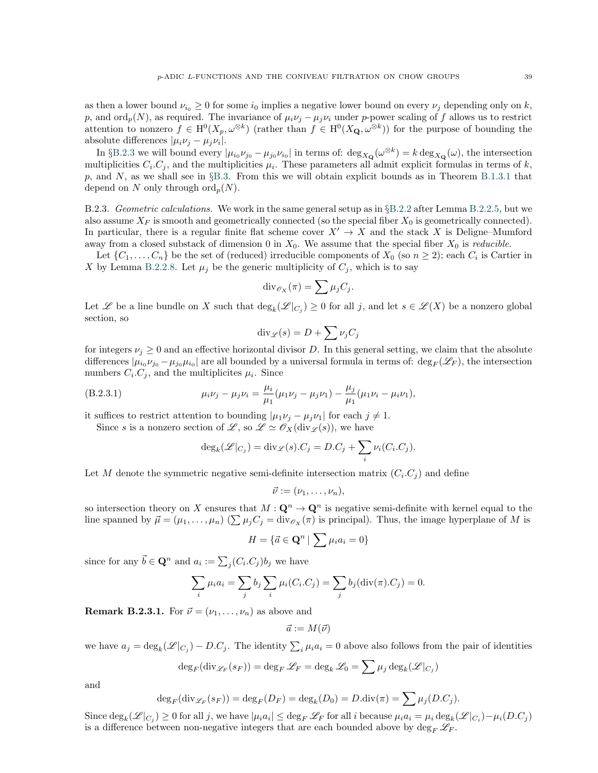as then a lower bound  $\nu_{i_0} \geq 0$  for some  $i_0$  implies a negative lower bound on every  $\nu_i$  depending only on k, p, and ord<sub>p</sub>(N), as required. The invariance of  $\mu_i \nu_j - \mu_j \nu_i$  under p-power scaling of f allows us to restrict attention to nonzero  $f \in H^0(X_p, \omega^{\otimes k})$  (rather than  $f \in H^0(X_{\mathbf{Q}}, \omega^{\otimes k})$ ) for the purpose of bounding the

absolute differences  $|\mu_i \nu_j - \mu_j \nu_i|$ . In §[B.2.3](#page-38-0) we will bound every  $|\mu_{i_0}\nu_{j_0} - \mu_{j_0}\nu_{i_0}|$  in terms of:  $\deg_{X_{\mathbf{Q}}}(\omega^{\otimes k}) = k \deg_{X_{\mathbf{Q}}}(\omega)$ , the intersection multiplicities  $C_i$ ,  $C_j$ , and the multiplicities  $\mu_i$ . These parameters all admit explicit formulas in terms of k, p, and N, as we shall see in  $\S$ [B.3.](#page-40-0) From this we will obtain explicit bounds as in Theorem [B.1.3.1](#page-31-1) that depend on N only through  $\mathrm{ord}_p(N)$ .

<span id="page-38-0"></span>B.2.3. Geometric calculations. We work in the same general setup as in  $\S$ [B.2.2](#page-32-0) after Lemma [B.2.2.5,](#page-34-2) but we also assume  $X_F$  is smooth and geometrically connected (so the special fiber  $X_0$  is geometrically connected). In particular, there is a regular finite flat scheme cover  $X' \to X$  and the stack X is Deligne–Mumford away from a closed substack of dimension 0 in  $X_0$ . We assume that the special fiber  $X_0$  is *reducible*.

Let  $\{C_1, \ldots, C_n\}$  be the set of (reduced) irreducible components of  $X_0$  (so  $n \ge 2$ ); each  $C_i$  is Cartier in X by Lemma [B.2.2.8.](#page-35-0) Let  $\mu_j$  be the generic multiplicity of  $C_j$ , which is to say

$$
\mathrm{div}_{\mathscr{O}_X}(\pi) = \sum \mu_j C_j.
$$

Let L be a line bundle on X such that  $\deg_k(\mathscr{L}|_{C_j}) \geq 0$  for all j, and let  $s \in \mathscr{L}(X)$  be a nonzero global section, so

$$
\mathrm{div}_{\mathscr{L}}(s) = D + \sum \nu_j C_j
$$

for integers  $\nu_i \geq 0$  and an effective horizontal divisor D. In this general setting, we claim that the absolute differences  $|\mu_{i_0}\nu_{j_0}-\mu_{j_0}\mu_{i_0}|$  are all bounded by a universal formula in terms of:  $\deg_F(\mathscr{L}_F)$ , the intersection numbers  $C_i.C_j$ , and the multiplicites  $\mu_i$ . Since

(B.2.3.1) 
$$
\mu_i \nu_j - \mu_j \nu_i = \frac{\mu_i}{\mu_1} (\mu_1 \nu_j - \mu_j \nu_1) - \frac{\mu_j}{\mu_1} (\mu_1 \nu_i - \mu_i \nu_1),
$$

it suffices to restrict attention to bounding  $|\mu_1 \nu_j - \mu_j \nu_1|$  for each  $j \neq 1$ .

Since s is a nonzero section of  $\mathscr{L}$ , so  $\mathscr{L} \simeq \mathscr{O}_X(\text{div}_{\mathscr{L}}(s))$ , we have

<span id="page-38-1"></span>
$$
\deg_k(\mathscr{L}|_{C_j}) = \text{div}_{\mathscr{L}}(s).C_j = D.C_j + \sum_i \nu_i(C_i.C_j).
$$

Let M denote the symmetric negative semi-definite intersection matrix  $(C_i.C_j)$  and define

$$
\vec{\nu}:=(\nu_1,\ldots,\nu_n),
$$

so intersection theory on X ensures that  $M: \mathbf{Q}^n \to \mathbf{Q}^n$  is negative semi-definite with kernel equal to the line spanned by  $\vec{\mu} = (\mu_1, \dots, \mu_n)$   $(\sum \mu_j C_j = \text{div}_{\mathscr{O}_X}(\pi))$  is principal). Thus, the image hyperplane of M is

$$
H = \{ \vec{a} \in \mathbf{Q}^n \mid \sum \mu_i a_i = 0 \}
$$

since for any  $\vec{b} \in \mathbf{Q}^n$  and  $a_i := \sum_j (C_i \cdot C_j) b_j$  we have

$$
\sum_{i} \mu_i a_i = \sum_{j} b_j \sum_{i} \mu_i (C_i.C_j) = \sum_{j} b_j (\text{div}(\pi).C_j) = 0.
$$

<span id="page-38-2"></span>**Remark B.2.3.1.** For  $\vec{\nu} = (\nu_1, \dots, \nu_n)$  as above and

 $\vec{a} := M(\vec{\nu})$ 

we have  $a_j = \deg_k(\mathscr{L}|_{C_j}) - D.C_j$ . The identity  $\sum_i \mu_i a_i = 0$  above also follows from the pair of identities

$$
\deg_F(\mathrm{div}_{\mathscr{L}_F}(s_F)) = \deg_F \mathscr{L}_F = \deg_k \mathscr{L}_0 = \sum \mu_j \deg_k(\mathscr{L}|_{C_j})
$$

and

$$
\deg_F(\operatorname{div}_{\mathscr{L}_F}(s_F)) = \deg_F(D_F) = \deg_k(D_0) = D.\operatorname{div}(\pi) = \sum \mu_j(D.C_j).
$$

Since  $\deg_k(\mathscr{L}|_{C_j}) \geq 0$  for all j, we have  $|\mu_i a_i| \leq \deg_F \mathscr{L}_F$  for all i because  $\mu_i a_i = \mu_i \deg_k(\mathscr{L}|_{C_i}) - \mu_i(D.C_j)$ is a difference between non-negative integers that are each bounded above by  $\deg_F \mathscr{L}_F$ .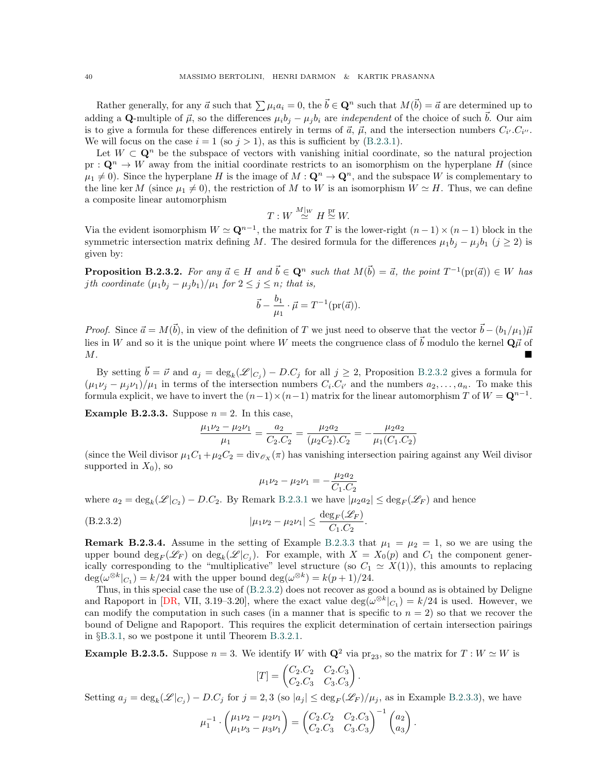Rather generally, for any  $\vec{a}$  such that  $\sum \mu_i a_i = 0$ , the  $\vec{b} \in \mathbf{Q}^n$  such that  $M(\vec{b}) = \vec{a}$  are determined up to adding a Q-multiple of  $\vec{\mu}$ , so the differences  $\mu_i b_j - \mu_j b_i$  are *independent* of the choice of such  $\vec{b}$ . Our aim is to give a formula for these differences entirely in terms of  $\vec{a}$ ,  $\vec{\mu}$ , and the intersection numbers  $C_{i'}$ .  $C_{i''}$ . We will focus on the case  $i = 1$  (so  $j > 1$ ), as this is sufficient by ([B.2.3.1\)](#page-38-1).

Let  $W \subset \mathbf{Q}^n$  be the subspace of vectors with vanishing initial coordinate, so the natural projection pr :  $\mathbf{Q}^n \to W$  away from the initial coordinate restricts to an isomorphism on the hyperplane H (since  $\mu_1 \neq 0$ ). Since the hyperplane H is the image of  $M: \mathbf{Q}^n \to \mathbf{Q}^n$ , and the subspace W is complementary to the line ker M (since  $\mu_1 \neq 0$ ), the restriction of M to W is an isomorphism  $W \simeq H$ . Thus, we can define a composite linear automorphism

$$
T: W \stackrel{M|_W}{\simeq} H \stackrel{\text{pr}}{\simeq} W.
$$

<span id="page-39-0"></span>Via the evident isomorphism  $W \simeq \mathbf{Q}^{n-1}$ , the matrix for T is the lower-right  $(n-1) \times (n-1)$  block in the symmetric intersection matrix defining M. The desired formula for the differences  $\mu_1b_j - \mu_jb_1$  ( $j \ge 2$ ) is given by:

**Proposition B.2.3.2.** For any  $\vec{a} \in H$  and  $\vec{b} \in \mathbf{Q}^n$  such that  $M(\vec{b}) = \vec{a}$ , the point  $T^{-1}(\text{pr}(\vec{a})) \in W$  has jth coordinate  $(\mu_1 b_j - \mu_j b_1)/\mu_1$  for  $2 \leq j \leq n$ ; that is,

$$
\vec{b} - \frac{b_1}{\mu_1} \cdot \vec{\mu} = T^{-1}(\text{pr}(\vec{a})).
$$

*Proof.* Since  $\vec{a} = M(\vec{b})$ , in view of the definition of T we just need to observe that the vector  $\vec{b} - (b_1/\mu_1)\vec{\mu}$ lies in W and so it is the unique point where W meets the congruence class of  $\vec{b}$  modulo the kernel  $\mathbf{Q}\vec{\mu}$  of  $M$ .

By setting  $\vec{b} = \vec{\nu}$  and  $a_j = \deg_k(\mathscr{L}|_{C_j}) - D.C_j$  for all  $j \geq 2$ , Proposition [B.2.3.2](#page-39-0) gives a formula for  $(\mu_1 \nu_j - \mu_j \nu_1)/\mu_1$  in terms of the intersection numbers  $C_i$ .  $C_{i'}$  and the numbers  $a_2, \ldots, a_n$ . To make this formula explicit, we have to invert the  $(n-1) \times (n-1)$  matrix for the linear automorphism T of  $W = \mathbf{Q}^{n-1}$ .

<span id="page-39-1"></span>**Example B.2.3.3.** Suppose  $n = 2$ . In this case,

$$
\frac{\mu_1 \nu_2 - \mu_2 \nu_1}{\mu_1} = \frac{a_2}{C_2.C_2} = \frac{\mu_2 a_2}{(\mu_2 C_2).C_2} = -\frac{\mu_2 a_2}{\mu_1(C_1.C_2)}
$$

(since the Weil divisor  $\mu_1C_1 + \mu_2C_2 = \text{div}_{\mathscr{O}_X}(\pi)$  has vanishing intersection pairing against any Weil divisor supported in  $X_0$ ), so

<span id="page-39-2"></span>
$$
\mu_1 \nu_2 - \mu_2 \nu_1 = -\frac{\mu_2 a_2}{C_1.C_2}
$$

where  $a_2 = \deg_k(\mathscr{L}|_{C_2}) - D.C_2$ . By Remark [B.2.3.1](#page-38-2) we have  $|\mu_2 a_2| \le \deg_F(\mathscr{L}_F)$  and hence

$$
(B.2.3.2) \t |\mu_1 \nu_2 - \mu_2 \nu_1| \le \frac{\deg_F(\mathscr{L}_F)}{C_1.C_2}.
$$

**Remark B.2.3.4.** Assume in the setting of Example [B.2.3.3](#page-39-1) that  $\mu_1 = \mu_2 = 1$ , so we are using the upper bound  $\deg_F(\mathscr{L}_F)$  on  $\deg_k(\mathscr{L}|_{C_j})$ . For example, with  $X = X_0(p)$  and  $C_1$  the component generically corresponding to the "multiplicative" level structure (so  $C_1 \simeq X(1)$ ), this amounts to replacing  $\deg(\omega^{\otimes k}|_{C_1}) = k/24$  with the upper bound  $\deg(\omega^{\otimes k}) = k(p+1)/24$ .

Thus, in this special case the use of ( [B.2.3.2\)](#page-39-2) does not recover as good a bound as is obtained by Deligne and Rapoport in [\[DR,](#page-45-26) VII, 3.19–3.20], where the exact value  $deg(\omega^{\otimes k}|_{C_1}) = k/24$  is used. However, we can modify the computation in such cases (in a manner that is specific to  $n = 2$ ) so that we recover the bound of Deligne and Rapoport. This requires the explicit determination of certain intersection pairings in § [B.3.1,](#page-40-2) so we postpone it until Theorem [B.3.2.1.](#page-42-0)

<span id="page-39-3"></span>**Example B.2.3.5.** Suppose  $n = 3$ . We identify W with  $\mathbf{Q}^2$  via  $\text{pr}_{23}$ , so the matrix for  $T : W \simeq W$  is

$$
[T] = \begin{pmatrix} C_2.C_2 & C_2.C_3 \ C_2.C_3 & C_3.C_3 \end{pmatrix}.
$$

Setting  $a_j = \deg_k(\mathscr{L}|_{C_j}) - D.C_j$  for  $j = 2, 3$  (so  $|a_j| \leq \deg_F(\mathscr{L}_F)/\mu_j$ , as in Example [B.2.3.3\)](#page-39-1), we have

$$
\mu_1^{-1} \cdot \begin{pmatrix} \mu_1 \nu_2 - \mu_2 \nu_1 \\ \mu_1 \nu_3 - \mu_3 \nu_1 \end{pmatrix} = \begin{pmatrix} C_2.C_2 & C_2.C_3 \\ C_2.C_3 & C_3.C_3 \end{pmatrix}^{-1} \begin{pmatrix} a_2 \\ a_3 \end{pmatrix}.
$$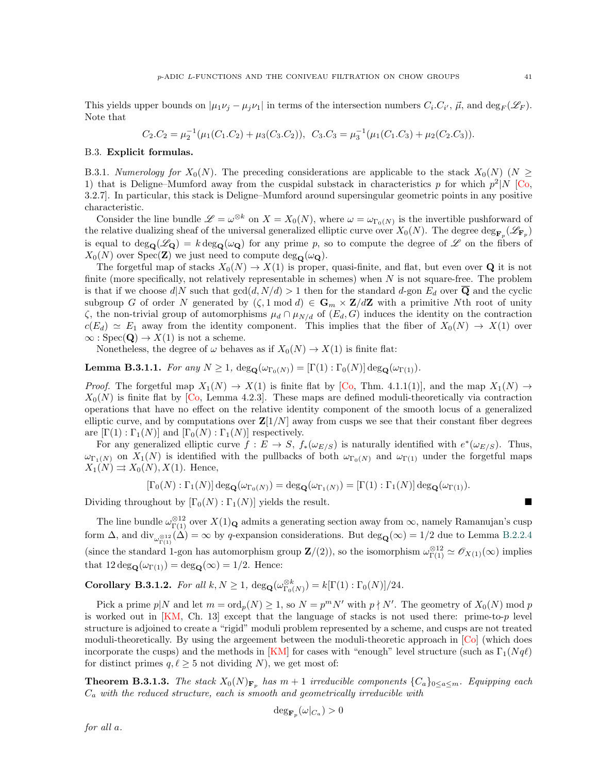This yields upper bounds on  $|\mu_1 \nu_j - \mu_j \nu_1|$  in terms of the intersection numbers  $C_i$ .  $C_{i'}$ ,  $\vec{\mu}$ , and  $\deg_F(\mathscr{L}_F)$ . Note that

$$
C_2.C_2 = \mu_2^{-1}(\mu_1(C_1.C_2) + \mu_3(C_3.C_2)), \ C_3.C_3 = \mu_3^{-1}(\mu_1(C_1.C_3) + \mu_2(C_2.C_3)).
$$

### <span id="page-40-0"></span>B.3. Explicit formulas.

<span id="page-40-2"></span>B.3.1. Numerology for  $X_0(N)$ . The preceding considerations are applicable to the stack  $X_0(N)$  ( $N \geq$ 1) that is Deligne–Mumford away from the cuspidal substack in characteristics p for which  $p^2|N|$  [\[Co,](#page-45-30) 3.2.7]. In particular, this stack is Deligne–Mumford around supersingular geometric points in any positive characteristic.

Consider the line bundle  $\mathscr{L} = \omega^{\otimes k}$  on  $X = X_0(N)$ , where  $\omega = \omega_{\Gamma_0(N)}$  is the invertible pushforward of the relative dualizing sheaf of the universal generalized elliptic curve over  $X_0(N)$ . The degree  $\deg_{\mathbf{F}_p}(\mathscr{L}_{\mathbf{F}_p})$ is equal to  $\deg_{\mathbf{Q}}(\mathscr{L}_{\mathbf{Q}}) = k \deg_{\mathbf{Q}}(\omega_{\mathbf{Q}})$  for any prime p, so to compute the degree of  $\mathscr{L}$  on the fibers of  $X_0(N)$  over Spec(Z) we just need to compute  $\deg_{\mathbf{Q}}(\omega_{\mathbf{Q}})$ .

The forgetful map of stacks  $X_0(N) \to X(1)$  is proper, quasi-finite, and flat, but even over Q it is not finite (more specifically, not relatively representable in schemes) when  $N$  is not square-free. The problem is that if we choose  $d|N$  such that  $gcd(d, N/d) > 1$  then for the standard d-gon  $E_d$  over Q and the cyclic subgroup G of order N generated by  $(\zeta, 1 \mod d) \in \mathbf{G}_m \times \mathbf{Z}/d\mathbf{Z}$  with a primitive Nth root of unity  $\zeta$ , the non-trivial group of automorphisms  $\mu_d \cap \mu_{N/d}$  of  $(E_d, G)$  induces the identity on the contraction  $c(E_d) \simeq E_1$  away from the identity component. This implies that the fiber of  $X_0(N) \to X(1)$  over  $\infty$ : Spec(**Q**)  $\rightarrow$  X(1) is not a scheme.

Nonetheless, the degree of  $\omega$  behaves as if  $X_0(N) \to X(1)$  is finite flat:

<span id="page-40-3"></span>**Lemma B.3.1.1.** For any  $N \geq 1$ ,  $\deg_{\mathbf{Q}}(\omega_{\Gamma_0(N)}) = [\Gamma(1) : \Gamma_0(N)] \deg_{\mathbf{Q}}(\omega_{\Gamma(1)})$ .

*Proof.* The forgetful map  $X_1(N) \to X(1)$  is finite flat by [\[Co,](#page-45-30) Thm. 4.1.1(1)], and the map  $X_1(N) \to X(1)$  $X_0(N)$  is finite flat by [\[Co,](#page-45-30) Lemma 4.2.3]. These maps are defined moduli-theoretically via contraction operations that have no effect on the relative identity component of the smooth locus of a generalized elliptic curve, and by computations over  $\mathbf{Z}[1/N]$  away from cusps we see that their constant fiber degrees are  $[\Gamma(1) : \Gamma_1(N)]$  and  $[\Gamma_0(N) : \Gamma_1(N)]$  respectively.

For any generalized elliptic curve  $f: E \to S$ ,  $f_*(\omega_{E/S})$  is naturally identified with  $e^*(\omega_{E/S})$ . Thus,  $\omega_{\Gamma_1(N)}$  on  $X_1(N)$  is identified with the pullbacks of both  $\omega_{\Gamma_0(N)}$  and  $\omega_{\Gamma(1)}$  under the forgetful maps  $X_1(N) \rightrightarrows X_0(N), X(1)$ . Hence,

$$
[\Gamma_0(N):\Gamma_1(N)] \deg_{\mathbf{Q}}(\omega_{\Gamma_0(N)}) = \deg_{\mathbf{Q}}(\omega_{\Gamma_1(N)}) = [\Gamma(1):\Gamma_1(N)] \deg_{\mathbf{Q}}(\omega_{\Gamma(1)}).
$$

Dividing throughout by  $[\Gamma_0(N) : \Gamma_1(N)]$  yields the result.

The line bundle  $\omega_{\Gamma(1)}^{\otimes 12}$  over  $X(1)_{\mathbf{Q}}$  admits a generating section away from  $\infty$ , namely Ramanujan's cusp form  $\Delta$ , and div<sub> $\omega_{\Gamma(1)}^{(1)}(\Delta) = \infty$  by q-expansion considerations. But deg $_{\mathbf{Q}}(\infty) = 1/2$  due to Lemma [B.2.2.4](#page-34-3)</sub> (since the standard 1-gon has automorphism group  $\mathbf{Z}/(2)$ ), so the isomorphism  $\omega_{\Gamma(1)}^{\otimes 12} \simeq \mathscr{O}_{X(1)}(\infty)$  implies that  $12 \deg_{\mathbf{Q}}(\omega_{\Gamma(1)}) = \deg_{\mathbf{Q}}(\infty) = 1/2$ . Hence:

**Corollary B.3.1.2.** For all  $k, N \geq 1$ ,  $\deg_{\mathbf{Q}}(\omega_{\Gamma_0(N)}^{\otimes k}) = k[\Gamma(1):\Gamma_0(N)]/24$ .

<span id="page-40-4"></span>Pick a prime  $p|N$  and let  $m = \text{ord}_p(N) \ge 1$ , so  $N = p^m N'$  with  $p \nmid N'$ . The geometry of  $X_0(N)$  mod p is worked out in  $[KM, Ch. 13]$  $[KM, Ch. 13]$  except that the language of stacks is not used there: prime-to-p level structure is adjoined to create a "rigid" moduli problem represented by a scheme, and cusps are not treated moduli-theoretically. By using the argeement between the moduli-theoretic approach in [\[Co\]](#page-45-30) (which does incorporate the cusps) and the methods in [\[KM\]](#page-45-33) for cases with "enough" level structure (such as  $\Gamma_1(Nq\ell)$ ) for distinct primes  $q, \ell \geq 5$  not dividing N), we get most of:

<span id="page-40-1"></span>**Theorem B.3.1.3.** The stack  $X_0(N)_{\mathbf{F}_p}$  has  $m + 1$  irreducible components  ${C_a}_{0 \leq a \leq m}$ . Equipping each  $C_a$  with the reduced structure, each is smooth and geometrically irreducible with

$$
\deg_{\mathbf{F}_p}(\omega|_{C_a}) > 0
$$

for all a.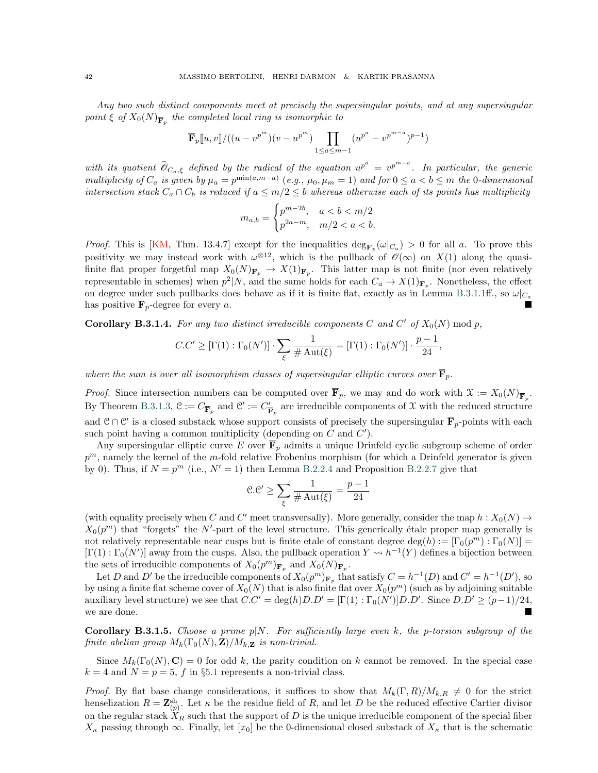Any two such distinct components meet at precisely the supersingular points, and at any supersingular point  $\xi$  of  $X_0(N)_{\overline{\mathbf{F}}_p}$  the completed local ring is isomorphic to

$$
\overline{\mathbf{F}}_p[u, v]/((u - v^{p^m})(v - u^{p^m}) \prod_{1 \le a \le m-1} (u^{p^a} - v^{p^{m-a}})^{p-1})
$$

with its quotient  $\widehat{\mathcal{O}}_{C_a,\xi}$  defined by the radical of the equation  $u^{p^a} = v^{p^{m-a}}$ . In particular, the generic multiplicity of  $C_a$  is given by  $\mu_a = p^{\min(a,m-a)}$  (e.g.,  $\mu_0, \mu_m = 1$ ) and for  $0 \le a < b \le m$  the 0-dimensional intersection stack  $C_a \cap C_b$  is reduced if  $a \leq m/2 \leq b$  whereas otherwise each of its points has multiplicity

$$
m_{a,b} = \begin{cases} p^{m-2b}, & a < b < m/2 \\ p^{2a-m}, & m/2 < a < b. \end{cases}
$$

*Proof.* This is [\[KM,](#page-45-33) Thm. 13.4.7] except for the inequalities  $\deg_{\mathbf{F}_p}(\omega|_{C_a}) > 0$  for all a. To prove this positivity we may instead work with  $\omega^{\otimes 12}$ , which is the pullback of  $\mathscr{O}(\infty)$  on  $X(1)$  along the quasifinite flat proper forgetful map  $X_0(N)_{\mathbf{F}_p} \to X(1)_{\mathbf{F}_p}$ . This latter map is not finite (nor even relatively representable in schemes) when  $p^2|N$ , and the same holds for each  $C_a \to X(1)_{\mathbf{F}_p}$ . Nonetheless, the effect on degree under such pullbacks does behave as if it is finite flat, exactly as in Lemma [B.3.1.1ff](#page-40-3)., so  $\omega|_{C_a}$ has positive  $\mathbf{F}_p$ -degree for every a.

<span id="page-41-1"></span>**Corollary B.3.1.4.** For any two distinct irreducible components C and C' of  $X_0(N)$  mod p,

$$
C.C' \geq [\Gamma(1):\Gamma_0(N')] \cdot \sum_{\xi} \frac{1}{\#\mathrm{Aut}(\xi)} = [\Gamma(1):\Gamma_0(N')] \cdot \frac{p-1}{24},
$$

where the sum is over all isomorphism classes of supersingular elliptic curves over  $\overline{\mathbf{F}}_p$ .

*Proof.* Since intersection numbers can be computed over  $\mathbf{F}_p$ , we may and do work with  $\mathcal{X} := X_0(N)_{\overline{\mathbf{F}}_p}$ . By Theorem [B.3.1.3,](#page-40-1)  $\mathcal{C} := C_{\overline{\mathbf{F}}_p}$  and  $\mathcal{C}' := C'_{\overline{\mathbf{I}}}$  $\frac{\gamma}{\mathbf{F}_p}$  are irreducible components of X with the reduced structure and  $\mathcal{C} \cap \mathcal{C}'$  is a closed substack whose support consists of precisely the supersingular  $\overline{\mathbf{F}}_p$ -points with each such point having a common multiplicity (depending on  $C$  and  $C'$ ).

Any supersingular elliptic curve E over  $\overline{\mathbf{F}}_p$  admits a unique Drinfeld cyclic subgroup scheme of order  $p^m$ , namely the kernel of the m-fold relative Frobenius morphism (for which a Drinfeld generator is given by 0). Thus, if  $N = p^m$  (i.e.,  $N' = 1$ ) then Lemma [B.2.2.4](#page-34-3) and Proposition [B.2.2.7](#page-35-1) give that

$$
\mathcal{C}.\mathcal{C}' \ge \sum_{\xi} \frac{1}{\#\operatorname{Aut}(\xi)} = \frac{p-1}{24}
$$

(with equality precisely when C and C' meet transversally). More generally, consider the map  $h: X_0(N) \to$  $X_0(p^m)$  that "forgets" the N'-part of the level structure. This generically étale proper map generally is not relatively representable near cusps but is finite etale of constant degree  $\deg(h) := [\Gamma_0(p^m) : \Gamma_0(N)] =$  $[\Gamma(1):\Gamma_0(N')]$  away from the cusps. Also, the pullback operation  $Y \rightsquigarrow h^{-1}(Y)$  defines a bijection between the sets of irreducible components of  $X_0(p^m)_{\mathbf{F}_p}$  and  $X_0(N)_{\mathbf{F}_p}$ .

Let D and D' be the irreducible components of  $X_0(p^m)_{\mathbf{F}_p}$  that satisfy  $C = h^{-1}(D)$  and  $C' = h^{-1}(D')$ , so by using a finite flat scheme cover of  $X_0(N)$  that is also finite flat over  $X_0(p^m)$  (such as by adjoining suitable auxiliary level structure) we see that  $C.C' = \deg(h)D.D' = [\Gamma(1) : \Gamma_0(N')]D.D'.$  Since  $D.D' \ge (p-1)/24$ , we are done.

<span id="page-41-0"></span>**Corollary B.3.1.5.** Choose a prime  $p|N$ . For sufficiently large even k, the p-torsion subgroup of the finite abelian group  $M_k(\Gamma_0(N), \mathbf{Z})/M_{k,\mathbf{Z}}$  is non-trivial.

Since  $M_k(\Gamma_0(N), \mathbf{C}) = 0$  for odd k, the parity condition on k cannot be removed. In the special case  $k = 4$  and  $N = p = 5$ , f in §[5.1](#page-20-1) represents a non-trivial class.

*Proof.* By flat base change considerations, it suffices to show that  $M_k(\Gamma, R)/M_{k,R} \neq 0$  for the strict henselization  $R = \mathbf{Z}_{(p)}^{\text{sh}}$ . Let  $\kappa$  be the residue field of R, and let D be the reduced effective Cartier divisor on the regular stack  $X_R$  such that the support of D is the unique irreducible component of the special fiber  $X_{\kappa}$  passing through  $\infty$ . Finally, let [x<sub>0</sub>] be the 0-dimensional closed substack of  $X_{\kappa}$  that is the schematic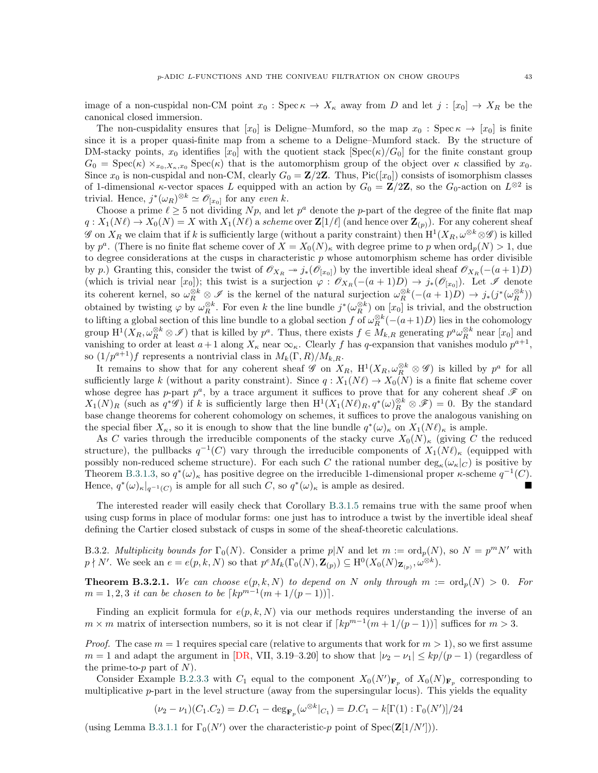image of a non-cuspidal non-CM point  $x_0$ : Spec  $\kappa \to X_\kappa$  away from D and let  $j : [x_0] \to X_R$  be the canonical closed immersion.

The non-cuspidality ensures that  $[x_0]$  is Deligne–Mumford, so the map  $x_0$ : Spec  $\kappa \to [x_0]$  is finite since it is a proper quasi-finite map from a scheme to a Deligne–Mumford stack. By the structure of DM-stacky points,  $x_0$  identifies  $[x_0]$  with the quotient stack  $[\text{Spec}(\kappa)/G_0]$  for the finite constant group  $G_0 = \text{Spec}(\kappa) \times_{x_0, X_\kappa, x_0} \text{Spec}(\kappa)$  that is the automorphism group of the object over  $\kappa$  classified by  $x_0$ . Since  $x_0$  is non-cuspidal and non-CM, clearly  $G_0 = \mathbf{Z}/2\mathbf{Z}$ . Thus, Pic([x<sub>0</sub>]) consists of isomorphism classes of 1-dimensional  $\kappa$ -vector spaces L equipped with an action by  $G_0 = \mathbb{Z}/2\mathbb{Z}$ , so the  $G_0$ -action on  $L^{\otimes 2}$  is trivial. Hence,  $j^*(\omega_R)^{\otimes k} \simeq \mathscr{O}_{[x_0]}$  for any even k.

Choose a prime  $\ell \geq 5$  not dividing Np, and let  $p^a$  denote the p-part of the degree of the finite flat map  $q: X_1(N\ell) \to X_0(N) = X$  with  $X_1(N\ell)$  a scheme over  $\mathbb{Z}[1/\ell]$  (and hence over  $\mathbb{Z}_{(p)}$ ). For any coherent sheaf G on  $X_R$  we claim that if k is sufficiently large (without a parity constraint) then  $H^1(X_R, \omega^{\otimes k} \otimes \mathscr{G})$  is killed by  $p^a$ . (There is no finite flat scheme cover of  $X = X_0(N)_{\kappa}$  with degree prime to p when  $\text{ord}_p(N) > 1$ , due to degree considerations at the cusps in characteristic  $p$  whose automorphism scheme has order divisible by p.) Granting this, consider the twist of  $\mathscr{O}_{X_R} \to j_*(\mathscr{O}_{[x_0]})$  by the invertible ideal sheaf  $\mathscr{O}_{X_R}(-(a+1)D)$ (which is trivial near  $[x_0]$ ); this twist is a surjection  $\varphi : \mathscr{O}_{X_R}(-(a+1)D) \to j_*(\mathscr{O}_{[x_0]})$ . Let  $\mathscr{I}$  denote its coherent kernel, so  $\omega_R^{\otimes k} \otimes \mathscr{I}$  is the kernel of the natural surjection  $\omega_R^{\otimes k}(-(a+1)D) \to j_*(j^*(\omega_R^{\otimes k}))$ obtained by twisting  $\varphi$  by  $\omega_R^{\otimes k}$ . For even k the line bundle  $j^*(\omega_R^{\otimes k})$  on  $[x_0]$  is trivial, and the obstruction to lifting a global section of this line bundle to a global section f of  $\omega_R^{\otimes k}(-(a+1)D)$  lies in the cohomology group  $H^1(X_R, \omega_R^{\otimes k} \otimes \mathscr{I})$  that is killed by  $p^a$ . Thus, there exists  $f \in M_{k,R}$  generating  $p^a \omega_R^{\otimes k}$  near  $[x_0]$  and vanishing to order at least  $a+1$  along  $X_{\kappa}$  near  $\infty_{\kappa}$ . Clearly f has q-expansion that vanishes modulo  $p^{a+1}$ , so  $(1/p^{a+1})f$  represents a nontrivial class in  $M_k(\Gamma, R)/M_{k,R}$ .

It remains to show that for any coherent sheaf  $\mathscr{G}$  on  $X_R$ ,  $\mathrm{H}^1(X_R,\omega_R^{\otimes k}\otimes\mathscr{G})$  is killed by  $p^a$  for all sufficiently large k (without a parity constraint). Since  $q : X_1(N\ell) \to X_0(N)$  is a finite flat scheme cover whose degree has p-part  $p^a$ , by a trace argument it suffices to prove that for any coherent sheaf  $\mathscr F$  on  $X_1(N)_R$  (such as  $q^*\mathscr{G}$ ) if k is sufficiently large then  $H^1(X_1(N\ell)_R, q^*(\omega)_R^{\otimes k} \otimes \mathscr{F}) = 0$ . By the standard base change theorems for coherent cohomology on schemes, it suffices to prove the analogous vanishing on the special fiber  $X_{\kappa}$ , so it is enough to show that the line bundle  $q^*(\omega)_{\kappa}$  on  $X_1(N\ell)_{\kappa}$  is ample.

As C varies through the irreducible components of the stacky curve  $X_0(N)_{\kappa}$  (giving C the reduced structure), the pullbacks  $q^{-1}(C)$  vary through the irreducible components of  $X_1(N\ell)_{\kappa}$  (equipped with possibly non-reduced scheme structure). For each such C the rational number  $\deg_{\kappa}(\omega_{\kappa}|_{C})$  is positive by Theorem [B.3.1.3,](#page-40-1) so  $q^*(\omega)_\kappa$  has positive degree on the irreducible 1-dimensional proper  $\kappa$ -scheme  $q^{-1}(C)$ . Hence,  $q^*(\omega)_{\kappa}|_{q^{-1}(C)}$  is ample for all such  $C$ , so  $q^*(\omega)_{\kappa}$  is ample as desired.

The interested reader will easily check that Corollary [B.3.1.5](#page-41-0) remains true with the same proof when using cusp forms in place of modular forms: one just has to introduce a twist by the invertible ideal sheaf defining the Cartier closed substack of cusps in some of the sheaf-theoretic calculations.

B.3.2. Multiplicity bounds for  $\Gamma_0(N)$ . Consider a prime  $p|N$  and let  $m := \text{ord}_p(N)$ , so  $N = p^m N'$  with  $p \nmid N'$ . We seek an  $e = e(p, k, N)$  so that  $p^e M_k(\Gamma_0(N), \mathbf{Z}_{(p)}) \subseteq \mathrm{H}^0(X_0(N)_{\mathbf{Z}_{(p)}}, \omega^{\otimes k})$ .

<span id="page-42-0"></span>**Theorem B.3.2.1.** We can choose  $e(p, k, N)$  to depend on N only through  $m := \text{ord}_p(N) > 0$ . For  $m = 1, 2, 3$  it can be chosen to be  $\lceil kp^{m-1}(m + 1/(p-1)) \rceil$ .

Finding an explicit formula for  $e(p, k, N)$  via our methods requires understanding the inverse of an  $m \times m$  matrix of intersection numbers, so it is not clear if  $\lceil kp^{m-1}(m + 1/(p-1)) \rceil$  suffices for  $m > 3$ .

*Proof.* The case  $m = 1$  requires special care (relative to arguments that work for  $m > 1$ ), so we first assume  $m = 1$  and adapt the argument in [\[DR,](#page-45-26) VII, 3.19–3.20] to show that  $|v_2 - v_1| \leq k p/(p-1)$  (regardless of the prime-to- $p$  part of  $N$ ).

Consider Example [B.2.3.3](#page-39-1) with  $C_1$  equal to the component  $X_0(N')_{\mathbf{F}_p}$  of  $X_0(N)_{\mathbf{F}_p}$  corresponding to multiplicative  $p$ -part in the level structure (away from the supersingular locus). This yields the equality

$$
(\nu_2 - \nu_1)(C_1.C_2) = D.C_1 - \deg_{\mathbf{F}_p}(\omega^{\otimes k}|_{C_1}) = D.C_1 - k[\Gamma(1):\Gamma_0(N')] / 24
$$

(using Lemma [B.3.1.1](#page-40-3) for  $\Gamma_0(N')$  over the characteristic-p point of Spec( $\mathbf{Z}[1/N']$ )).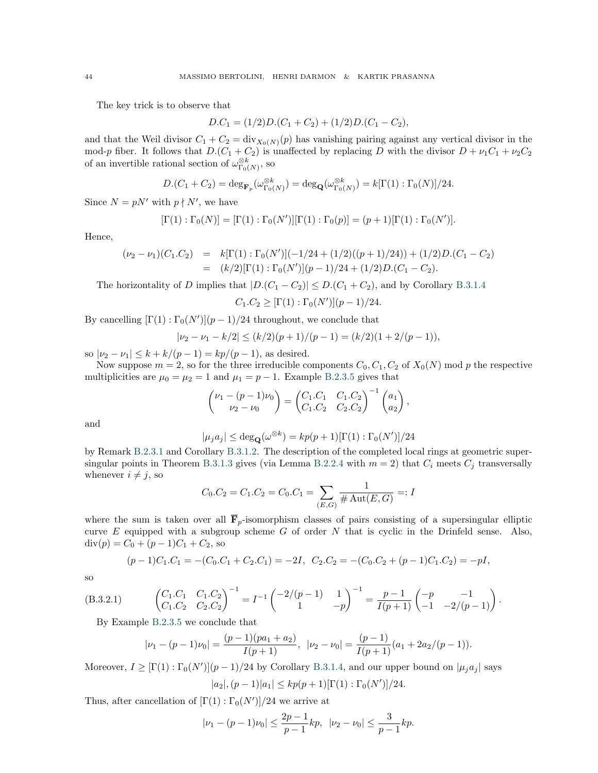The key trick is to observe that

$$
D.C1 = (1/2)D.(C1 + C2) + (1/2)D.(C1 - C2),
$$

and that the Weil divisor  $C_1 + C_2 = \text{div}_{X_0(N)}(p)$  has vanishing pairing against any vertical divisor in the mod-p fiber. It follows that  $D(C_1 + C_2)$  is unaffected by replacing D with the divisor  $D + \nu_1C_1 + \nu_2C_2$ of an invertible rational section of  $\omega_{\Gamma_0(N)}^{\otimes k}$ , so

$$
D.(C_1 + C_2) = \deg_{\mathbf{F}_p}(\omega_{\Gamma_0(N)}^{\otimes k}) = \deg_{\mathbf{Q}}(\omega_{\Gamma_0(N)}^{\otimes k}) = k[\Gamma(1) : \Gamma_0(N)]/24.
$$

Since  $N = pN'$  with  $p \nmid N'$ , we have

$$
[\Gamma(1):\Gamma_0(N)]=[\Gamma(1):\Gamma_0(N')][\Gamma(1):\Gamma_0(p)]=(p+1)[\Gamma(1):\Gamma_0(N')].
$$

Hence,

$$
(\nu_2 - \nu_1)(C_1.C_2) = k[\Gamma(1) : \Gamma_0(N')](-1/24 + (1/2)((p+1)/24)) + (1/2)D(C_1 - C_2)
$$
  
=  $(k/2)[\Gamma(1) : \Gamma_0(N')] (p-1)/24 + (1/2)D(C_1 - C_2).$ 

The horizontality of D implies that  $|D(C_1 - C_2)| \leq D(C_1 + C_2)$ , and by Corollary [B.3.1.4](#page-41-1)

$$
C_1.C_2 \geq [\Gamma(1) : \Gamma_0(N')] (p-1)/24.
$$

By cancelling  $[\Gamma(1):\Gamma_0(N')](p-1)/24$  throughout, we conclude that

$$
|\nu_2 - \nu_1 - k/2| \le (k/2)(p+1)/(p-1) = (k/2)(1+2/(p-1)),
$$

so  $|\nu_2 - \nu_1| \le k + k/(p-1) = kp/(p-1)$ , as desired.

Now suppose  $m = 2$ , so for the three irreducible components  $C_0$ ,  $C_1$ ,  $C_2$  of  $X_0(N)$  mod p the respective multiplicities are  $\mu_0 = \mu_2 = 1$  and  $\mu_1 = p - 1$ . Example [B.2.3.5](#page-39-3) gives that

$$
\begin{pmatrix} \nu_1 - (p-1)\nu_0 \\ \nu_2 - \nu_0 \end{pmatrix} = \begin{pmatrix} C_1.C_1 & C_1.C_2 \\ C_1.C_2 & C_2.C_2 \end{pmatrix}^{-1} \begin{pmatrix} a_1 \\ a_2 \end{pmatrix},
$$

and

$$
|\mu_j a_j| \le \deg_{\mathbf{Q}}(\omega^{\otimes k}) = k p(p+1)[\Gamma(1) : \Gamma_0(N')] / 24
$$

by Remark [B.2.3.1](#page-38-2) and Corollary [B.3.1.2.](#page-40-4) The description of the completed local rings at geometric super-singular points in Theorem [B.3.1.3](#page-40-1) gives (via Lemma [B.2.2.4](#page-34-3) with  $m = 2$ ) that  $C_i$  meets  $C_j$  transversally whenever  $i \neq j$ , so

$$
C_0.C_2 = C_1.C_2 = C_0.C_1 = \sum_{(E,G)} \frac{1}{\# \operatorname{Aut}(E,G)} =: I
$$

where the sum is taken over all  $\overline{F}_{p}$ -isomorphism classes of pairs consisting of a supersingular elliptic curve  $E$  equipped with a subgroup scheme  $G$  of order  $N$  that is cyclic in the Drinfeld sense. Also,  $div(p) = C_0 + (p-1)C_1 + C_2$ , so

$$
(p-1)C_1.C_1 = -(C_0.C_1 + C_2.C_1) = -2I, \ C_2.C_2 = -(C_0.C_2 + (p-1)C_1.C_2) = -pI,
$$

so

(B.3.2.1) 
$$
\begin{pmatrix} C_1.C_1 & C_1.C_2 \ C_1.C_2 & C_2.C_2 \end{pmatrix}^{-1} = I^{-1} \begin{pmatrix} -2/(p-1) & 1 \ 1 & -p \end{pmatrix}^{-1} = \frac{p-1}{I(p+1)} \begin{pmatrix} -p & -1 \ -1 & -2/(p-1) \end{pmatrix}.
$$

By Example  $B.2.3.5$  we conclude that

<span id="page-43-0"></span>
$$
|\nu_1 - (p-1)\nu_0| = \frac{(p-1)(pa_1 + a_2)}{I(p+1)}, \ |\nu_2 - \nu_0| = \frac{(p-1)}{I(p+1)}(a_1 + 2a_2/(p-1)).
$$

Moreover,  $I \geq [\Gamma(1):\Gamma_0(N')]$  ( $p-1)/24$  by Corollary [B.3.1.4,](#page-41-1) and our upper bound on  $|\mu_j a_j|$  says  $|a_2|, (p-1)|a_1| \leq k p(p+1)[\Gamma(1):\Gamma_0(N')]$ /24.

Thus, after cancellation of  $[\Gamma(1) : \Gamma_0(N')]$ /24 we arrive at

$$
|\nu_1-(p-1)\nu_0|\leq \frac{2p-1}{p-1}kp, \ \ |\nu_2-\nu_0|\leq \frac{3}{p-1}kp.
$$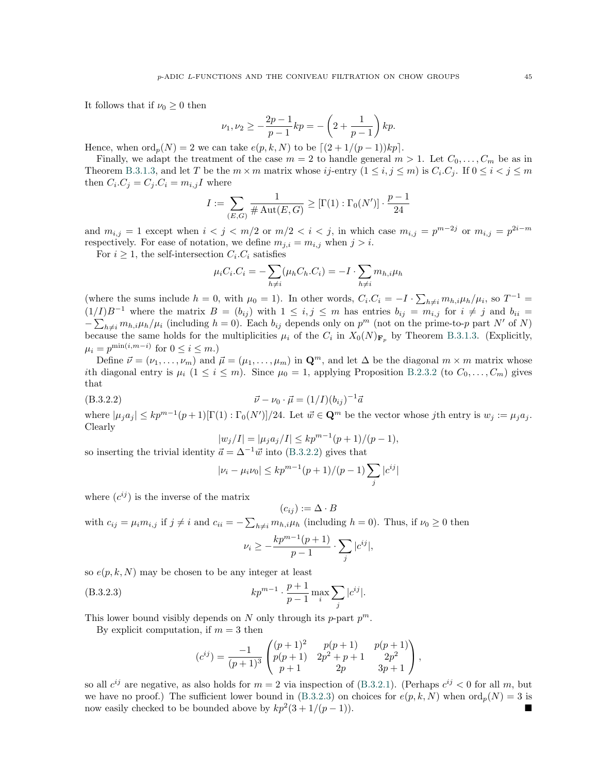It follows that if  $\nu_0 \geq 0$  then

$$
\nu_1, \nu_2 \ge -\frac{2p-1}{p-1}kp = -\left(2 + \frac{1}{p-1}\right)kp.
$$

Hence, when  $\text{ord}_p(N) = 2$  we can take  $e(p, k, N)$  to be  $[(2 + 1/(p - 1))kp]$ .

Finally, we adapt the treatment of the case  $m = 2$  to handle general  $m > 1$ . Let  $C_0, \ldots, C_m$  be as in Theorem [B.3.1.3,](#page-40-1) and let T be the  $m \times m$  matrix whose ij-entry  $(1 \le i, j \le m)$  is  $C_i.C_j$ . If  $0 \le i < j \le m$ then  $C_i.C_j = C_j.C_i = m_{i,j}I$  where

$$
I:=\sum_{(E,G)}\frac{1}{\#\operatorname{Aut}(E,G)}\geq [\Gamma(1):\Gamma_0(N')]\cdot \frac{p-1}{24}
$$

and  $m_{i,j} = 1$  except when  $i < j < m/2$  or  $m/2 < i < j$ , in which case  $m_{i,j} = p^{m-2j}$  or  $m_{i,j} = p^{2i-m}$ respectively. For ease of notation, we define  $m_{j,i} = m_{i,j}$  when  $j > i$ .

For  $i \geq 1$ , the self-intersection  $C_i$ .  $C_i$  satisfies

$$
\mu_i C_i.C_i = -\sum_{h \neq i} (\mu_h C_h.C_i) = -I \cdot \sum_{h \neq i} m_{h,i} \mu_h
$$

(where the sums include  $h = 0$ , with  $\mu_0 = 1$ ). In other words,  $C_i C_i = -I \cdot \sum_{h \neq i} m_{h,i} \mu_h / \mu_i$ , so  $T^{-1} =$  $(1/I)B^{-1}$  where the matrix  $B = (b_{ij})$  with  $1 \le i, j \le m$  has entries  $b_{ij} = m_{i,j}$  for  $i \ne j$  and  $b_{ii} =$  $-\sum_{h\neq i} m_{h,i}\mu_h/\mu_i$  (including  $h=0$ ). Each  $b_{ij}$  depends only on  $p^m$  (not on the prime-to-p part N' of N)  $\sum_{h \neq i}^{n} \sum_{i=1}^{n} \sum_{i=1}^{n} \sum_{i=1}^{n} \sum_{i=1}^{n} \sum_{i=1}^{n} \sum_{i=1}^{n} \sum_{i=1}^{n} \sum_{i=1}^{n} \sum_{i=1}^{n} \sum_{i=1}^{n} \sum_{i=1}^{n} \sum_{i=1}^{n} \sum_{i=1}^{n} \sum_{i=1}^{n} \sum_{i=1}^{n} \sum_{i=1}^{n} \sum_{i=1}^{n} \sum_{i=1}^{n} \sum_{i=1}^{n} \sum_{i=1}^{n} \sum_{i=1}^{$  $\mu_i = p^{\min(i,m-i)}$  for  $0 \leq i \leq m$ .)

Define  $\vec{\nu} = (\nu_1, \dots, \nu_m)$  and  $\vec{\mu} = (\mu_1, \dots, \mu_m)$  in  $\mathbf{Q}^m$ , and let  $\Delta$  be the diagonal  $m \times m$  matrix whose ith diagonal entry is  $\mu_i$   $(1 \le i \le m)$ . Since  $\mu_0 = 1$ , applying Proposition [B.2.3.2](#page-39-0) (to  $C_0, \ldots, C_m$ ) gives that

(B.3.2.2) 
$$
\vec{\nu} - \nu_0 \cdot \vec{\mu} = (1/I)(b_{ij})^{-1}\vec{a}
$$

where  $|\mu_j a_j| \leq k p^{m-1}(p+1)[\Gamma(1):\Gamma_0(N')] / 24$ . Let  $\vec{w} \in \mathbf{Q}^m$  be the vector whose jth entry is  $w_j := \mu_j a_j$ . Clearly

<span id="page-44-0"></span>
$$
|w_j/I| = |\mu_j a_j/I| \le k p^{m-1}(p+1)/(p-1),
$$

so inserting the trivial identity  $\vec{a} = \Delta^{-1} \vec{w}$  into ([B.3.2.2\)](#page-44-0) gives that

$$
|\nu_i - \mu_i \nu_0| \leq k p^{m-1} (p+1)/(p-1) \sum_j |c^{ij}|
$$

where  $(c^{ij})$  is the inverse of the matrix

$$
(c_{ij}) := \Delta \cdot B
$$

with  $c_{ij} = \mu_i m_{i,j}$  if  $j \neq i$  and  $c_{ii} = -\sum_{h \neq i} m_{h,i} \mu_h$  (including  $h = 0$ ). Thus, if  $\nu_0 \geq 0$  then  $kp^{m-1}(p+1)$ 

<span id="page-44-1"></span>
$$
\nu_i \geq -\frac{\kappa p^{\alpha} (p+1)}{p-1} \cdot \sum_j |c^{ij}|,
$$

so  $e(p, k, N)$  may be chosen to be any integer at least

(B.3.2.3) 
$$
kp^{m-1} \cdot \frac{p+1}{p-1} \max_{i} \sum_{j} |c^{ij}|.
$$

This lower bound visibly depends on N only through its p-part  $p^m$ .

By explicit computation, if  $m = 3$  then

$$
(c^{ij}) = \frac{-1}{(p+1)^3} \begin{pmatrix} (p+1)^2 & p(p+1) & p(p+1) \\ p(p+1) & 2p^2 + p + 1 & 2p^2 \\ p+1 & 2p & 3p+1 \end{pmatrix},
$$

so all  $c^{ij}$  are negative, as also holds for  $m = 2$  via inspection of ([B.3.2.1\)](#page-43-0). (Perhaps  $c^{ij} < 0$  for all m, but we have no proof.) The sufficient lower bound in ([B.3.2.3\)](#page-44-1) on choices for  $e(p, k, N)$  when  $\text{ord}_p(N) = 3$  is now easily checked to be bounded above by  $kp^2(3+1/(p-1))$ . ■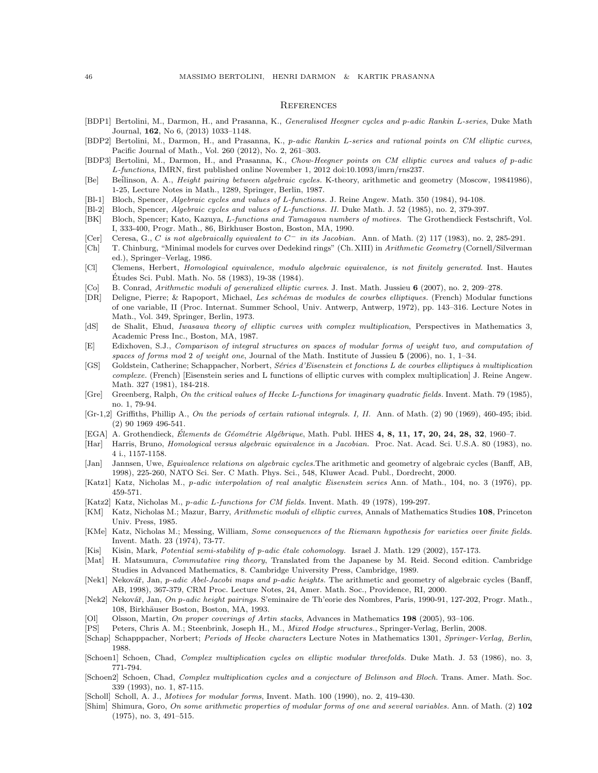#### <span id="page-45-0"></span>**REFERENCES**

- <span id="page-45-1"></span>[BDP1] Bertolini, M., Darmon, H., and Prasanna, K., Generalised Heegner cycles and p-adic Rankin L-series, Duke Math Journal, 162, No 6, (2013) 1033–1148.
- <span id="page-45-20"></span>[BDP2] Bertolini, M., Darmon, H., and Prasanna, K., p-adic Rankin L-series and rational points on CM elliptic curves, Pacific Journal of Math., Vol. 260 (2012), No. 2, 261–303.
- <span id="page-45-7"></span>[BDP3] Bertolini, M., Darmon, H., and Prasanna, K., Chow-Heegner points on CM elliptic curves and values of p-adic L-functions, IMRN, first published online November 1, 2012 doi:10.1093/imrn/rns237.
- <span id="page-45-2"></span>[Be] Beilinson, A. A., *Height pairing between algebraic cycles.* K-theory, arithmetic and geometry (Moscow, 19841986), 1-25, Lecture Notes in Math., 1289, Springer, Berlin, 1987.
- <span id="page-45-3"></span>[Bl-1] Bloch, Spencer, Algebraic cycles and values of L-functions. J. Reine Angew. Math. 350 (1984), 94-108.
- <span id="page-45-4"></span>[Bl-2] Bloch, Spencer, Algebraic cycles and values of L-functions. II. Duke Math. J. 52 (1985), no. 2, 379-397.
- <span id="page-45-15"></span>[BK] Bloch, Spencer; Kato, Kazuya, L-functions and Tamagawa numbers of motives. The Grothendieck Festschrift, Vol. I, 333-400, Progr. Math., 86, Birkhuser Boston, Boston, MA, 1990.
- <span id="page-45-10"></span>[Cer] Ceresa, G., C is not algebraically equivalent to  $C^-$  in its Jacobian. Ann. of Math. (2) 117 (1983), no. 2, 285-291.
- <span id="page-45-34"></span>[Ch] T. Chinburg, "Minimal models for curves over Dedekind rings" (Ch. XIII) in Arithmetic Geometry (Cornell/Silverman ed.), Springer–Verlag, 1986.
- <span id="page-45-9"></span>[Cl] Clemens, Herbert, Homological equivalence, modulo algebraic equivalence, is not finitely generated. Inst. Hautes Etudes Sci. Publ. Math. No. 58 (1983), 19-38 (1984). ´
- <span id="page-45-30"></span>[Co] B. Conrad, Arithmetic moduli of generalized elliptic curves. J. Inst. Math. Jussieu 6 (2007), no. 2, 209–278.
- <span id="page-45-26"></span>[DR] Deligne, Pierre; & Rapoport, Michael, Les schémas de modules de courbes elliptiques. (French) Modular functions of one variable, II (Proc. Internat. Summer School, Univ. Antwerp, Antwerp, 1972), pp. 143–316. Lecture Notes in Math., Vol. 349, Springer, Berlin, 1973.
- <span id="page-45-21"></span>[dS] de Shalit, Ehud, Iwasawa theory of elliptic curves with complex multiplication, Perspectives in Mathematics 3, Academic Press Inc., Boston, MA, 1987.
- <span id="page-45-29"></span>[E] Edixhoven, S.J., Comparison of integral structures on spaces of modular forms of weight two, and computation of spaces of forms mod 2 of weight one, Journal of the Math. Institute of Jussieu 5 (2006), no. 1, 1–34.
- <span id="page-45-23"></span>[GS] Goldstein, Catherine; Schappacher, Norbert, Séries d'Eisenstein et fonctions L de courbes elliptiques à multiplication complexe. (French) [Eisenstein series and L functions of elliptic curves with complex multiplication] J. Reine Angew. Math. 327 (1981), 184-218.
- <span id="page-45-24"></span>[Gre] Greenberg, Ralph, On the critical values of Hecke L-functions for imaginary quadratic fields. Invent. Math. 79 (1985), no. 1, 79-94.
- <span id="page-45-8"></span>[Gr-1,2] Griffiths, Phillip A., On the periods of certain rational integrals. I, II. Ann. of Math. (2) 90 (1969), 460-495; ibid. (2) 90 1969 496-541.
- <span id="page-45-35"></span>[EGA] A. Grothendieck, Elements de Géométrie Algébrique, Math. Publ. IHES  $4, 8, 11, 17, 20, 24, 28, 32, 1960-7.$
- <span id="page-45-11"></span>[Har] Harris, Bruno, Homological versus algebraic equivalence in a Jacobian. Proc. Nat. Acad. Sci. U.S.A. 80 (1983), no. 4 i., 1157-1158.
- <span id="page-45-5"></span>[Jan] Jannsen, Uwe, *Equivalence relations on algebraic cycles*. The arithmetic and geometry of algebraic cycles (Banff, AB, 1998), 225-260, NATO Sci. Ser. C Math. Phys. Sci., 548, Kluwer Acad. Publ., Dordrecht, 2000.
- <span id="page-45-22"></span>[Katz1] Katz, Nicholas M., p-adic interpolation of real analytic Eisenstein series Ann. of Math., 104, no. 3 (1976), pp. 459-571.
- <span id="page-45-25"></span>[Katz2] Katz, Nicholas M., p-adic L-functions for CM fields. Invent. Math. 49 (1978), 199-297.
- <span id="page-45-33"></span>[KM] Katz, Nicholas M.; Mazur, Barry, Arithmetic moduli of elliptic curves, Annals of Mathematics Studies 108, Princeton Univ. Press, 1985.
- <span id="page-45-17"></span>[KMe] Katz, Nicholas M.; Messing, William, Some consequences of the Riemann hypothesis for varieties over finite fields. Invent. Math. 23 (1974), 73-77.
- <span id="page-45-18"></span>[Kis] Kisin, Mark, Potential semi-stability of p-adic étale cohomology. Israel J. Math. 129 (2002), 157-173.
- <span id="page-45-32"></span>[Mat] H. Matsumura, Commutative ring theory, Translated from the Japanese by M. Reid. Second edition. Cambridge Studies in Advanced Mathematics, 8. Cambridge University Press, Cambridge, 1989.
- <span id="page-45-14"></span>[Nek1] Nekovář, Jan, p-adic Abel-Jacobi maps and p-adic heights. The arithmetic and geometry of algebraic cycles (Banff, AB, 1998), 367-379, CRM Proc. Lecture Notes, 24, Amer. Math. Soc., Providence, RI, 2000.
- <span id="page-45-16"></span>[Nek2] Nekovář, Jan, On p-adic height pairings. S'eminaire de Th'eorie des Nombres, Paris, 1990-91, 127-202, Progr. Math., 108, Birkhäuser Boston, Boston, MA, 1993.
- <span id="page-45-31"></span>[Ol] Olsson, Martin, On proper coverings of Artin stacks, Advances in Mathematics 198 (2005), 93-106.
- <span id="page-45-19"></span>[PS] Peters, Chris A. M.; Steenbrink, Joseph H., M., Mixed Hodge structures., Springer-Verlag, Berlin, 2008.
- <span id="page-45-28"></span>[Schap] Schapppacher, Norbert; Periods of Hecke characters Lecture Notes in Mathematics 1301, Springer-Verlag, Berlin, 1988.
- <span id="page-45-12"></span>[Schoen1] Schoen, Chad, Complex multiplication cycles on elliptic modular threefolds. Duke Math. J. 53 (1986), no. 3, 771-794.
- <span id="page-45-13"></span>[Schoen2] Schoen, Chad, Complex multiplication cycles and a conjecture of Belinson and Bloch. Trans. Amer. Math. Soc. 339 (1993), no. 1, 87-115.
- <span id="page-45-6"></span>[Scholl] Scholl, A. J., Motives for modular forms, Invent. Math. 100 (1990), no. 2, 419-430.
- <span id="page-45-27"></span>[Shim] Shimura, Goro, On some arithmetic properties of modular forms of one and several variables. Ann. of Math. (2) 102 (1975), no. 3, 491–515.